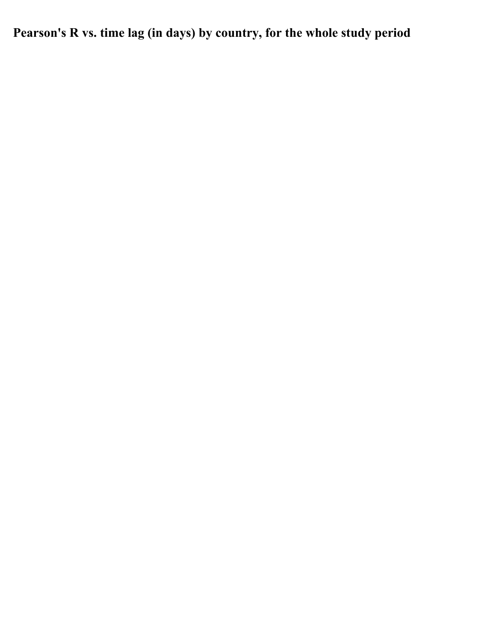**Pearson's R vs. time lag (in days) by country, for the whole study period**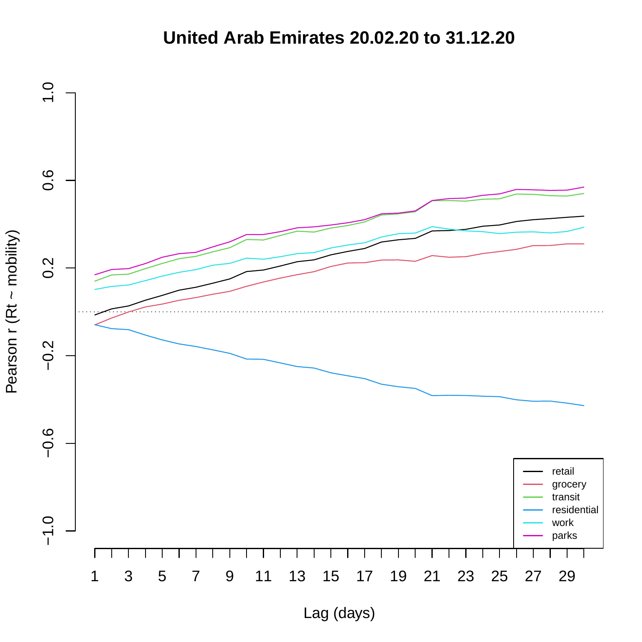## **United Arab Emirates 20.02.20 to 31.12.20**

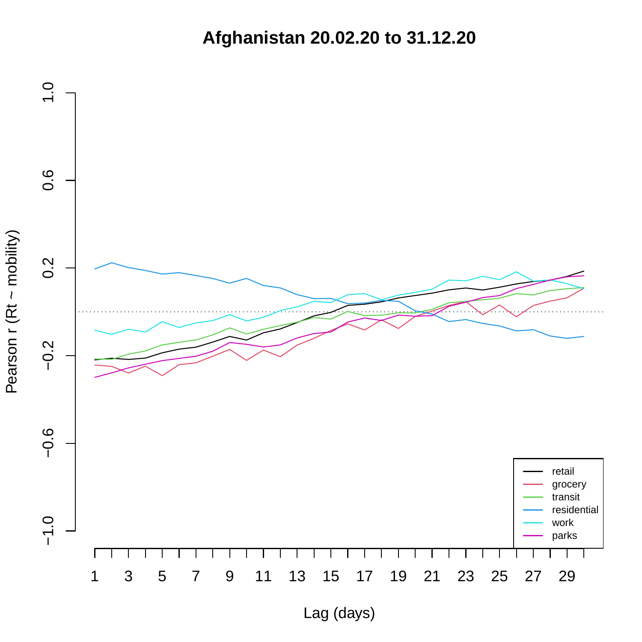**Afghanistan 20.02.20 to 31.12.20**

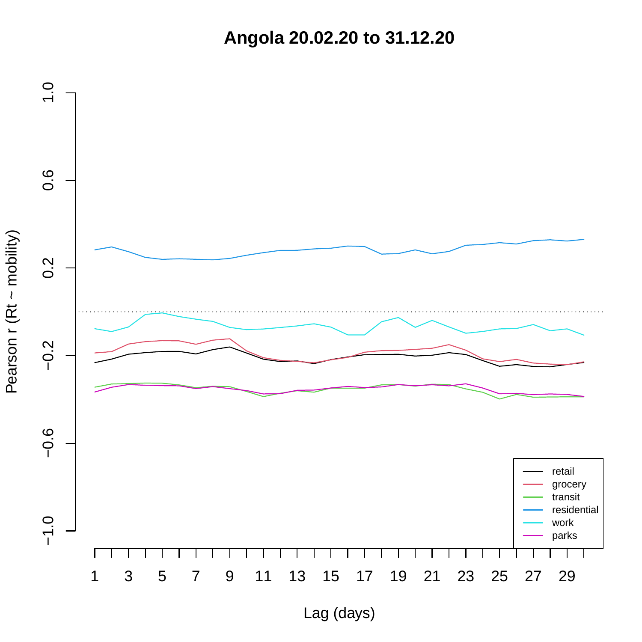**Angola 20.02.20 to 31.12.20**

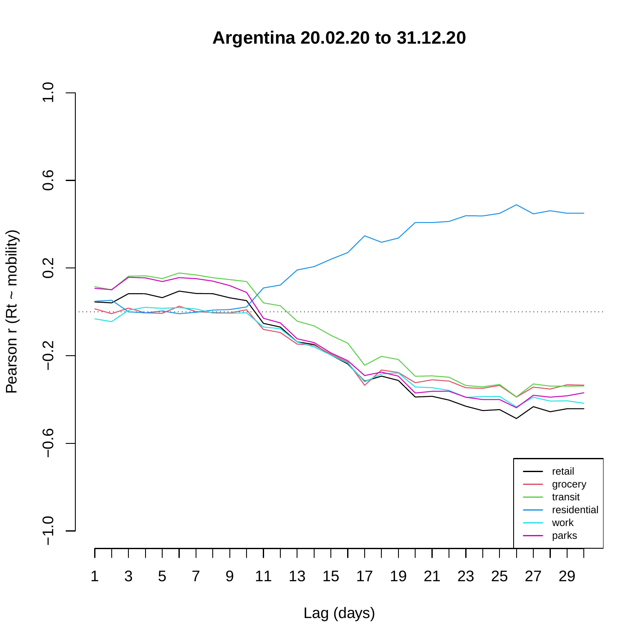**Argentina 20.02.20 to 31.12.20**

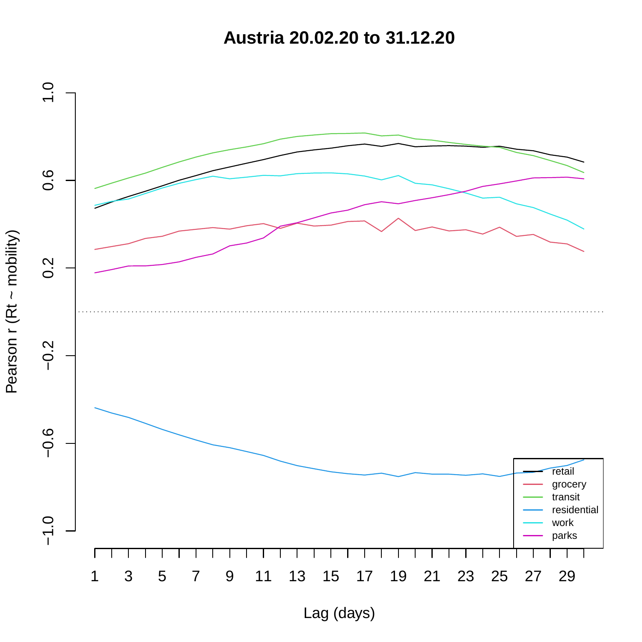**Austria 20.02.20 to 31.12.20**

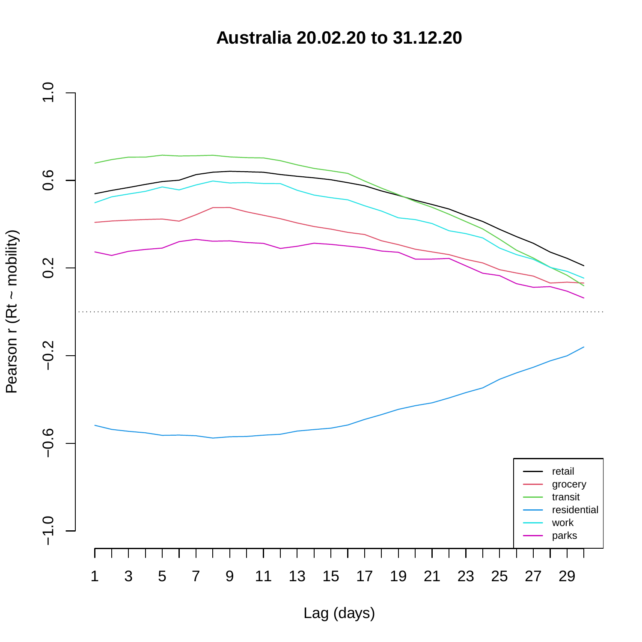**Australia 20.02.20 to 31.12.20**

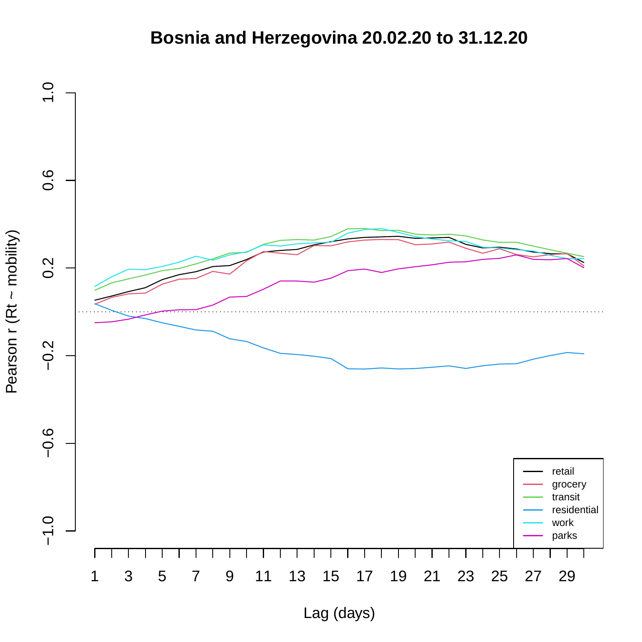## **Bosnia and Herzegovina 20.02.20 to 31.12.20**

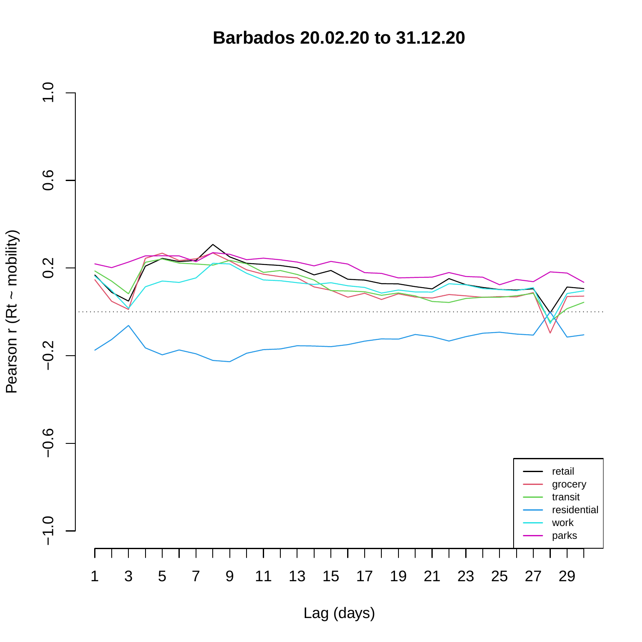**Barbados 20.02.20 to 31.12.20**

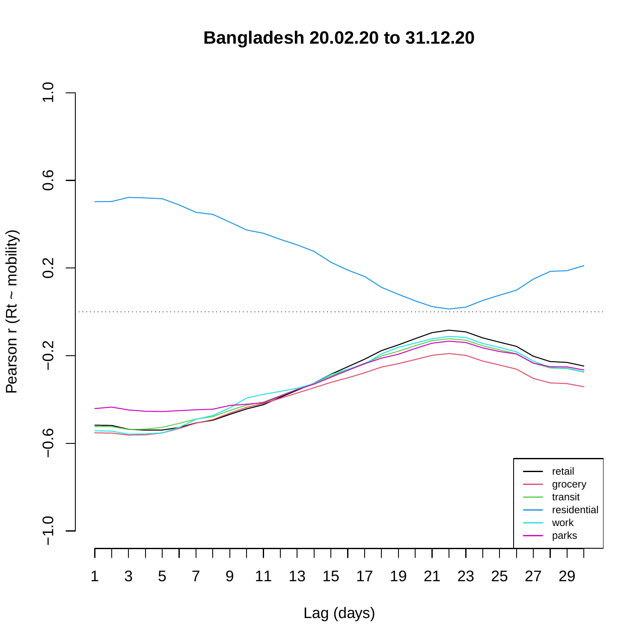**Bangladesh 20.02.20 to 31.12.20**



Pearson r (Rt ~ mobility) Pearson r (Rt ~ mobility)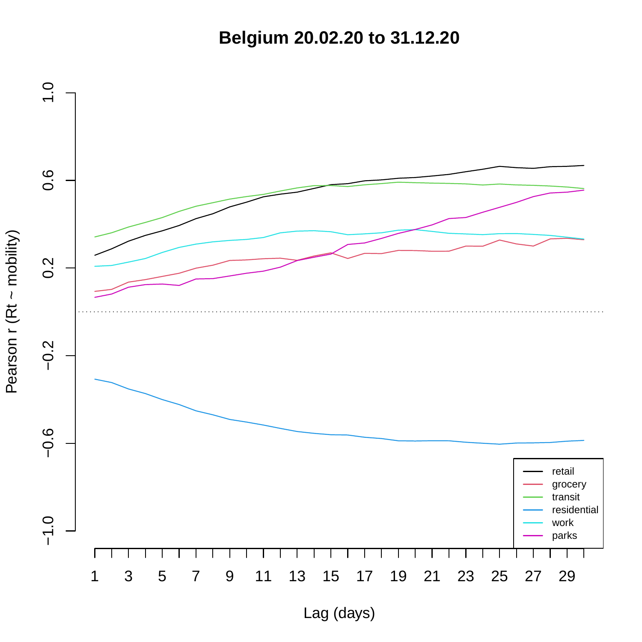**Belgium 20.02.20 to 31.12.20**

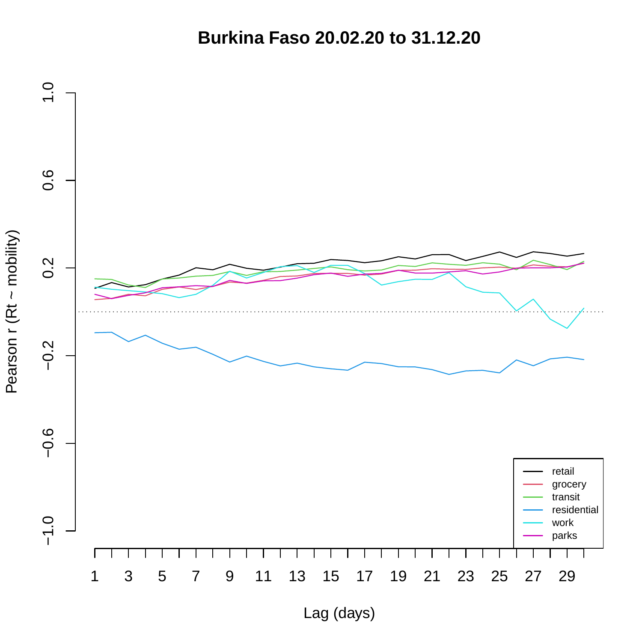**Burkina Faso 20.02.20 to 31.12.20**

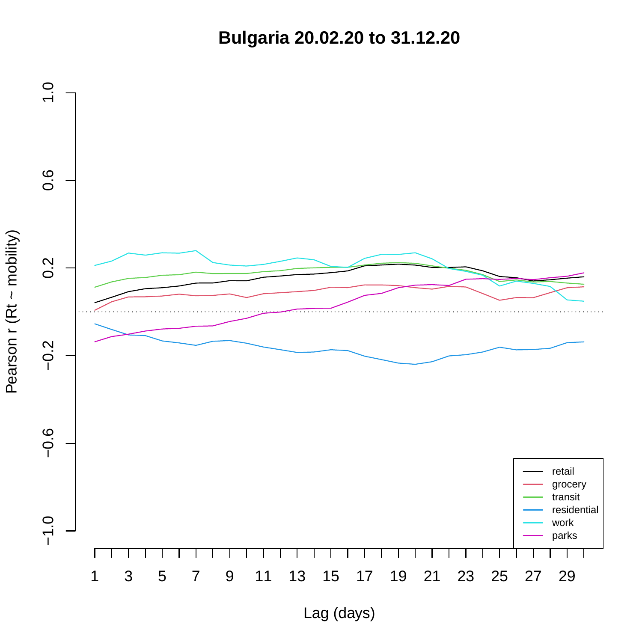**Bulgaria 20.02.20 to 31.12.20**

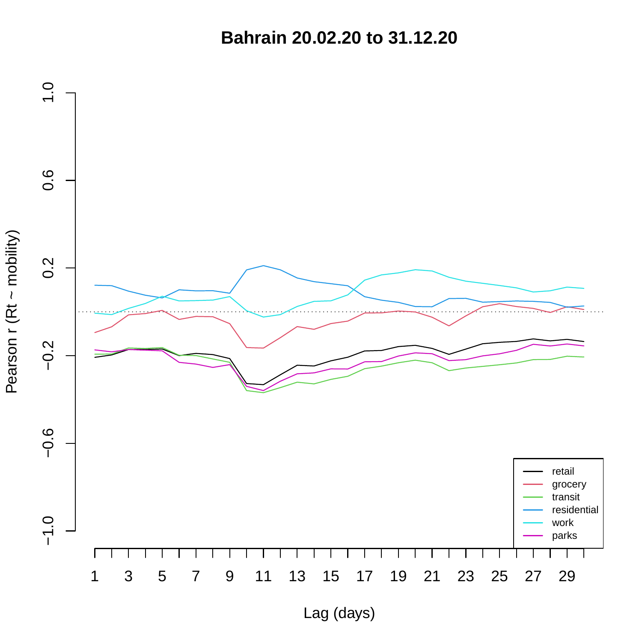**Bahrain 20.02.20 to 31.12.20**

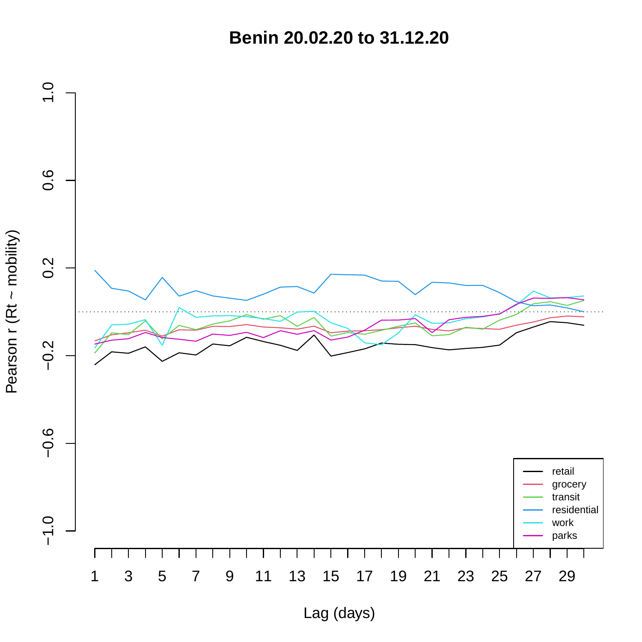**Benin 20.02.20 to 31.12.20**

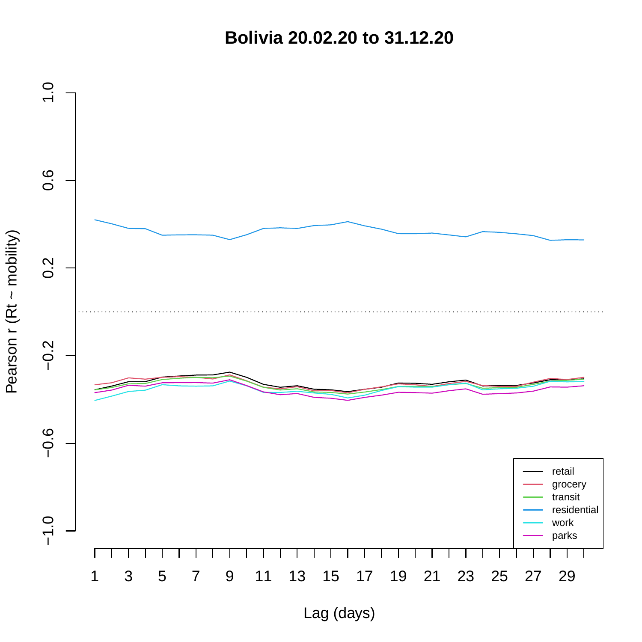**Bolivia 20.02.20 to 31.12.20**

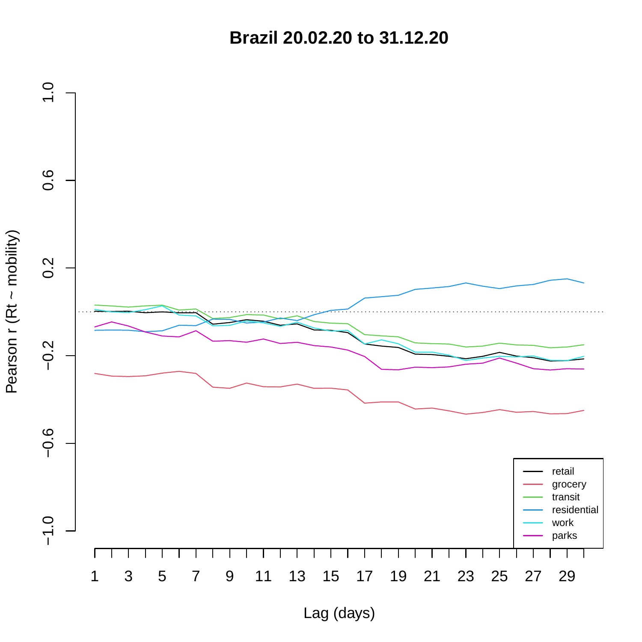**Brazil 20.02.20 to 31.12.20**

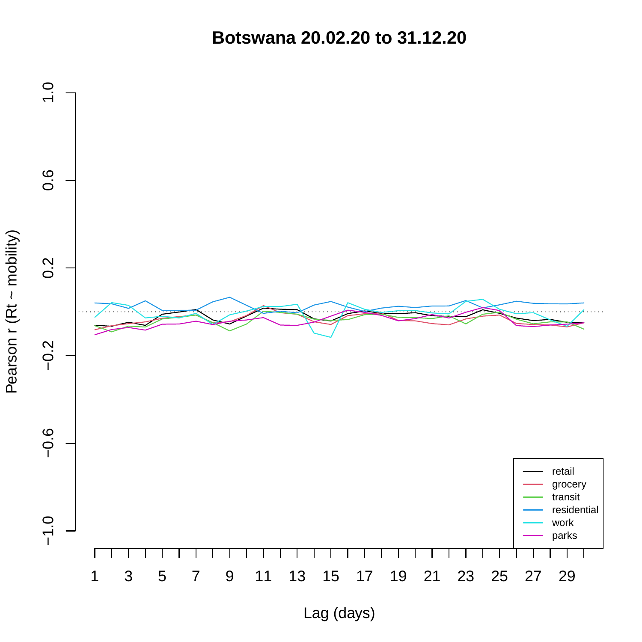**Botswana 20.02.20 to 31.12.20**

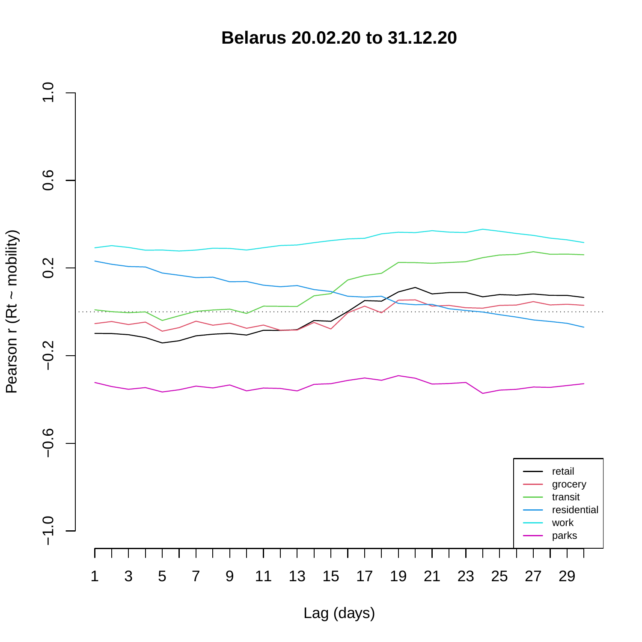**Belarus 20.02.20 to 31.12.20**

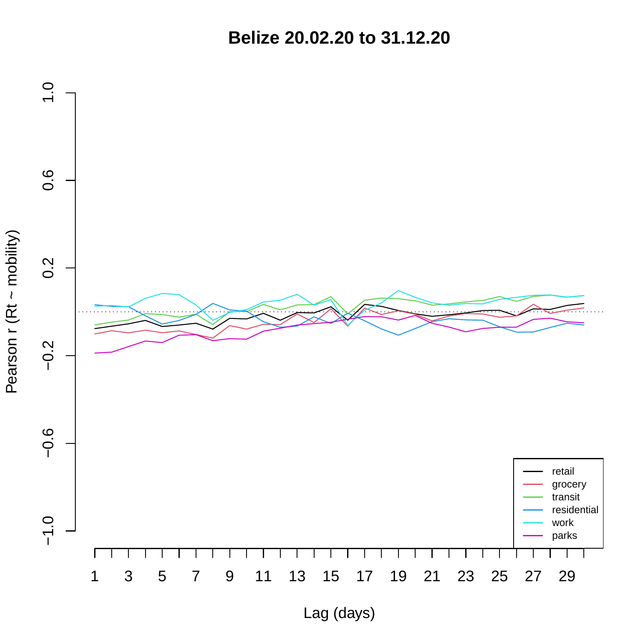**Belize 20.02.20 to 31.12.20**



Pearson r (Rt ~ mobility) Pearson r (Rt ~ mobility)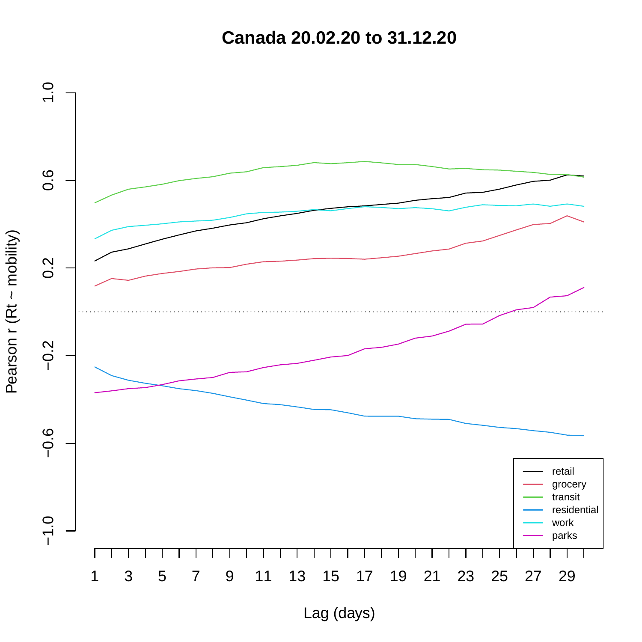**Canada 20.02.20 to 31.12.20**

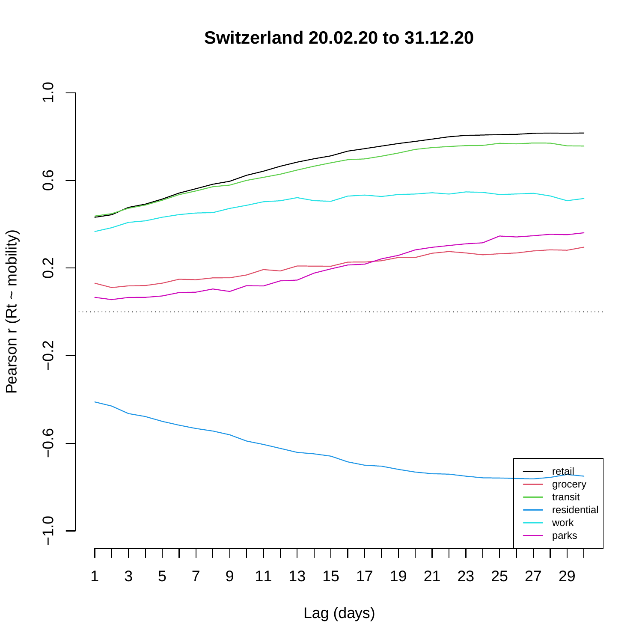**Switzerland 20.02.20 to 31.12.20**

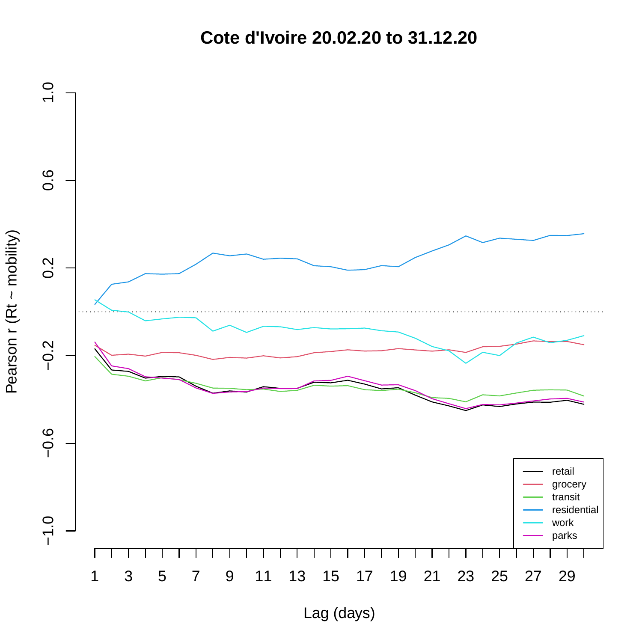**Cote d'Ivoire 20.02.20 to 31.12.20**

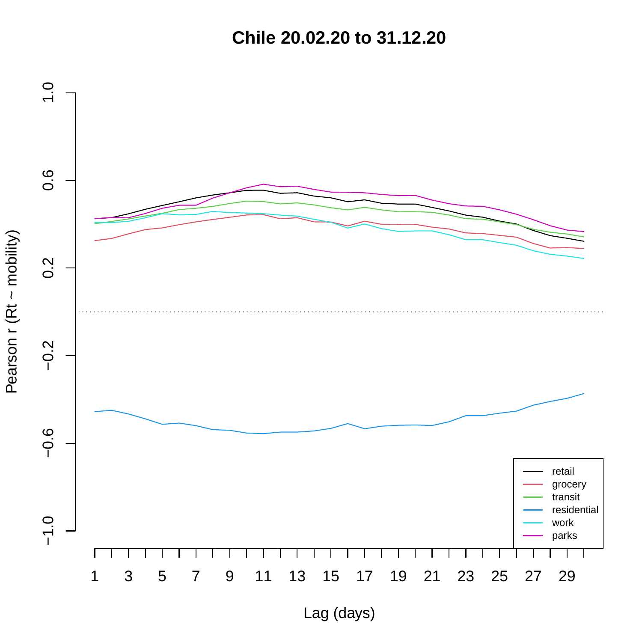**Chile 20.02.20 to 31.12.20**

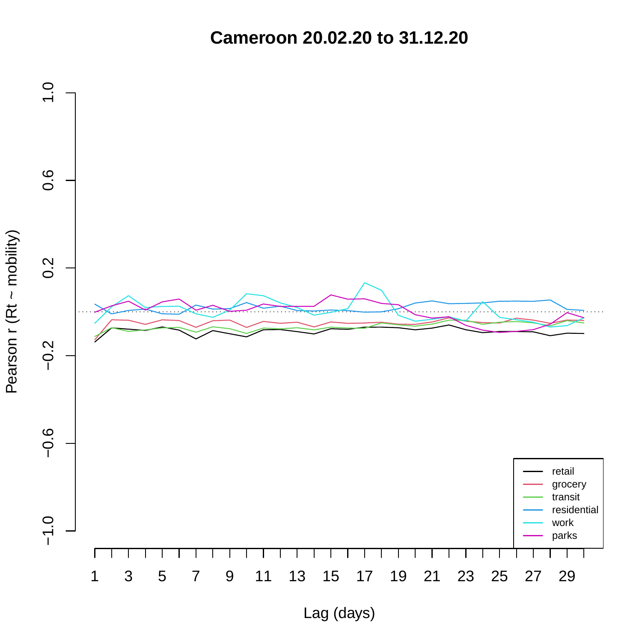**Cameroon 20.02.20 to 31.12.20**

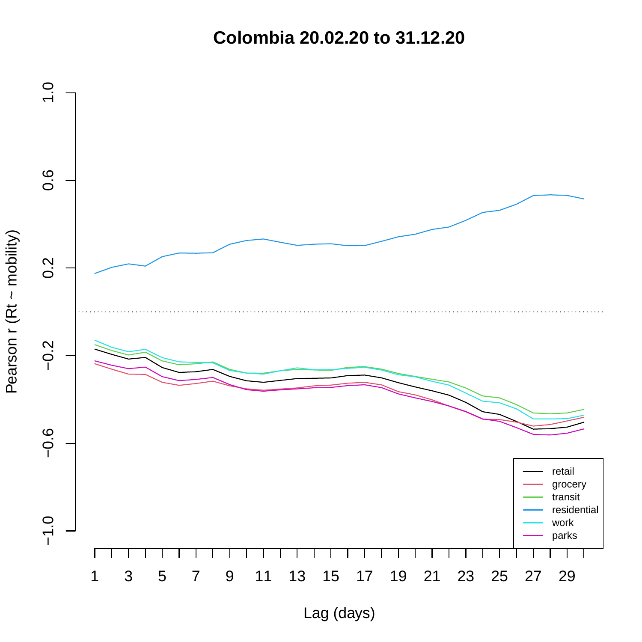**Colombia 20.02.20 to 31.12.20**

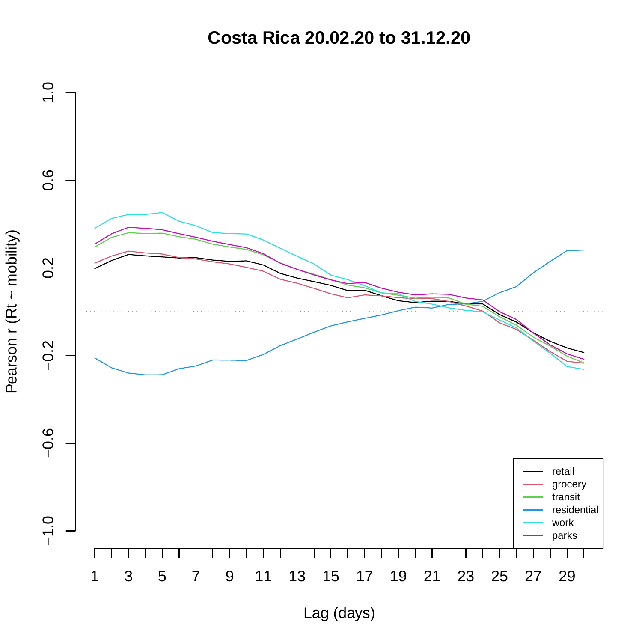**Costa Rica 20.02.20 to 31.12.20**

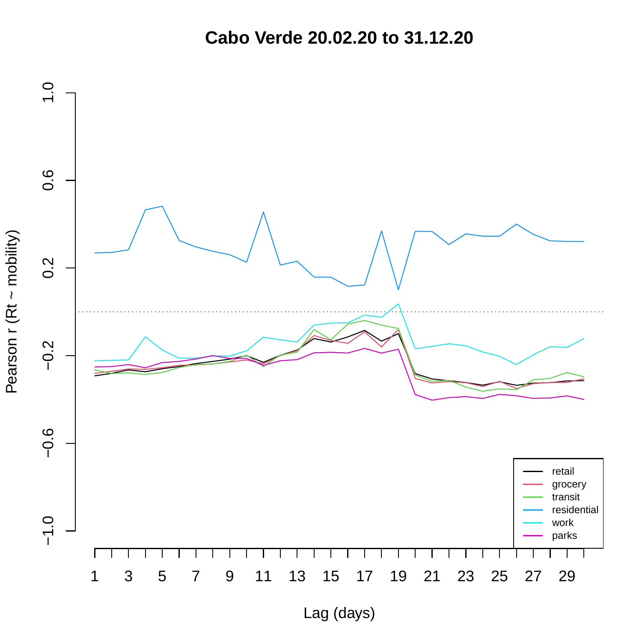**Cabo Verde 20.02.20 to 31.12.20**



Pearson r (Rt ~ mobility) Pearson r (Rt ~ mobility)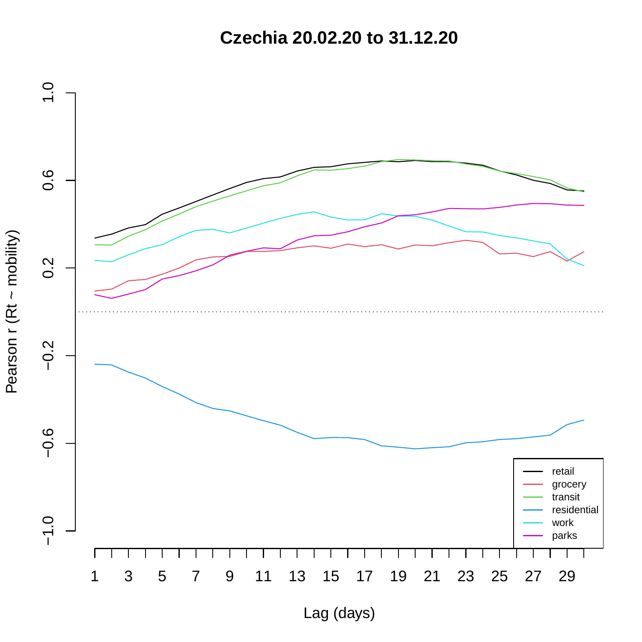**Czechia 20.02.20 to 31.12.20**

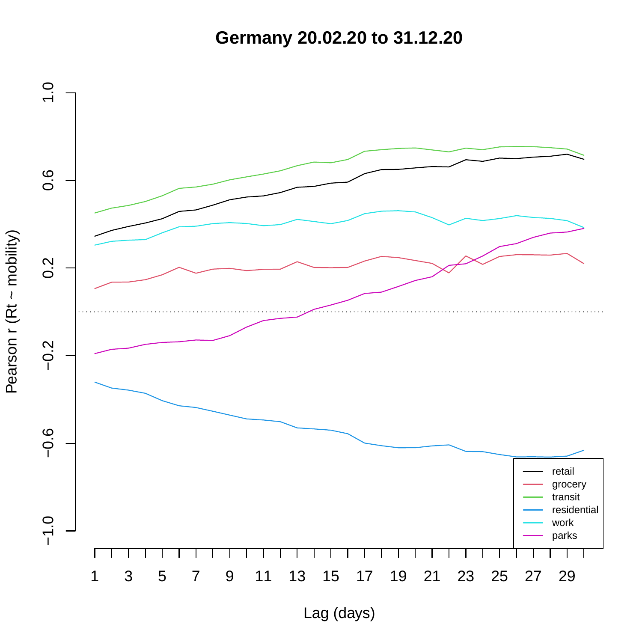**Germany 20.02.20 to 31.12.20**

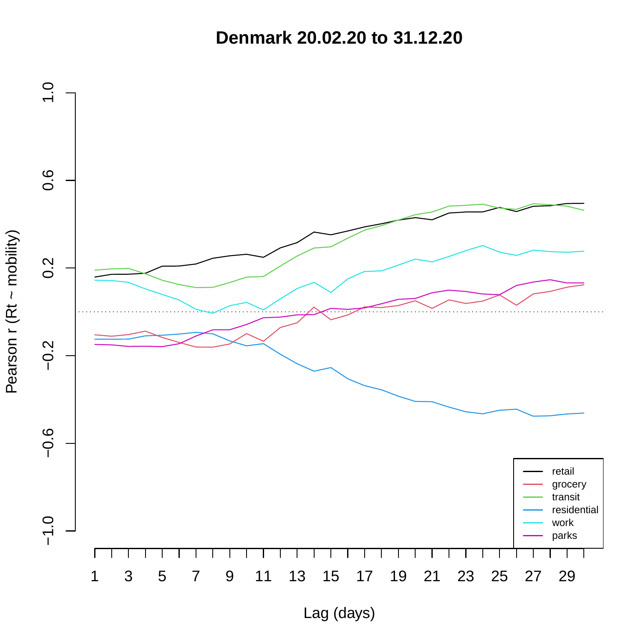**Denmark 20.02.20 to 31.12.20**

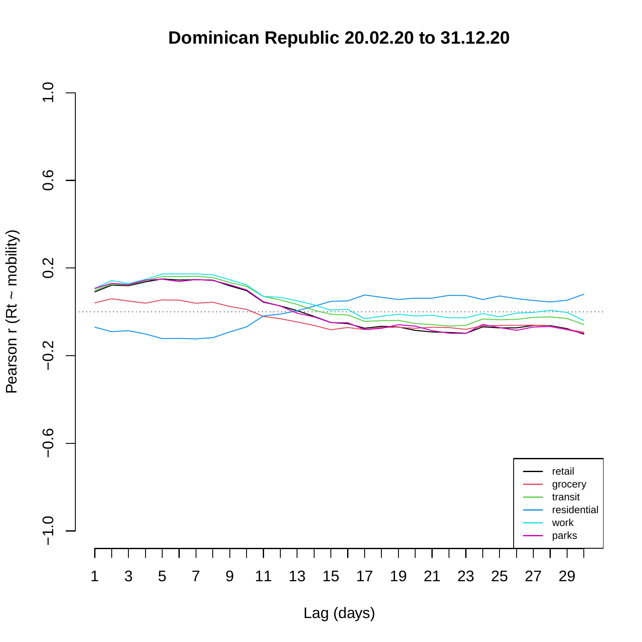## **Dominican Republic 20.02.20 to 31.12.20**

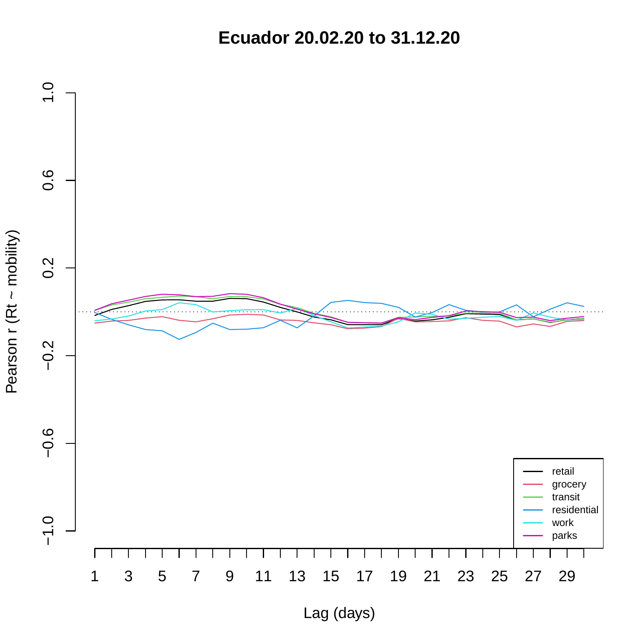**Ecuador 20.02.20 to 31.12.20**

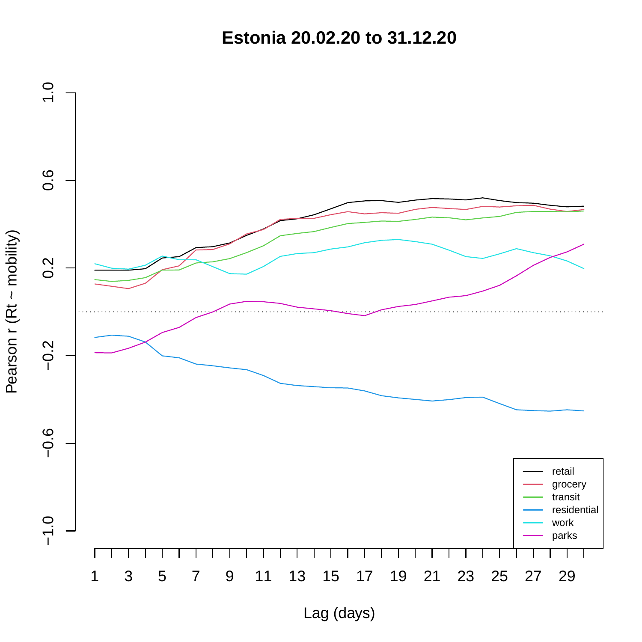**Estonia 20.02.20 to 31.12.20**

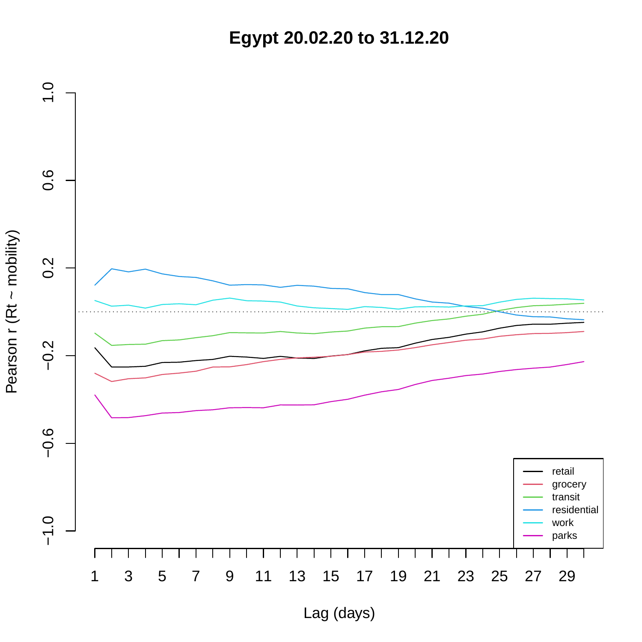**Egypt 20.02.20 to 31.12.20**

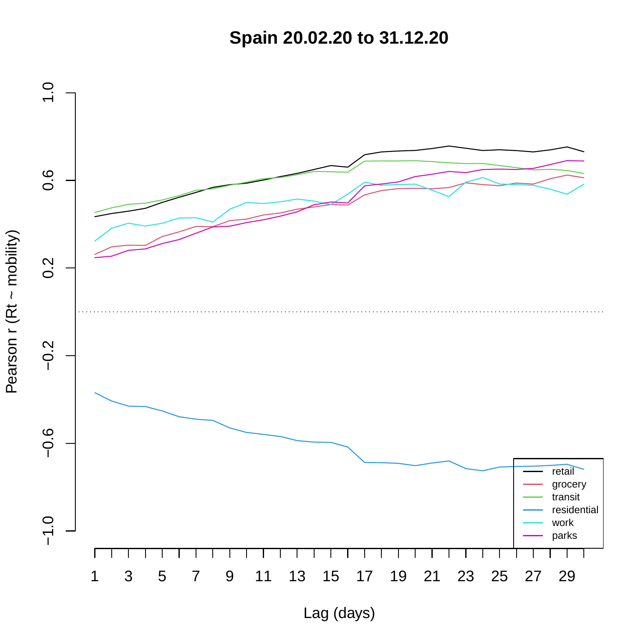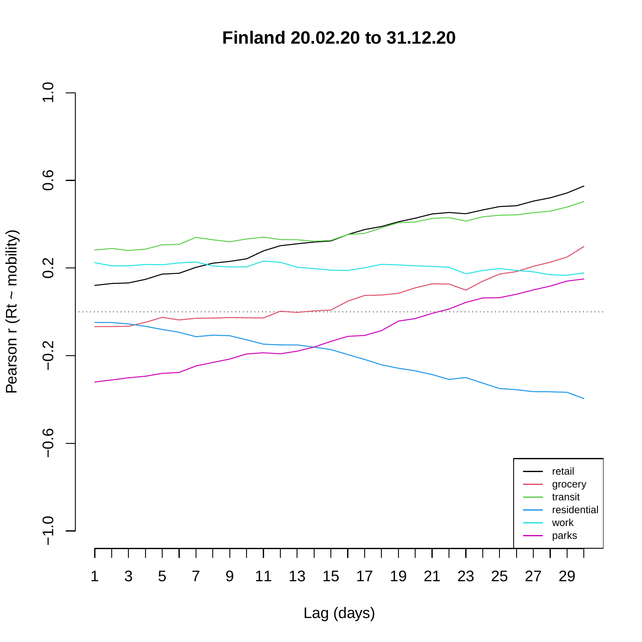**Finland 20.02.20 to 31.12.20**



Pearson r (Rt ~ mobility) Pearson r (Rt ~ mobility)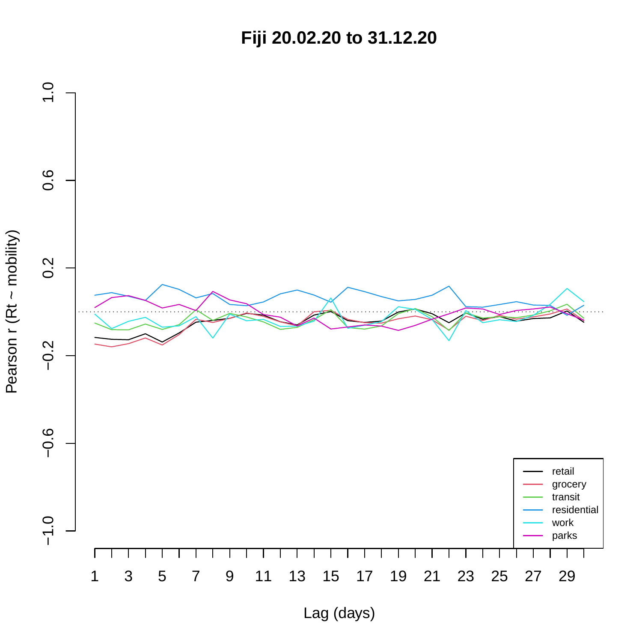**Fiji 20.02.20 to 31.12.20**

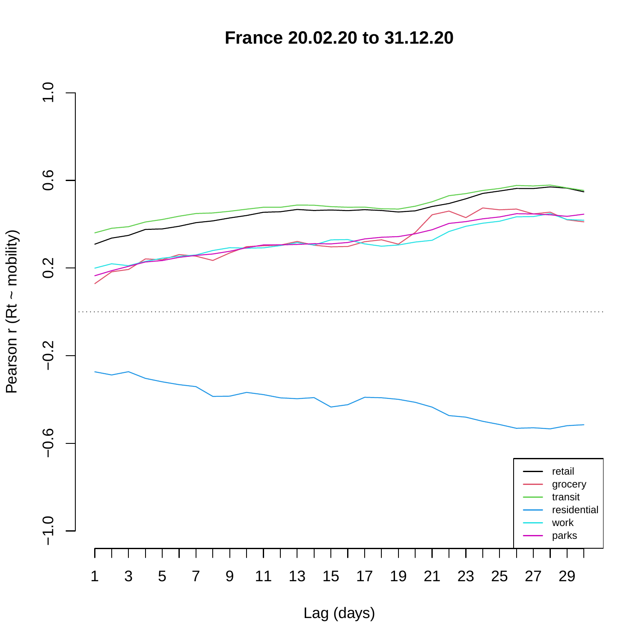**France 20.02.20 to 31.12.20**

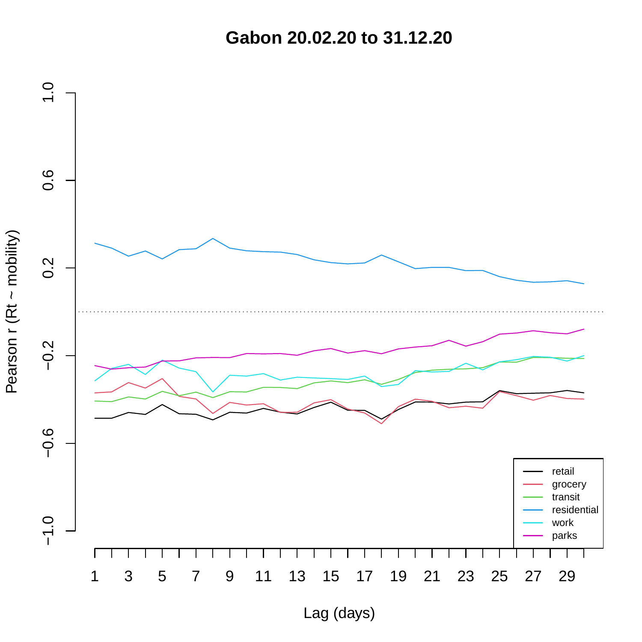**Gabon 20.02.20 to 31.12.20**

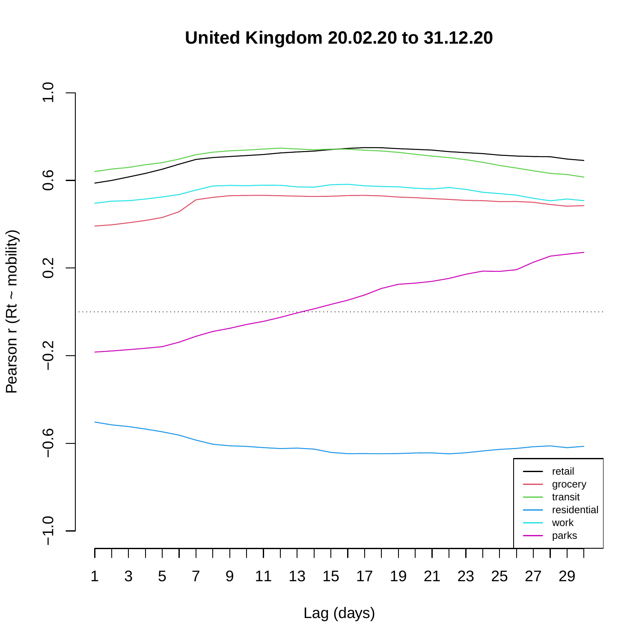## **United Kingdom 20.02.20 to 31.12.20**

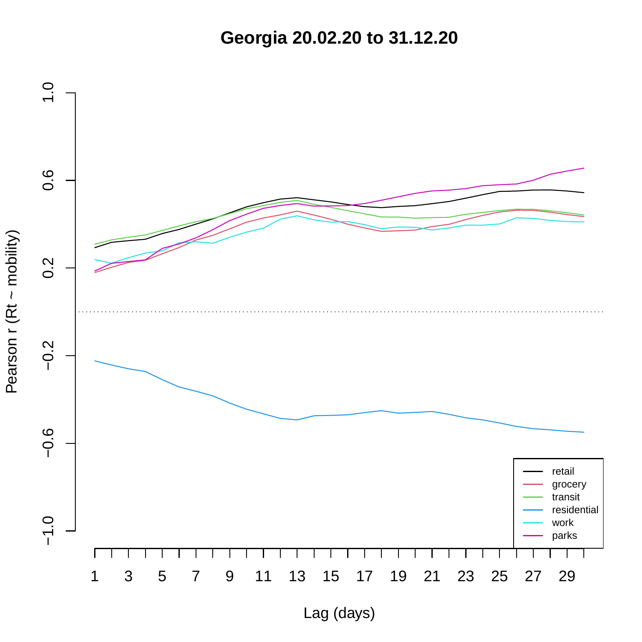**Georgia 20.02.20 to 31.12.20**

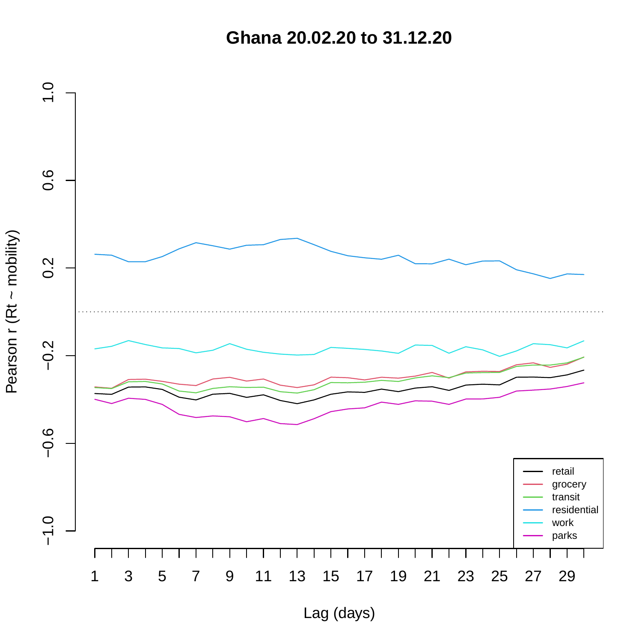**Ghana 20.02.20 to 31.12.20**

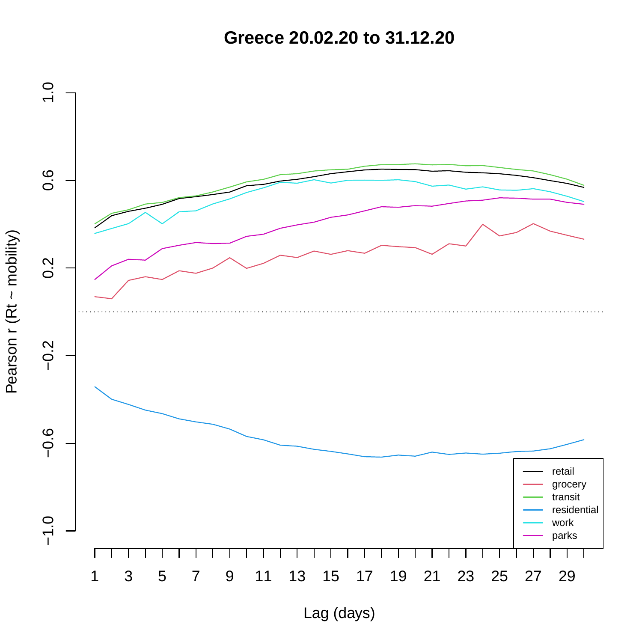**Greece 20.02.20 to 31.12.20**

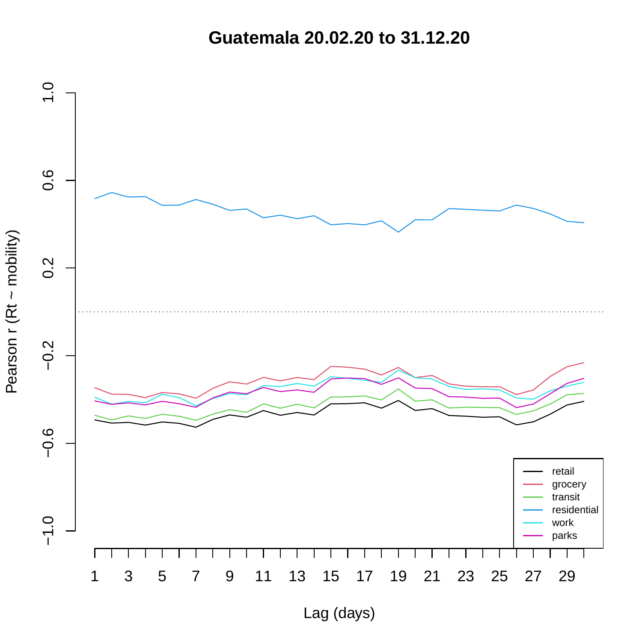**Guatemala 20.02.20 to 31.12.20**

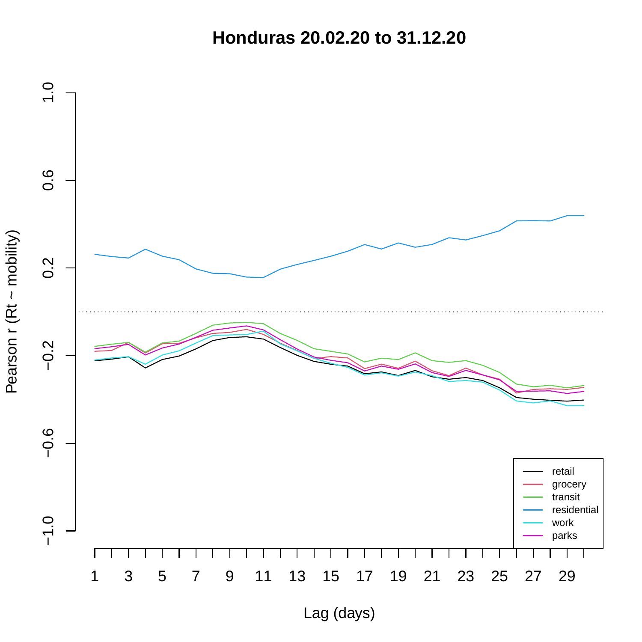**Honduras 20.02.20 to 31.12.20**

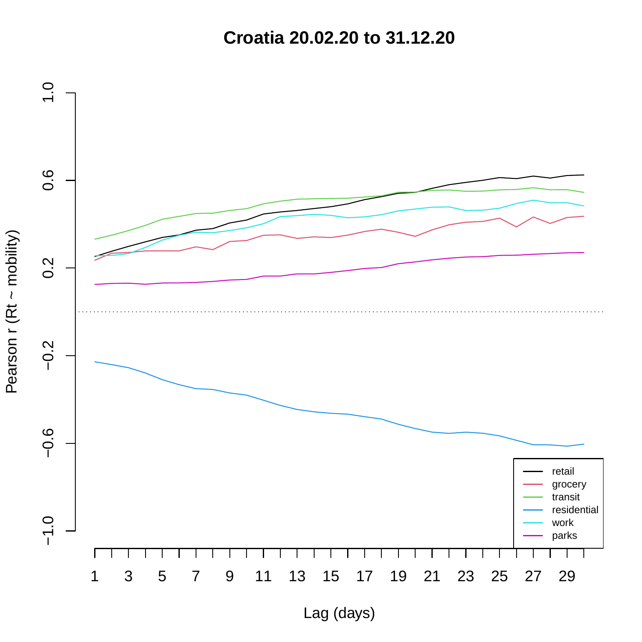**Croatia 20.02.20 to 31.12.20**

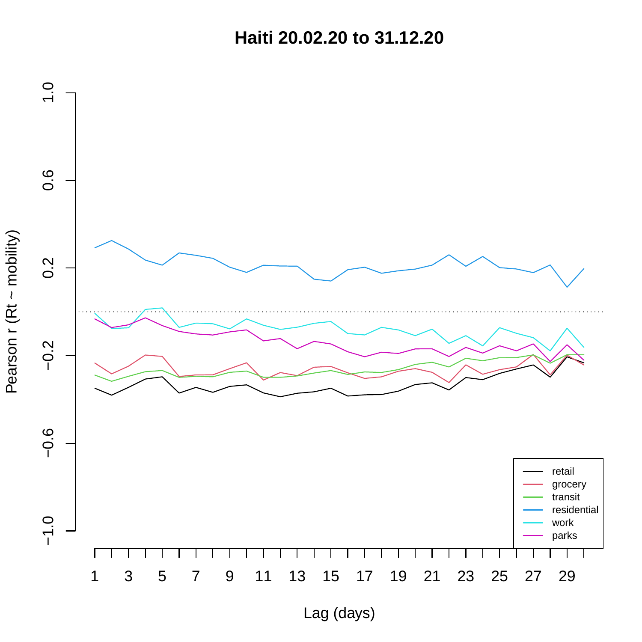**Haiti 20.02.20 to 31.12.20**



Pearson r (Rt ~ mobility) Pearson r (Rt ~ mobility)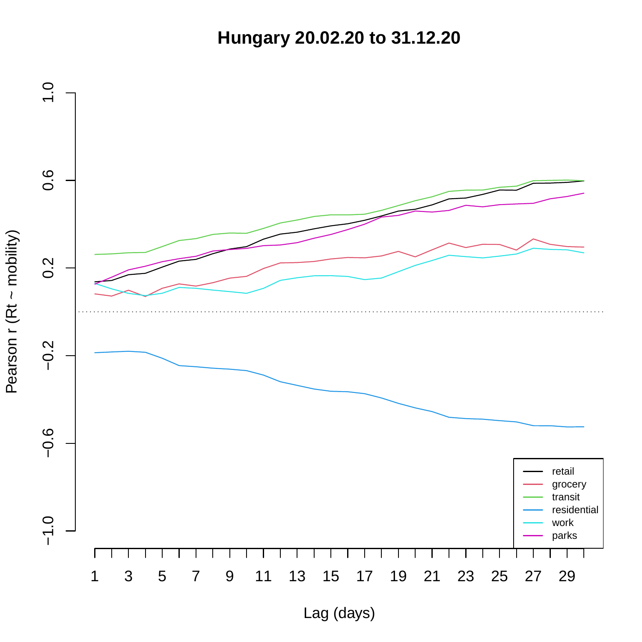**Hungary 20.02.20 to 31.12.20**

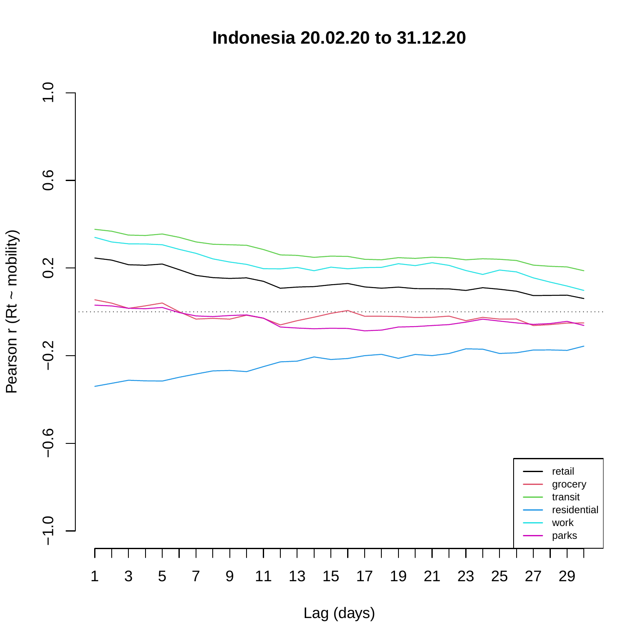**Indonesia 20.02.20 to 31.12.20**

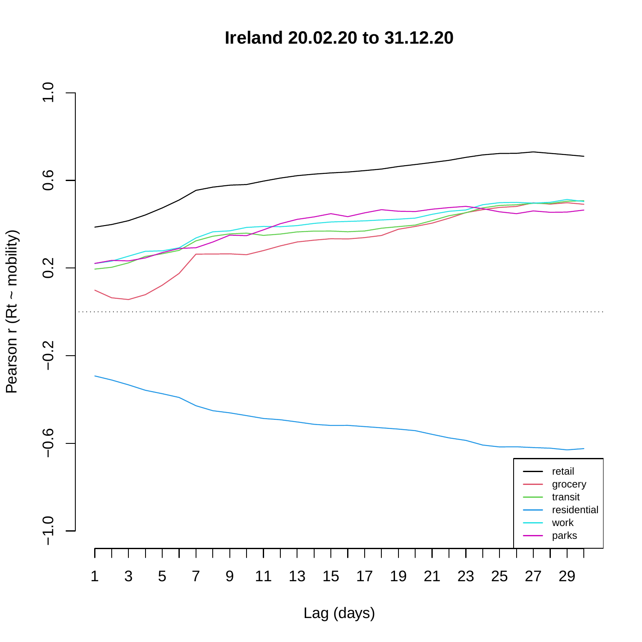**Ireland 20.02.20 to 31.12.20**

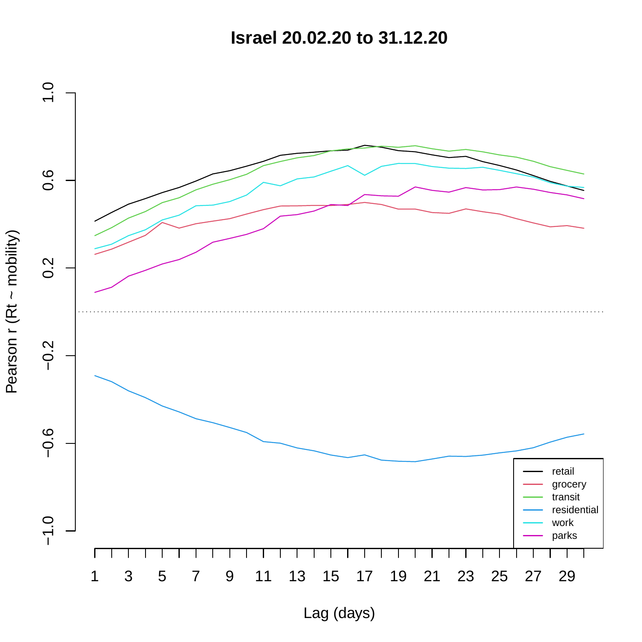**Israel 20.02.20 to 31.12.20**

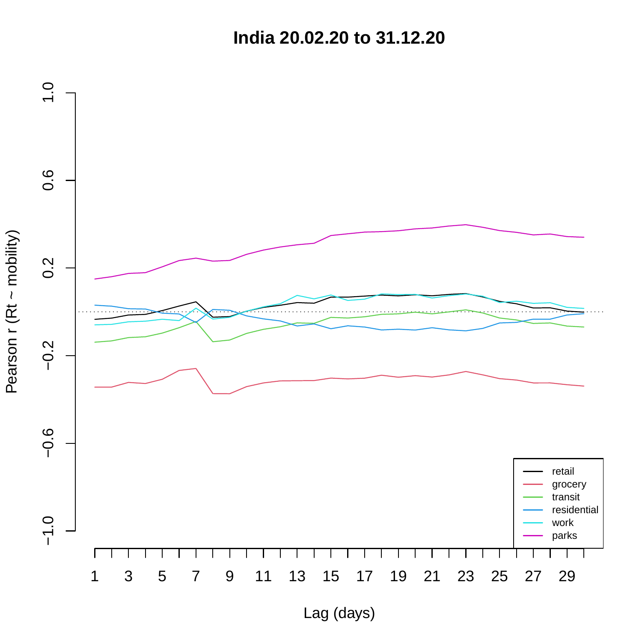**India 20.02.20 to 31.12.20**

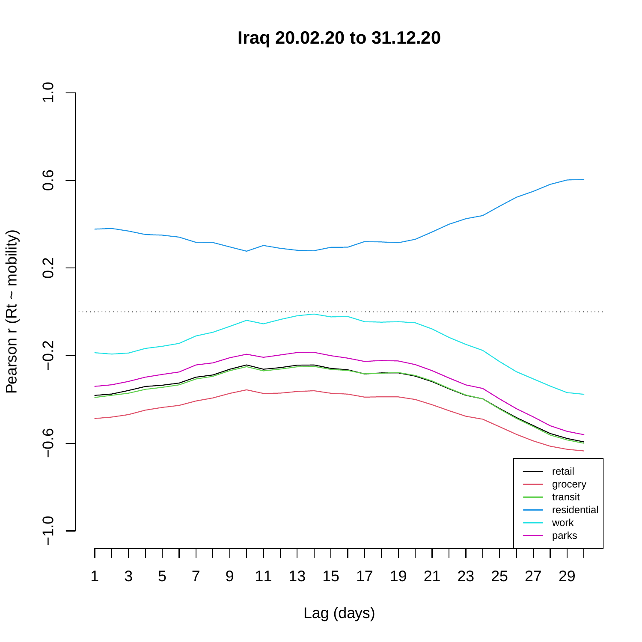**Iraq 20.02.20 to 31.12.20**

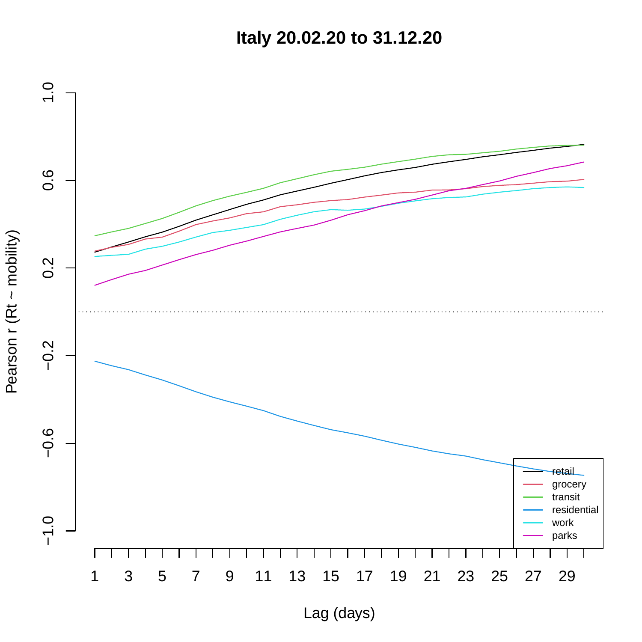**Italy 20.02.20 to 31.12.20**

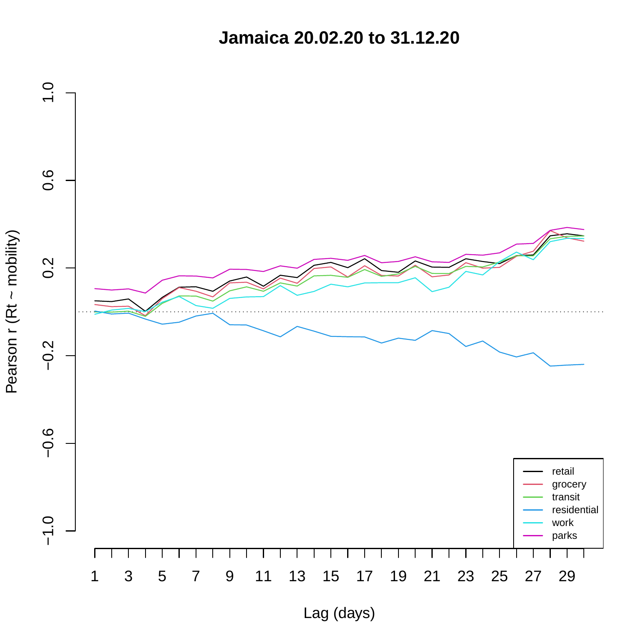**Jamaica 20.02.20 to 31.12.20**

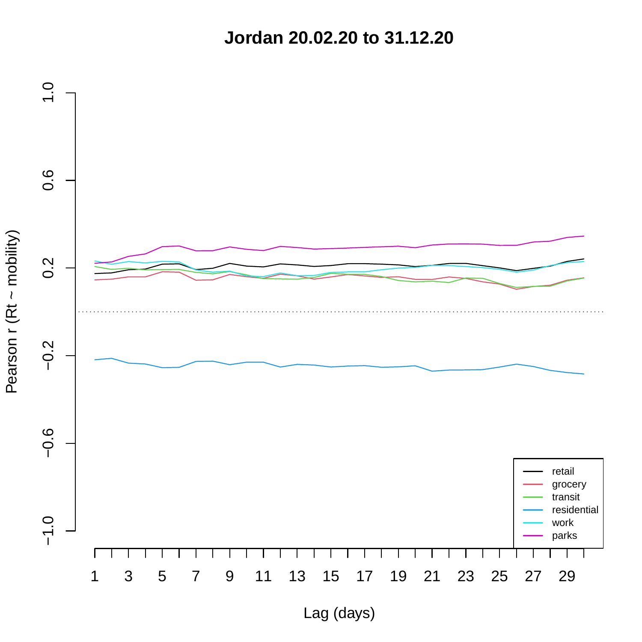**Jordan 20.02.20 to 31.12.20**

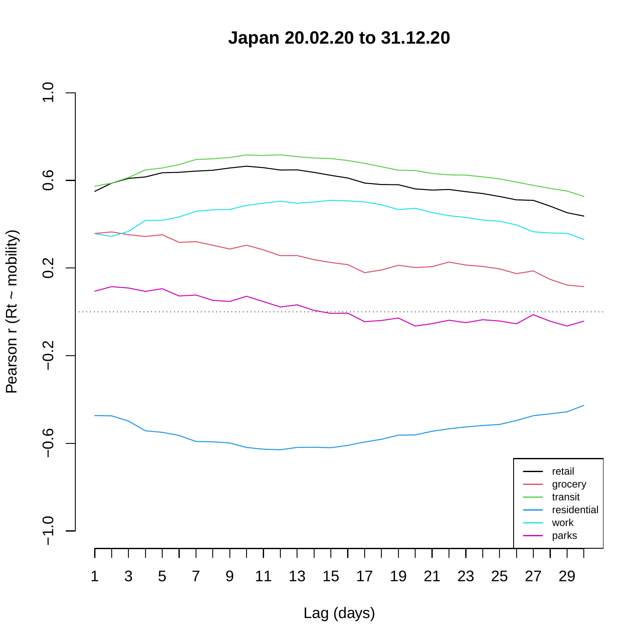**Japan 20.02.20 to 31.12.20**

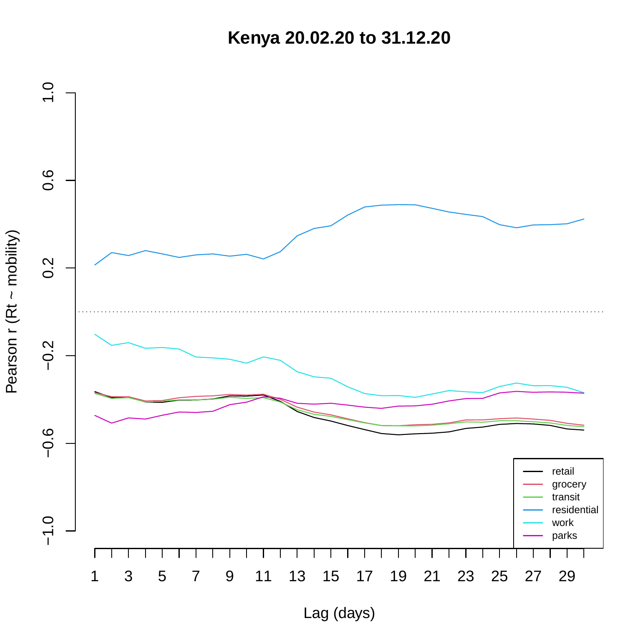**Kenya 20.02.20 to 31.12.20**

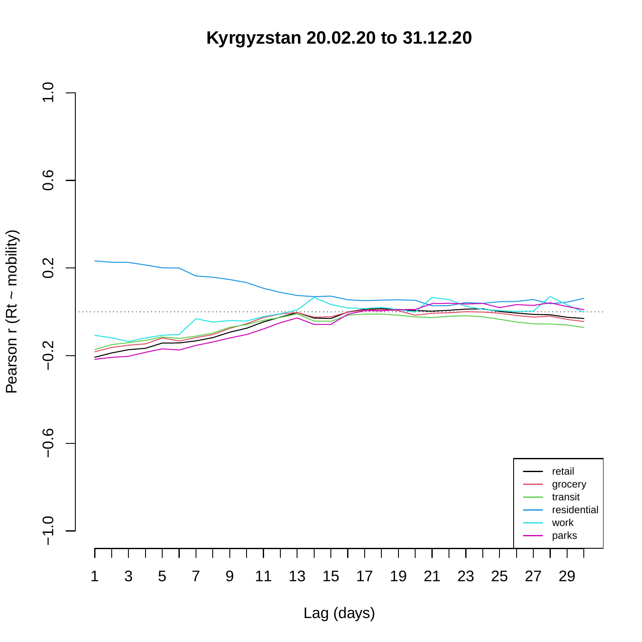**Kyrgyzstan 20.02.20 to 31.12.20**

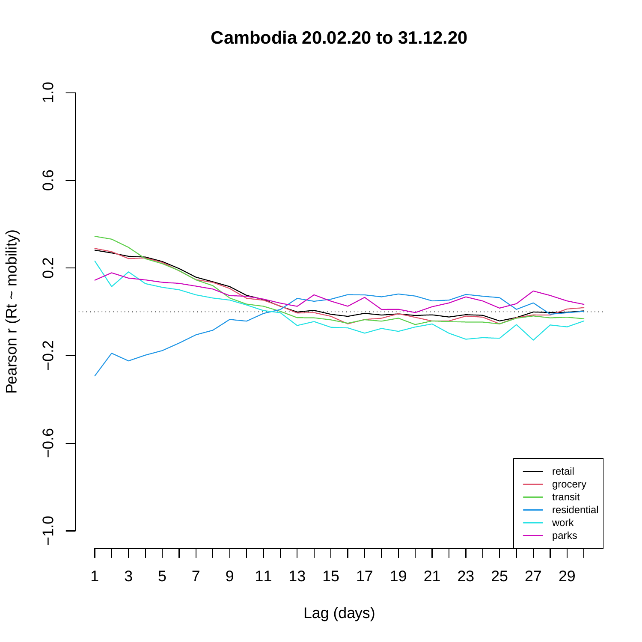**Cambodia 20.02.20 to 31.12.20**

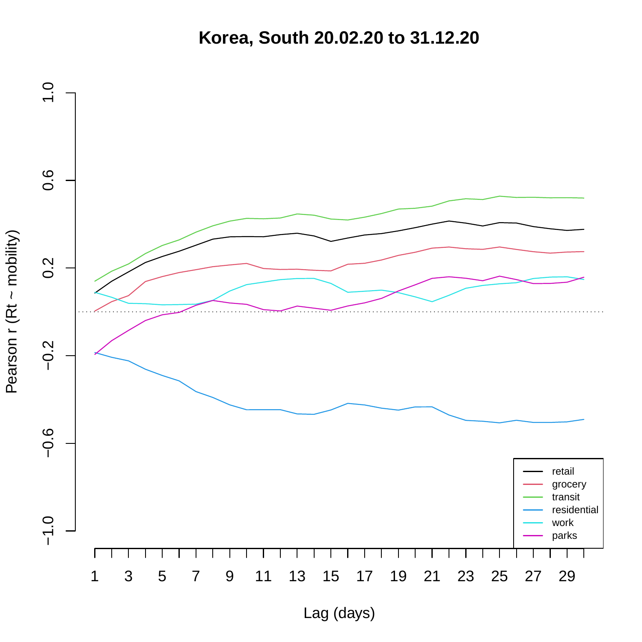**Korea, South 20.02.20 to 31.12.20**

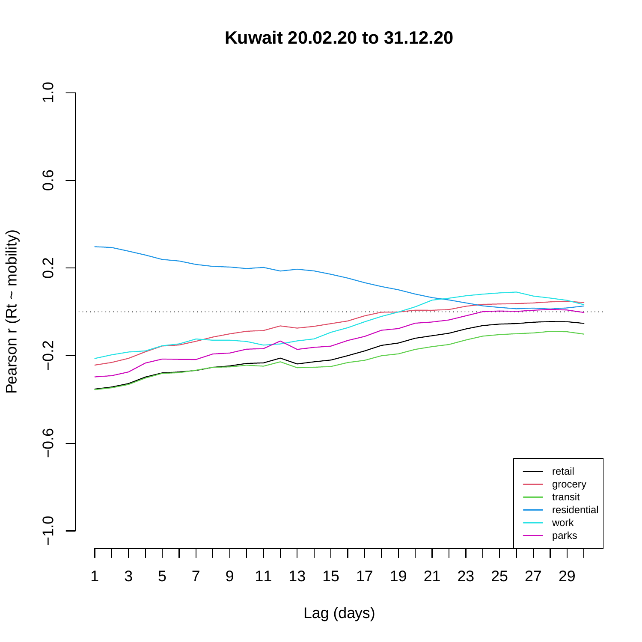**Kuwait 20.02.20 to 31.12.20**

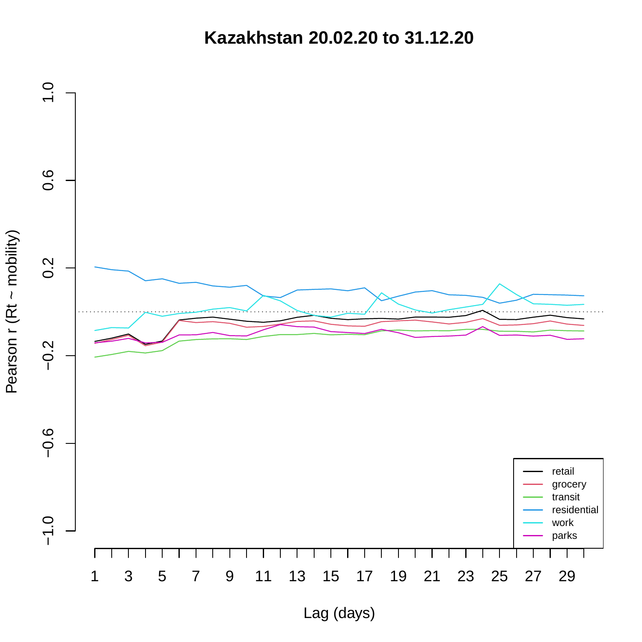**Kazakhstan 20.02.20 to 31.12.20**

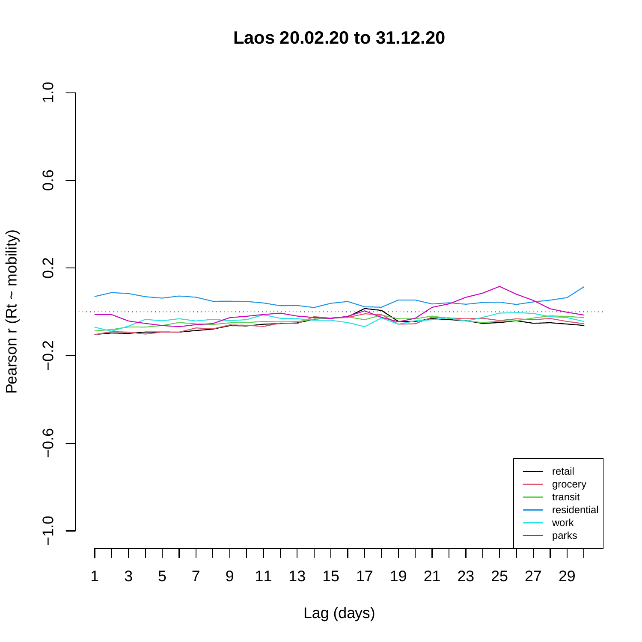**Laos 20.02.20 to 31.12.20**



Lag (days)

Pearson r (Rt ~ mobility) Pearson r (Rt ~ mobility)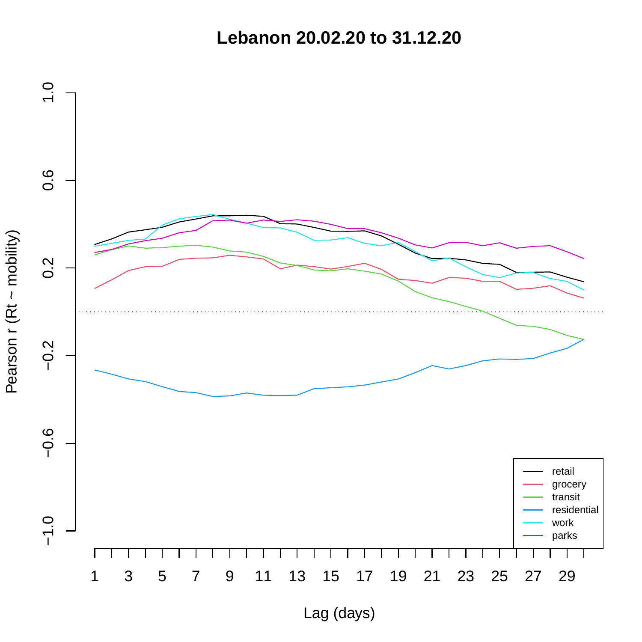**Lebanon 20.02.20 to 31.12.20**

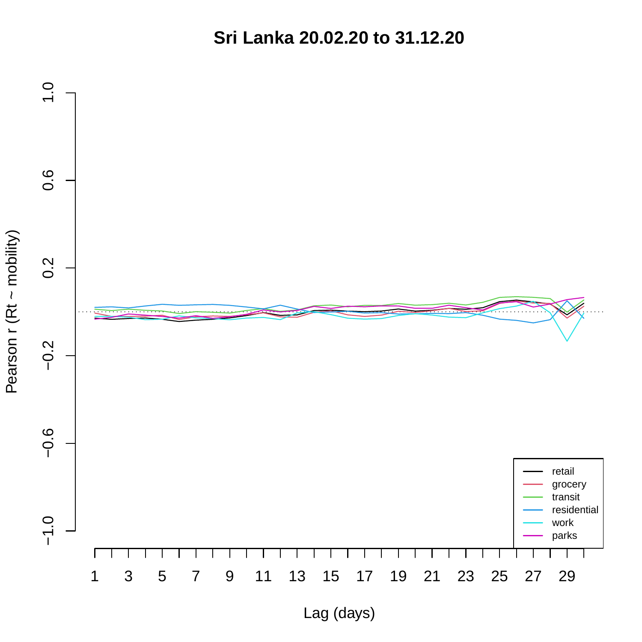**Sri Lanka 20.02.20 to 31.12.20**

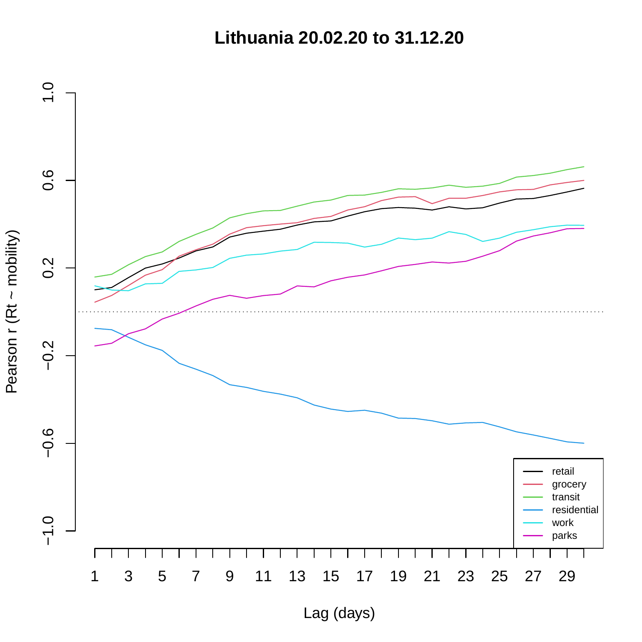**Lithuania 20.02.20 to 31.12.20**

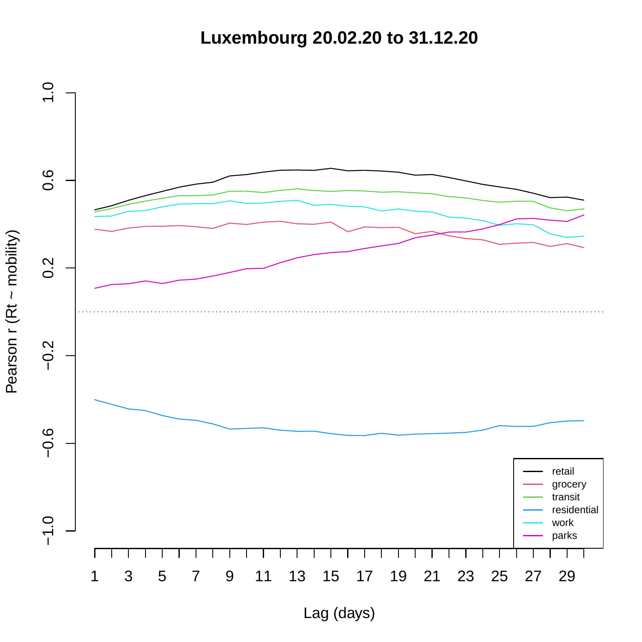**Luxembourg 20.02.20 to 31.12.20**

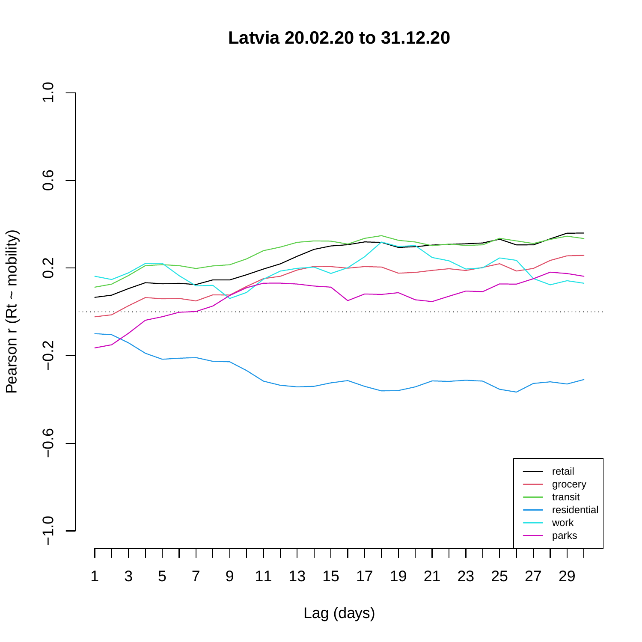**Latvia 20.02.20 to 31.12.20**

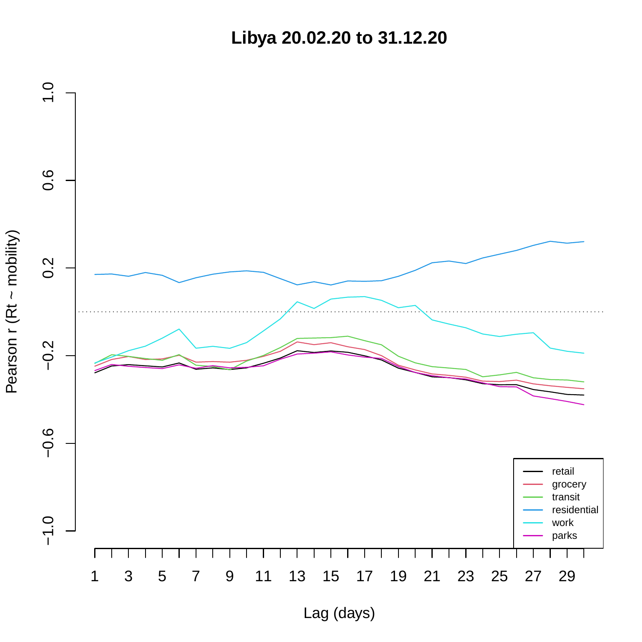**Libya 20.02.20 to 31.12.20**

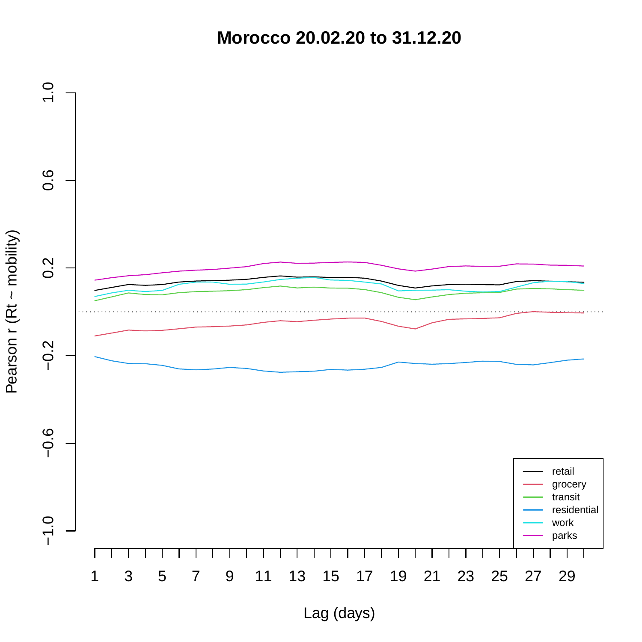**Morocco 20.02.20 to 31.12.20**

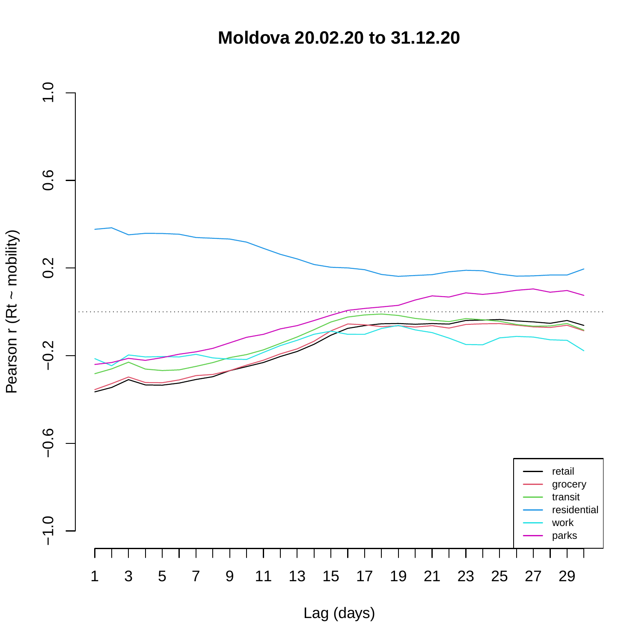**Moldova 20.02.20 to 31.12.20**

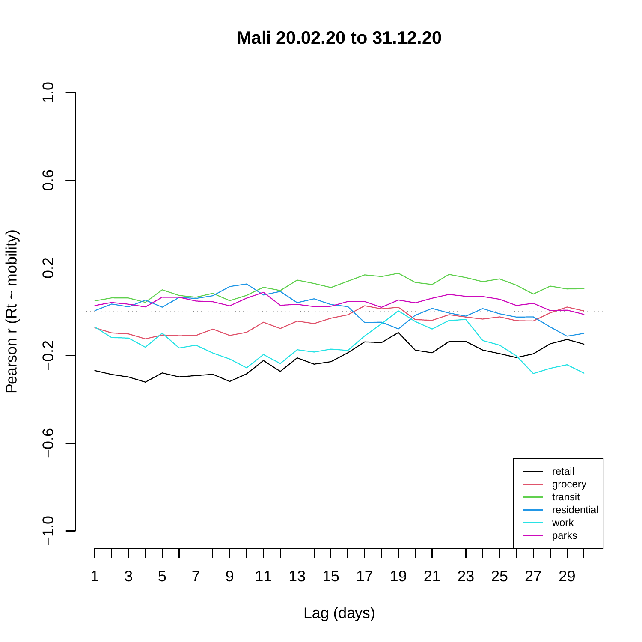**Mali 20.02.20 to 31.12.20**



Pearson r (Rt ~ mobility) Pearson r (Rt ~ mobility)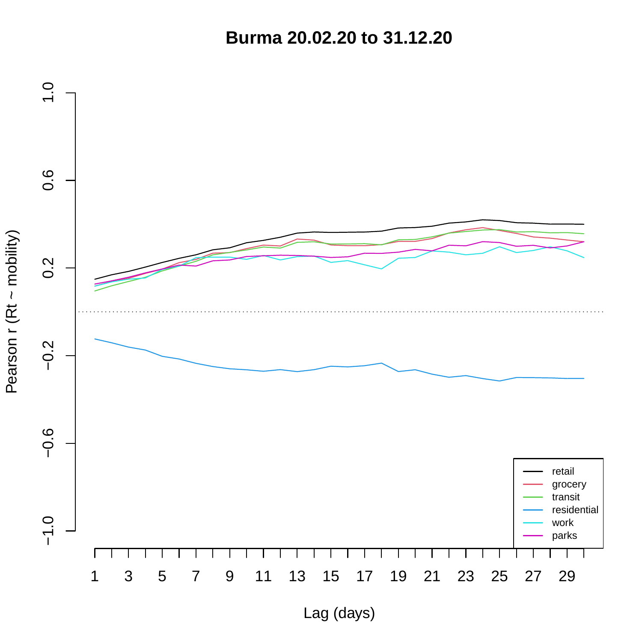**Burma 20.02.20 to 31.12.20**



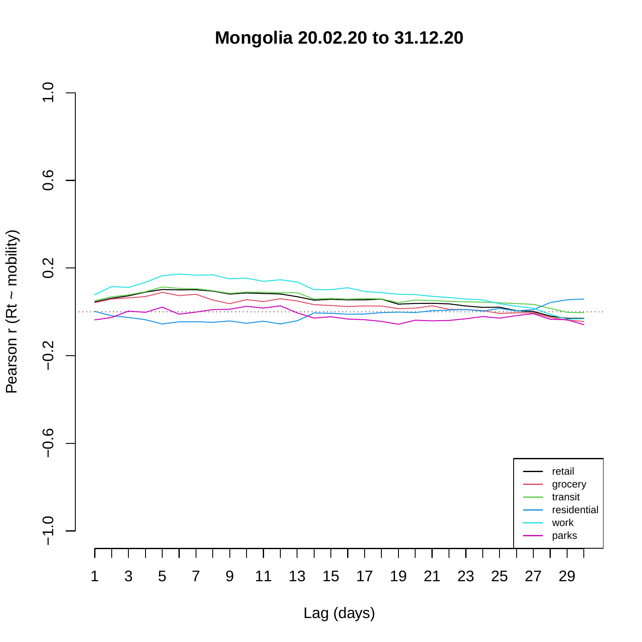**Mongolia 20.02.20 to 31.12.20**



Pearson r (Rt ~ mobility) Pearson r (Rt ~ mobility)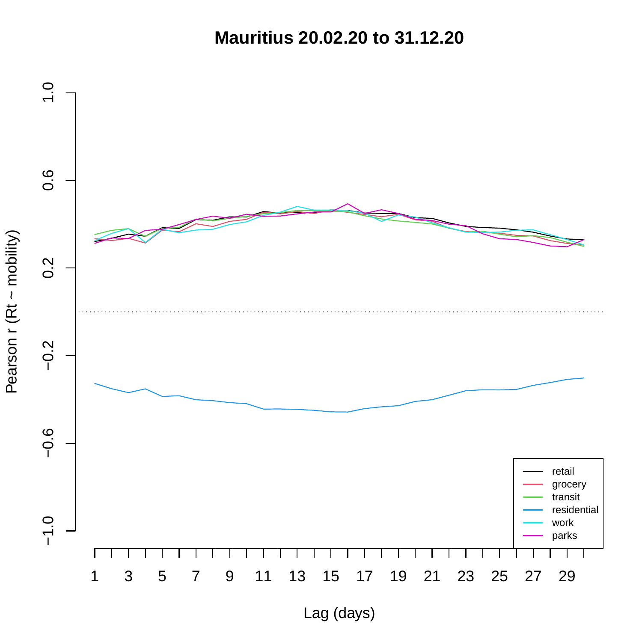**Mauritius 20.02.20 to 31.12.20**

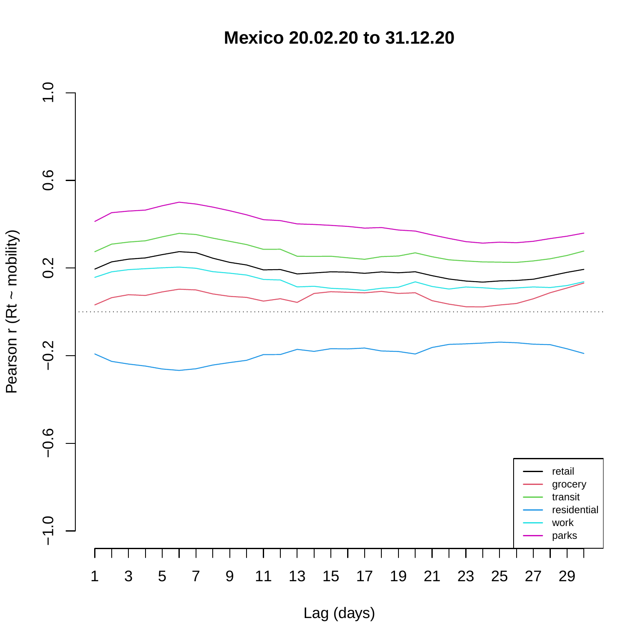**Mexico 20.02.20 to 31.12.20**

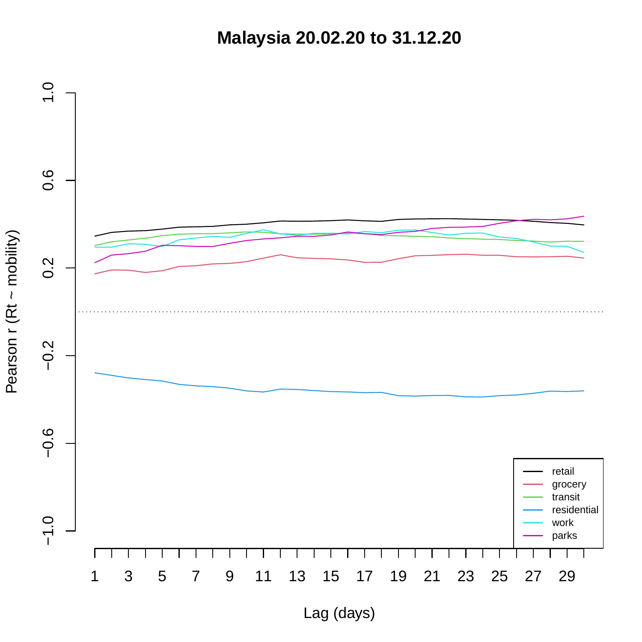**Malaysia 20.02.20 to 31.12.20**

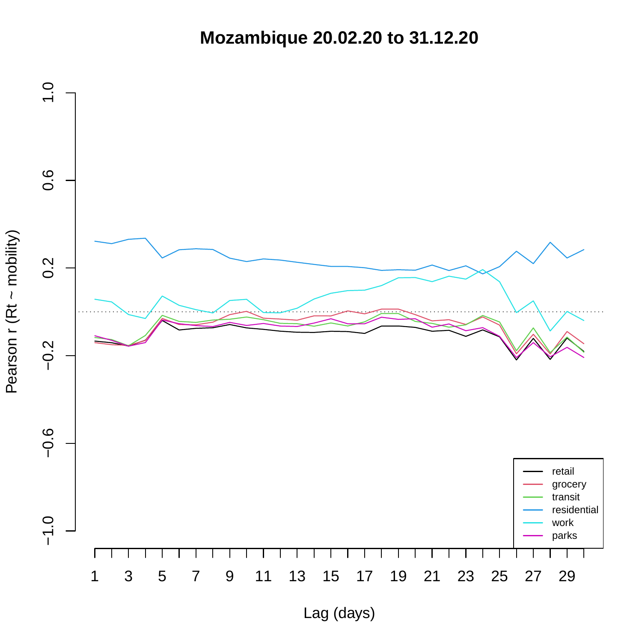**Mozambique 20.02.20 to 31.12.20**

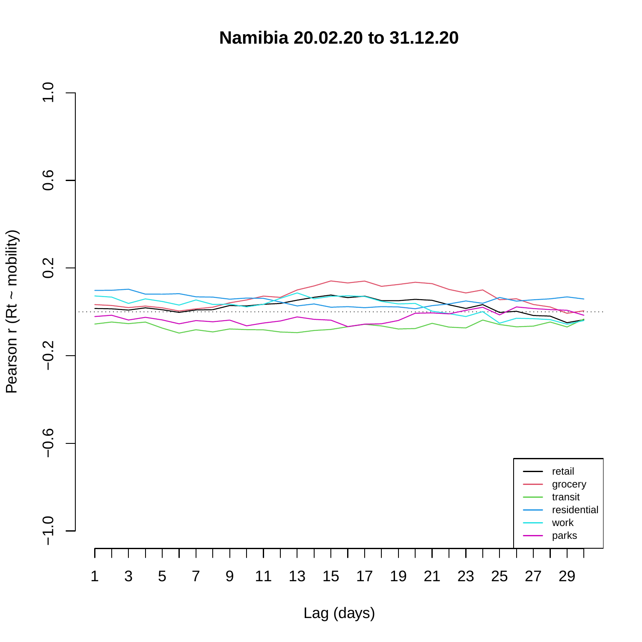**Namibia 20.02.20 to 31.12.20**

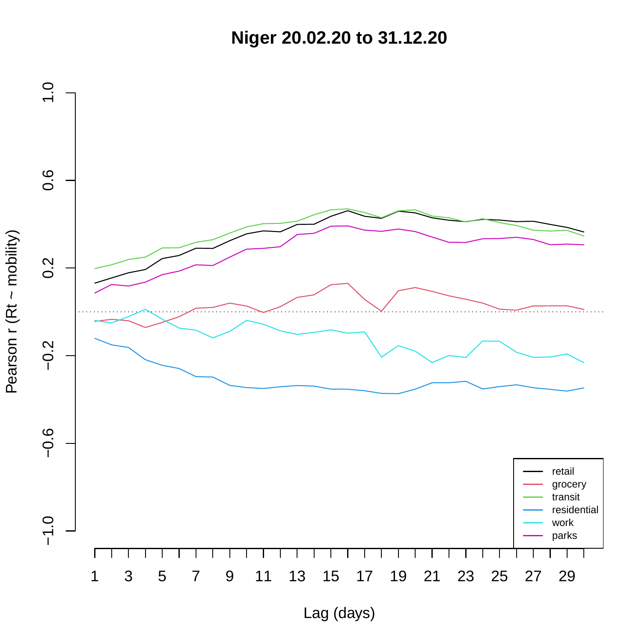**Niger 20.02.20 to 31.12.20**

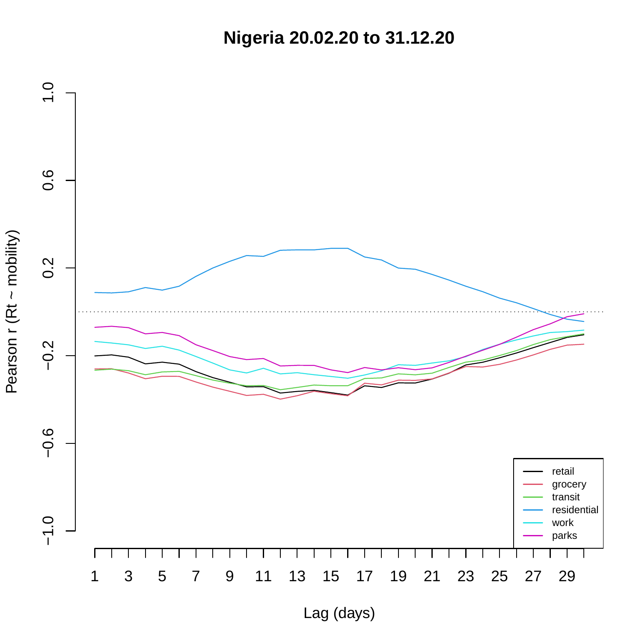**Nigeria 20.02.20 to 31.12.20**

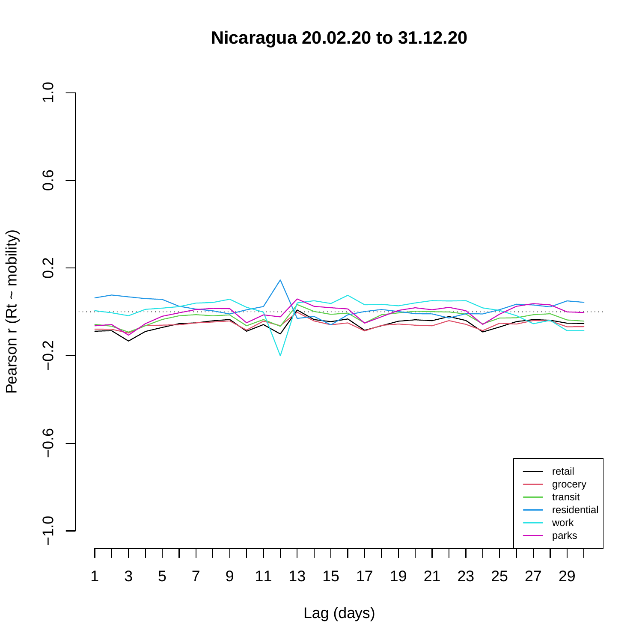**Nicaragua 20.02.20 to 31.12.20**

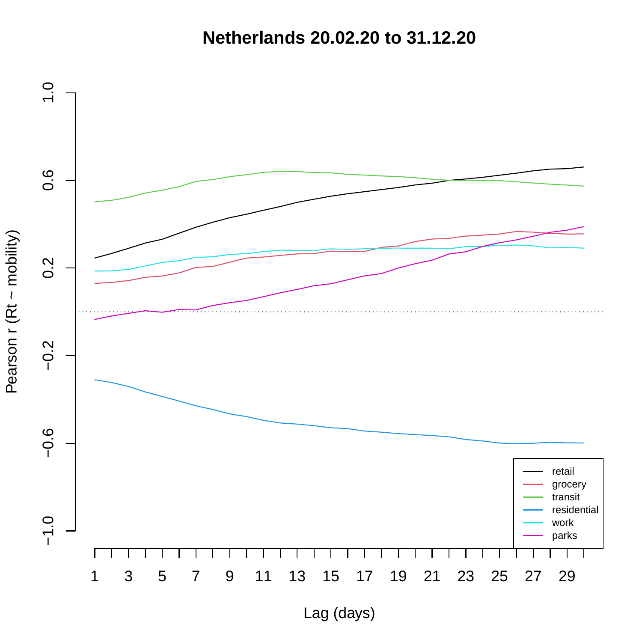**Netherlands 20.02.20 to 31.12.20**

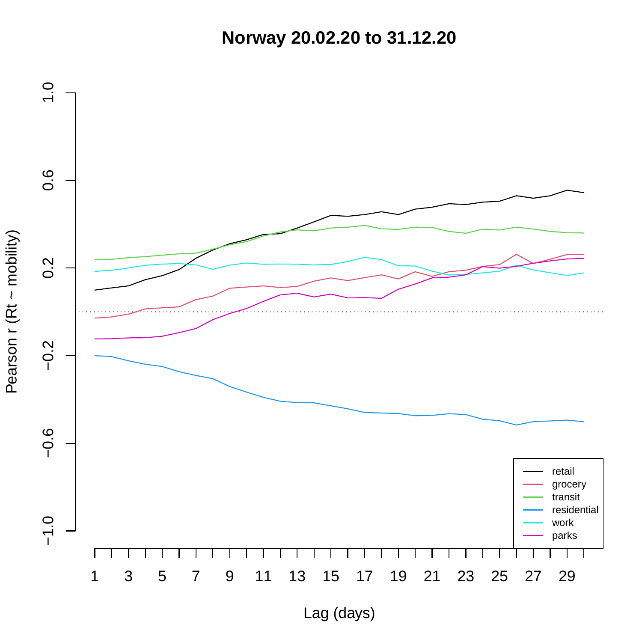**Norway 20.02.20 to 31.12.20**

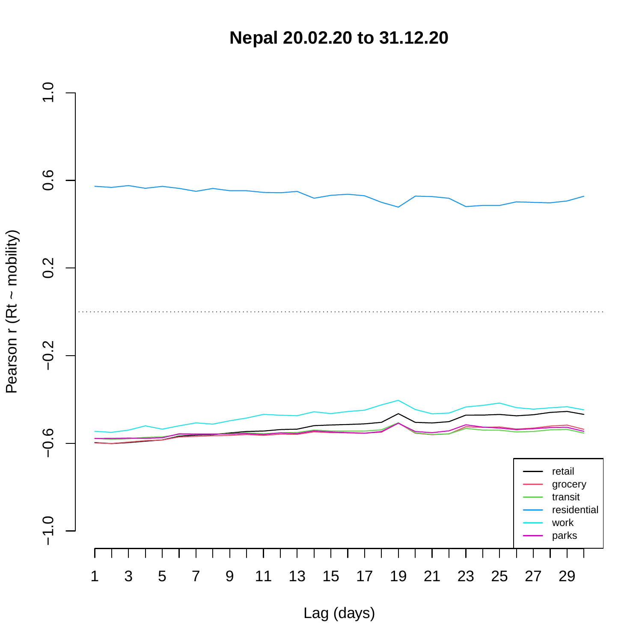**Nepal 20.02.20 to 31.12.20**



Pearson r (Rt ~ mobility)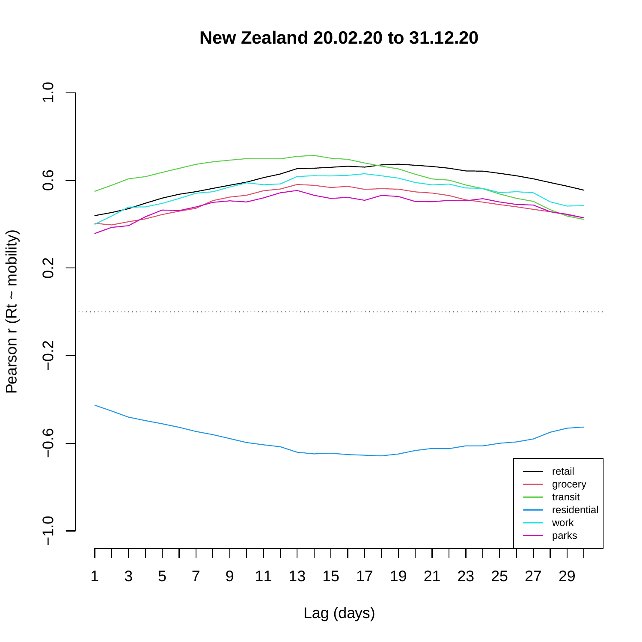**New Zealand 20.02.20 to 31.12.20**

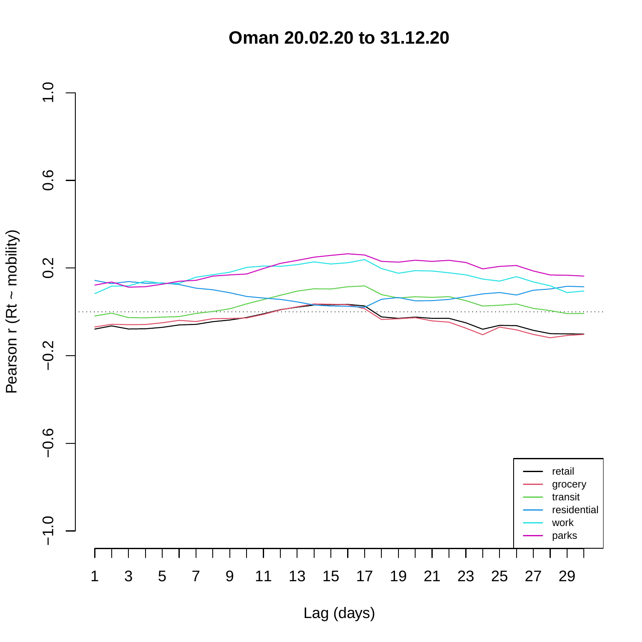**Oman 20.02.20 to 31.12.20**

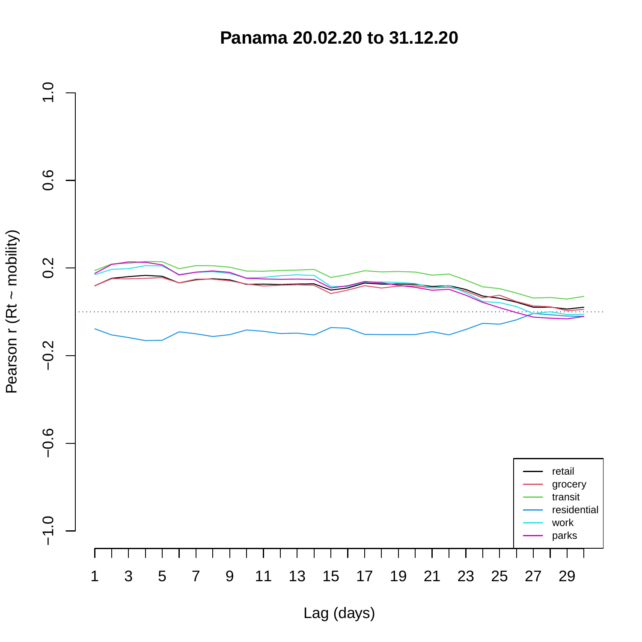**Panama 20.02.20 to 31.12.20**

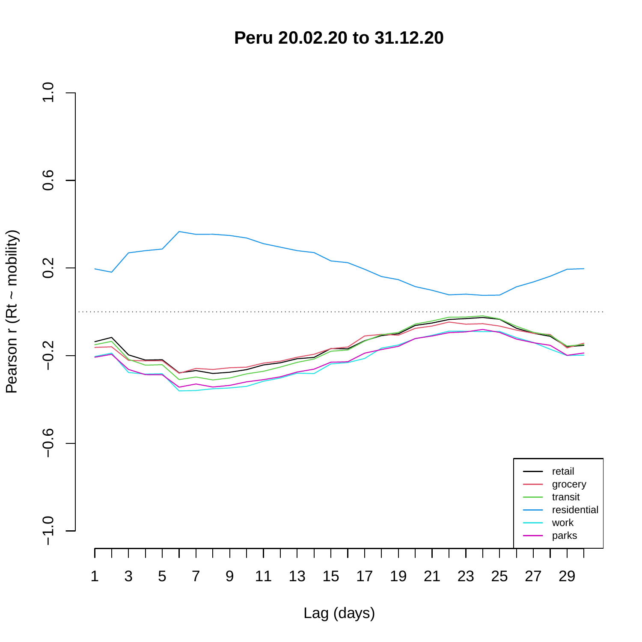**Peru 20.02.20 to 31.12.20**

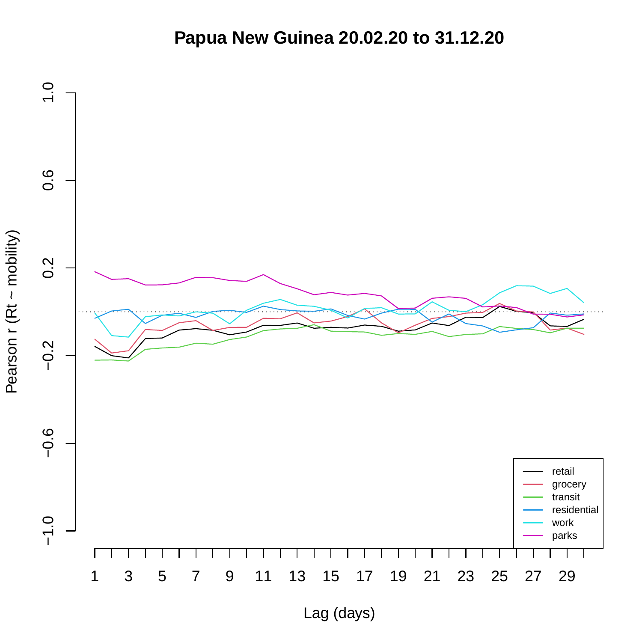## **Papua New Guinea 20.02.20 to 31.12.20**

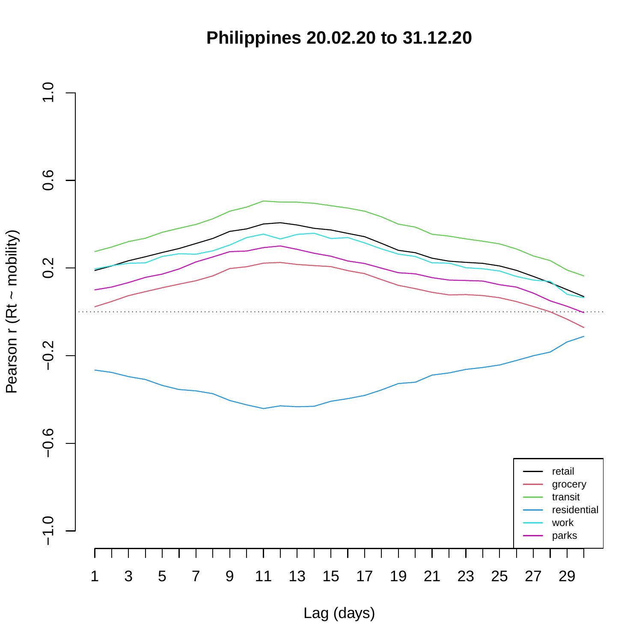**Philippines 20.02.20 to 31.12.20**

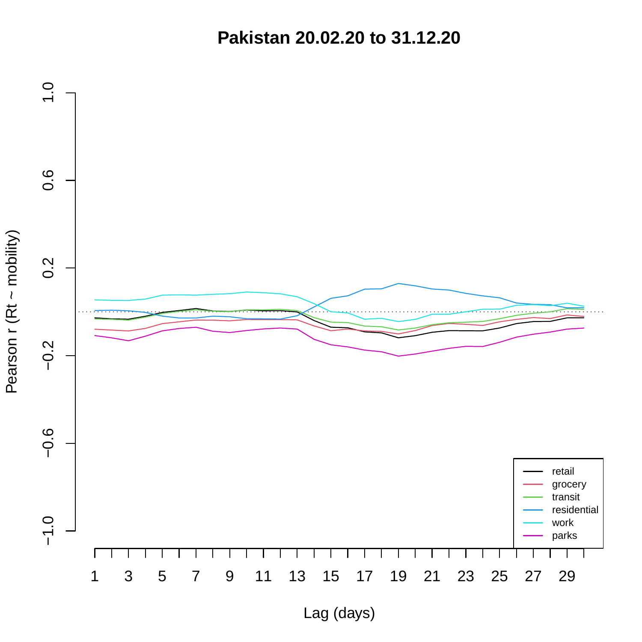**Pakistan 20.02.20 to 31.12.20**

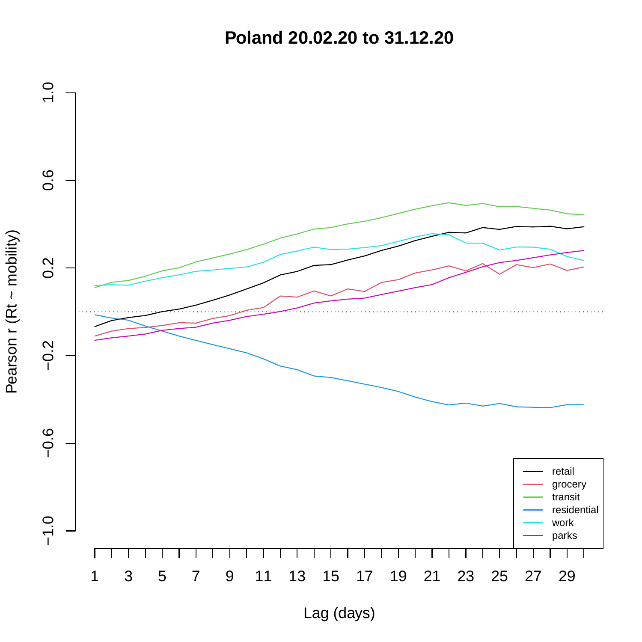**Poland 20.02.20 to 31.12.20**

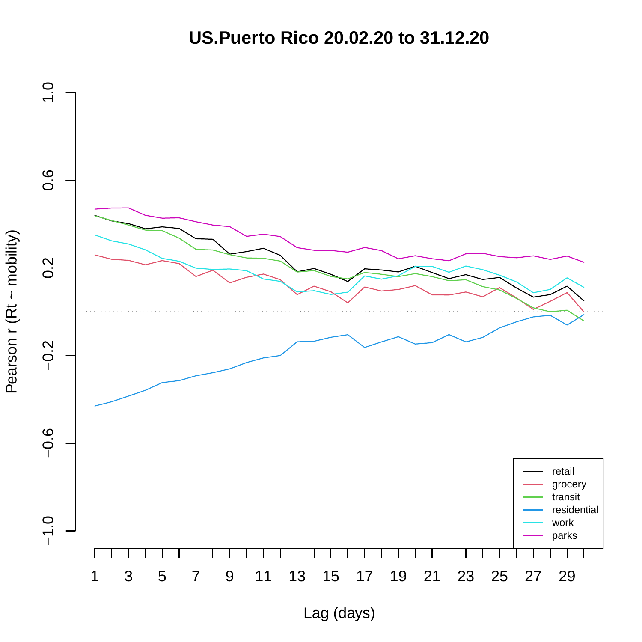**US.Puerto Rico 20.02.20 to 31.12.20**

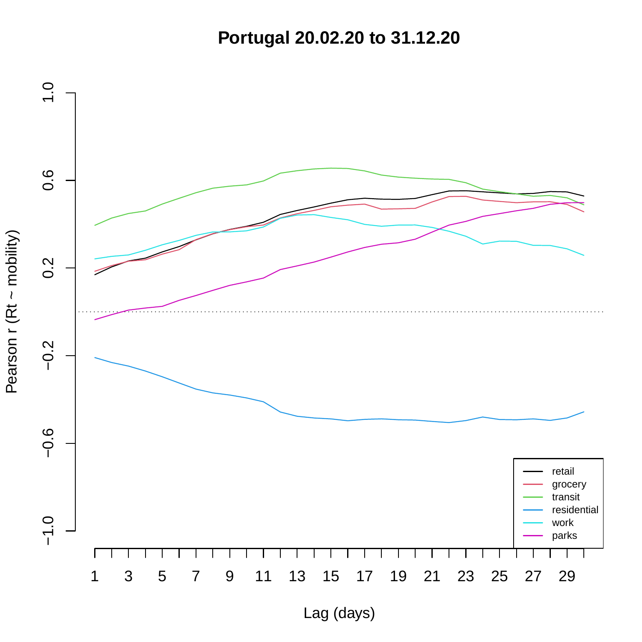**Portugal 20.02.20 to 31.12.20**



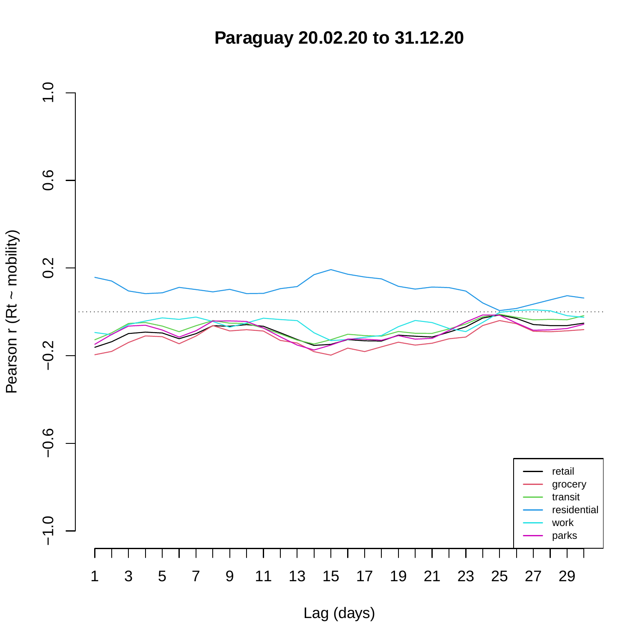**Paraguay 20.02.20 to 31.12.20**

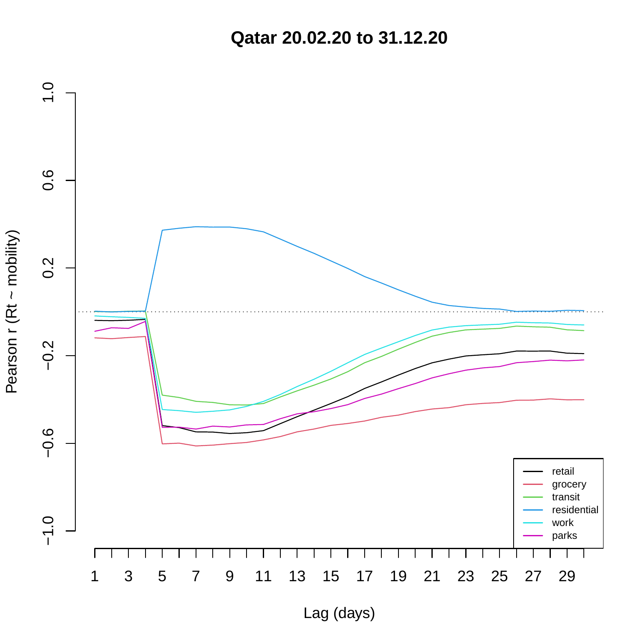**Qatar 20.02.20 to 31.12.20**

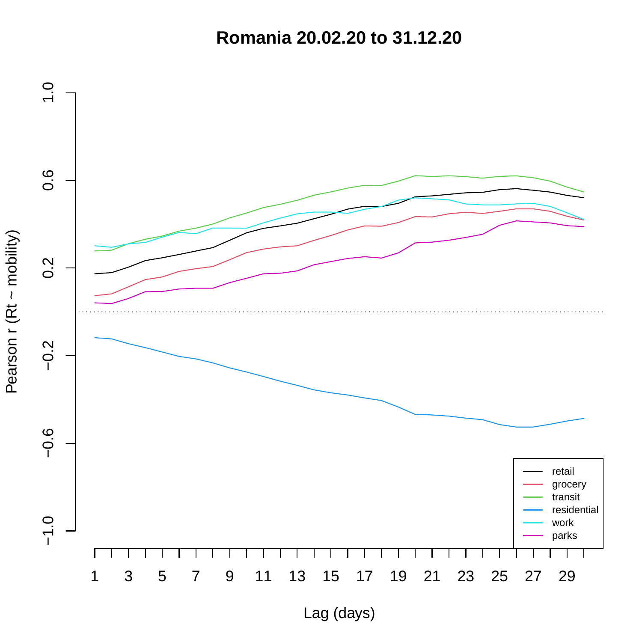**Romania 20.02.20 to 31.12.20**

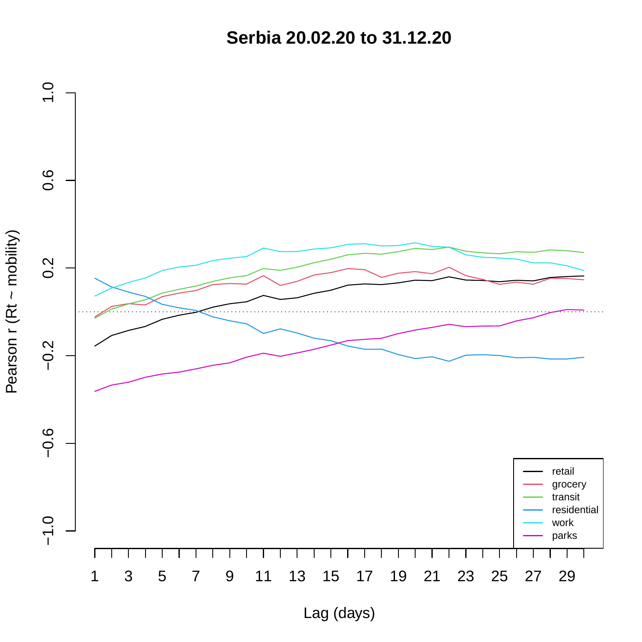**Serbia 20.02.20 to 31.12.20**

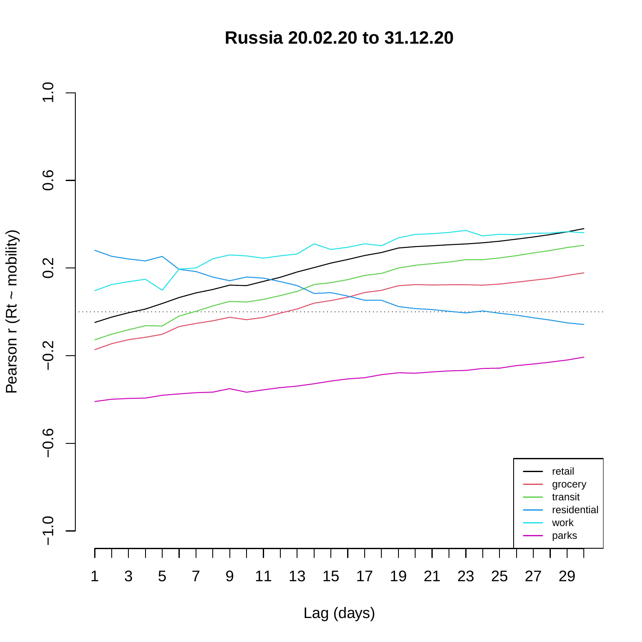**Russia 20.02.20 to 31.12.20**



Pearson r (Rt ~ mobility) Pearson r (Rt ~ mobility)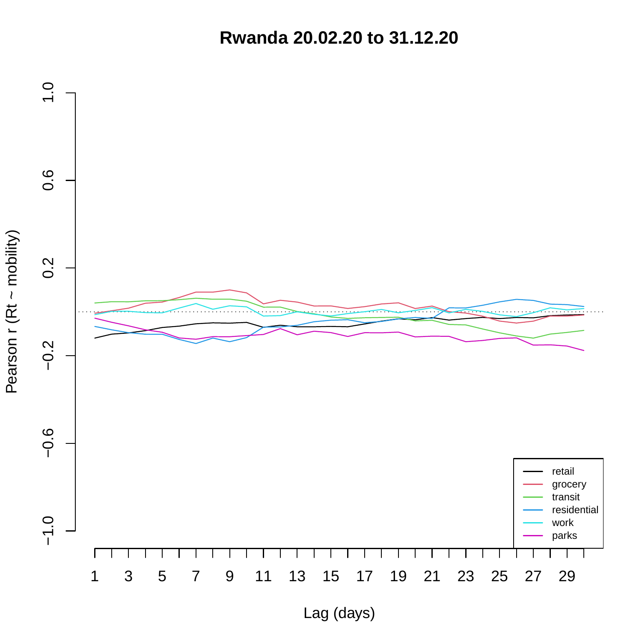**Rwanda 20.02.20 to 31.12.20**



Pearson r (Rt ~ mobility) Pearson r (Rt ~ mobility)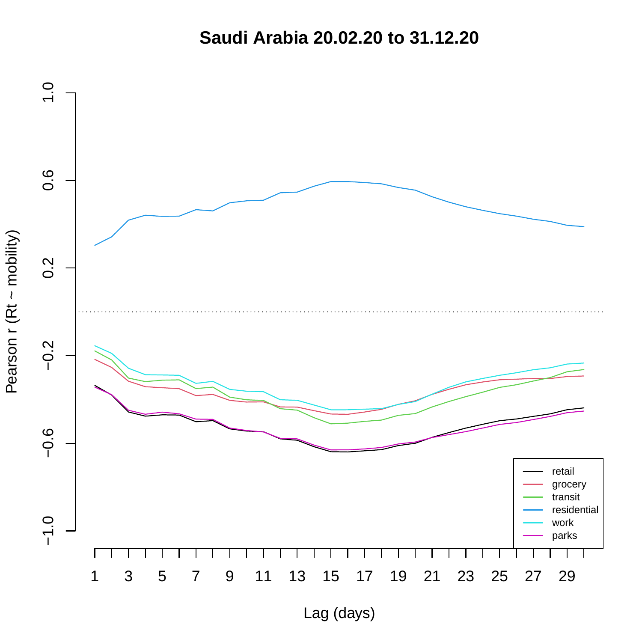**Saudi Arabia 20.02.20 to 31.12.20**

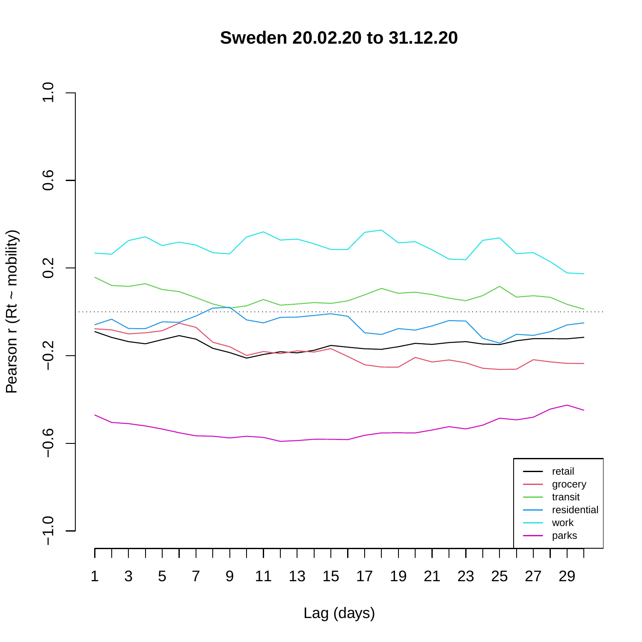**Sweden 20.02.20 to 31.12.20**

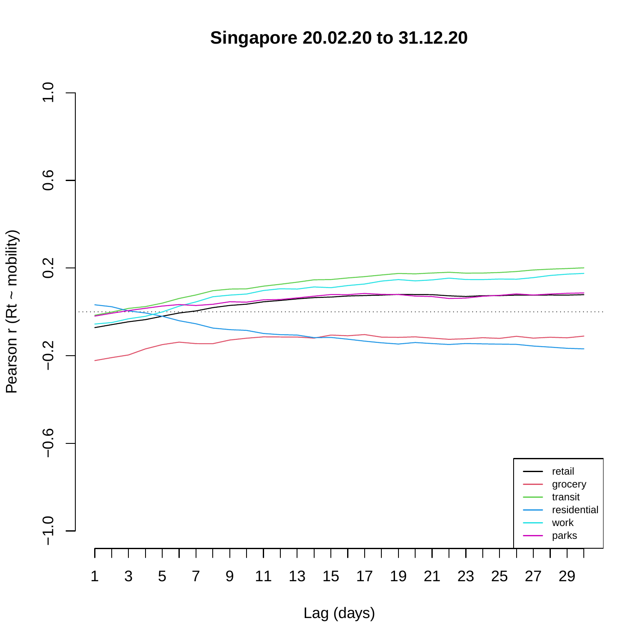**Singapore 20.02.20 to 31.12.20**

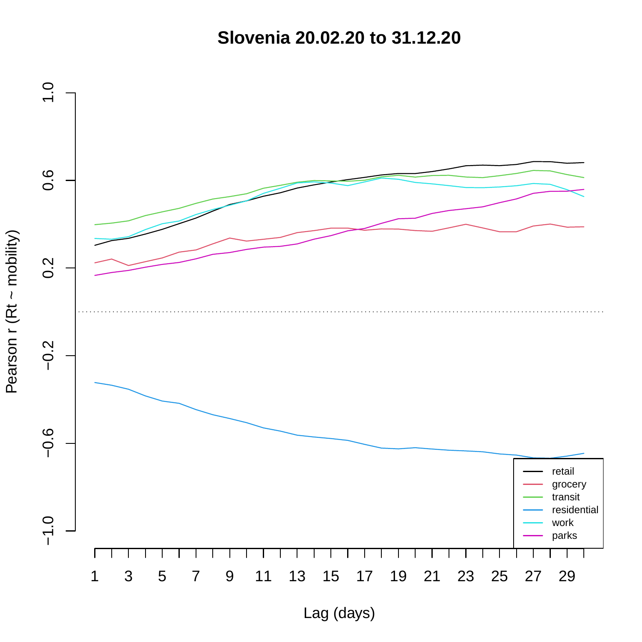**Slovenia 20.02.20 to 31.12.20**

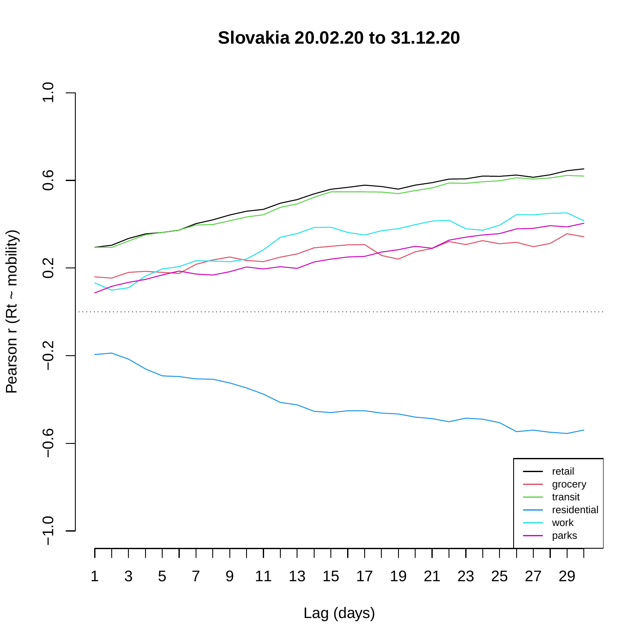**Slovakia 20.02.20 to 31.12.20**

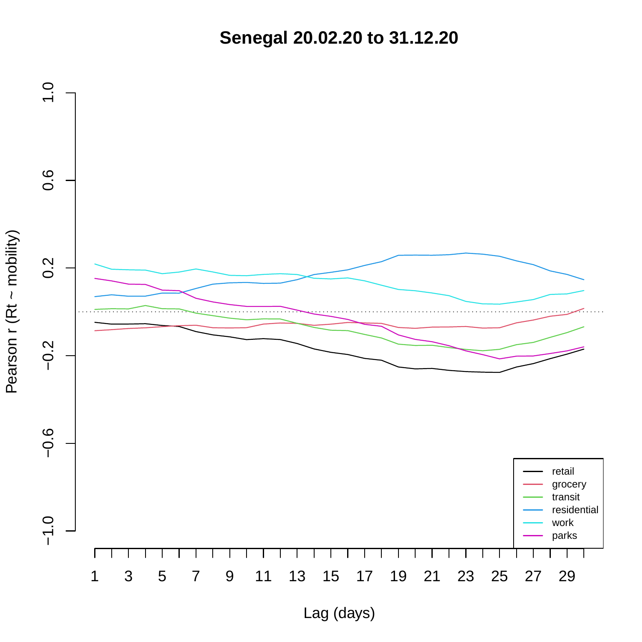**Senegal 20.02.20 to 31.12.20**

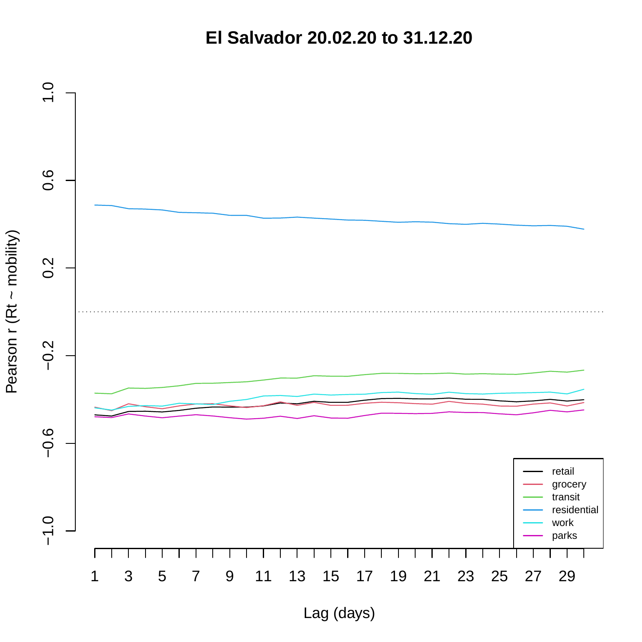**El Salvador 20.02.20 to 31.12.20**

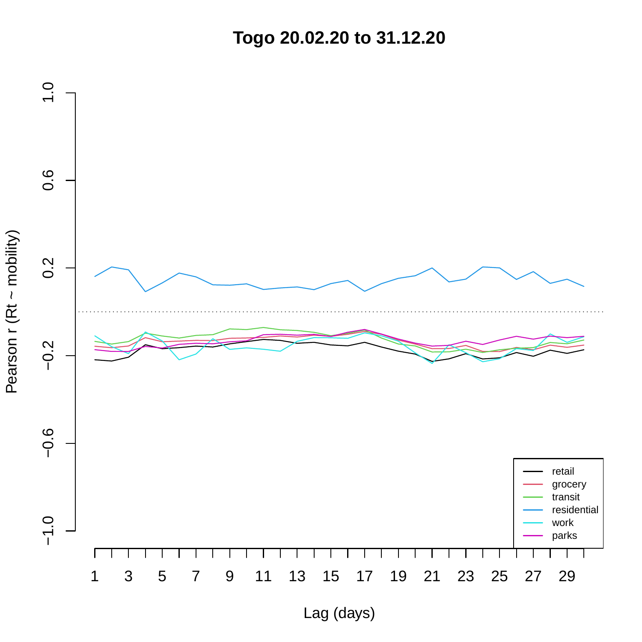**Togo 20.02.20 to 31.12.20**

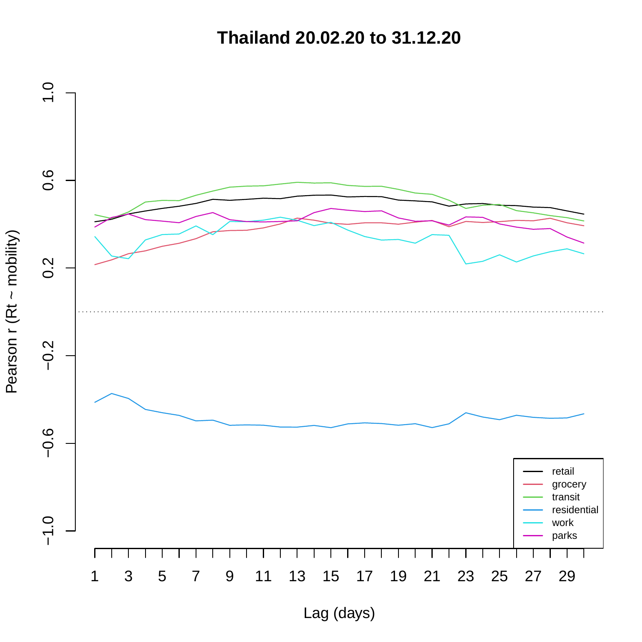**Thailand 20.02.20 to 31.12.20**

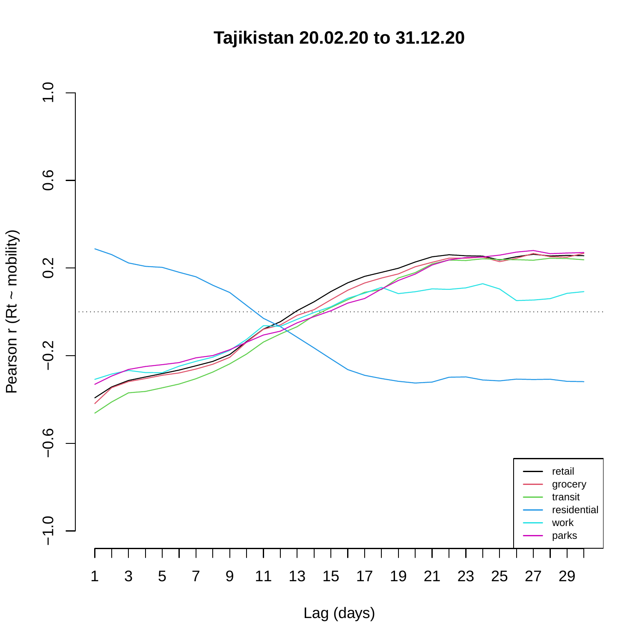**Tajikistan 20.02.20 to 31.12.20**

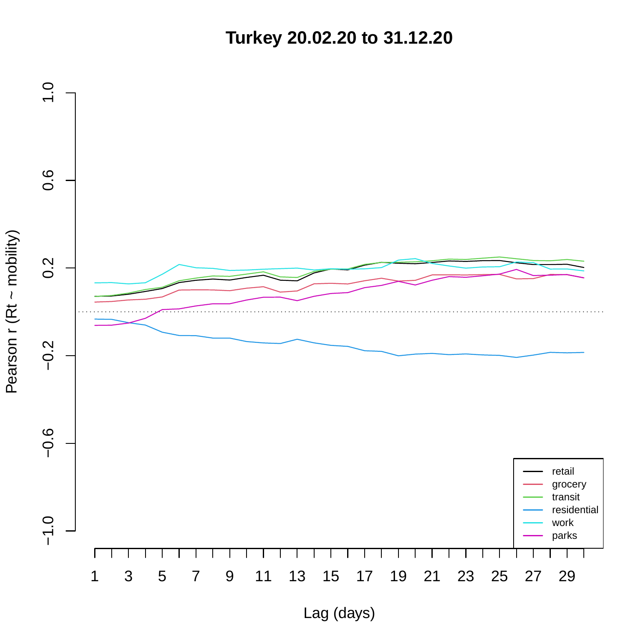**Turkey 20.02.20 to 31.12.20**

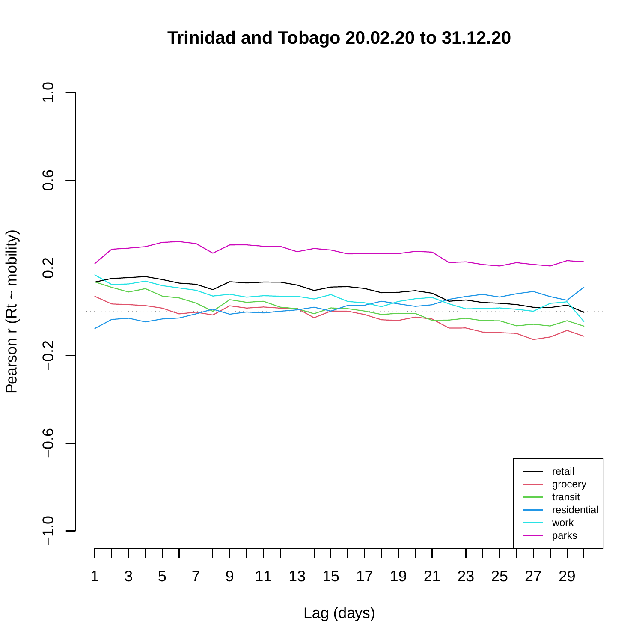## **Trinidad and Tobago 20.02.20 to 31.12.20**

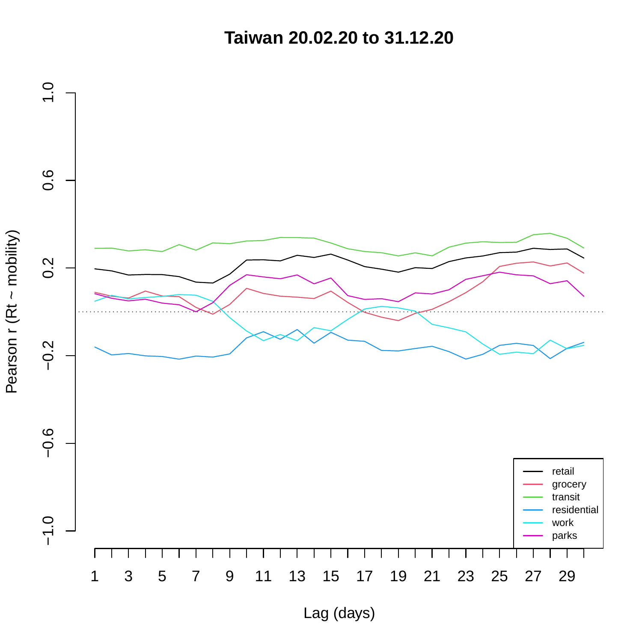**Taiwan 20.02.20 to 31.12.20**

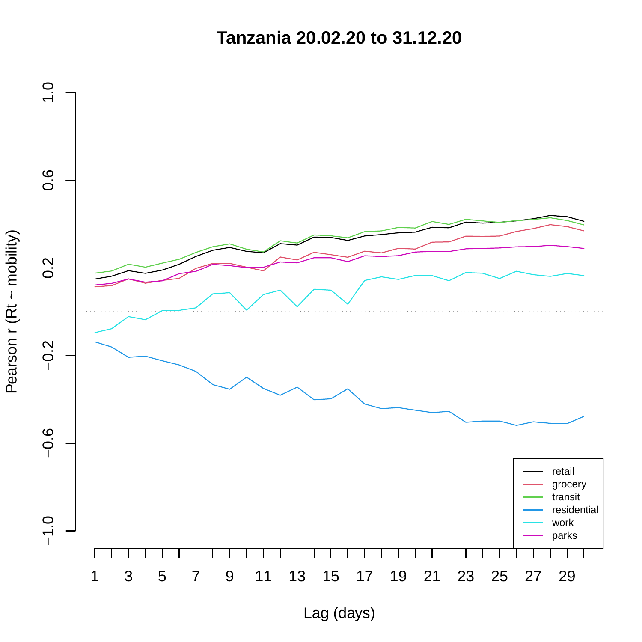**Tanzania 20.02.20 to 31.12.20**

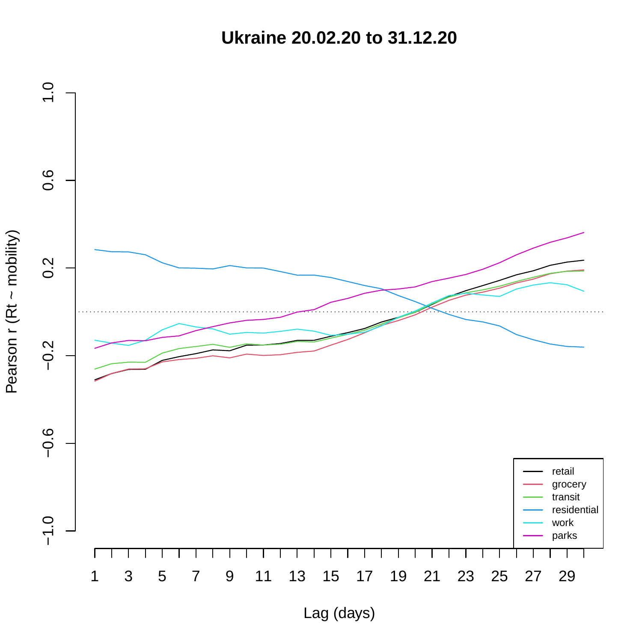**Ukraine 20.02.20 to 31.12.20**

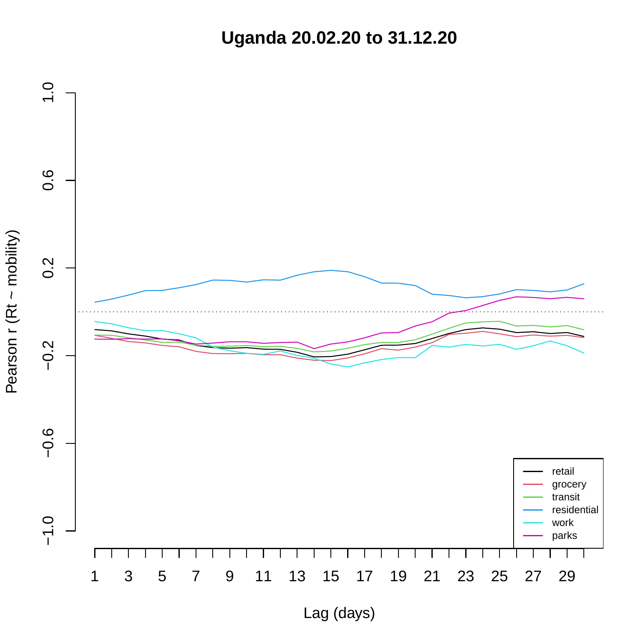**Uganda 20.02.20 to 31.12.20**

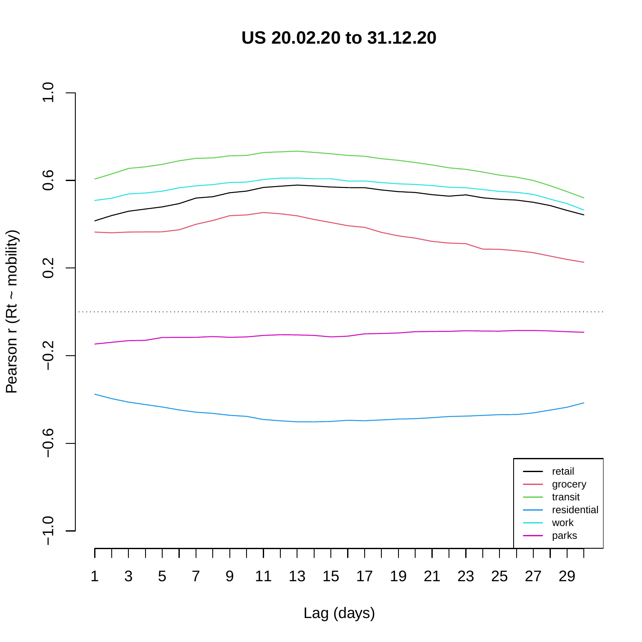**US 20.02.20 to 31.12.20**

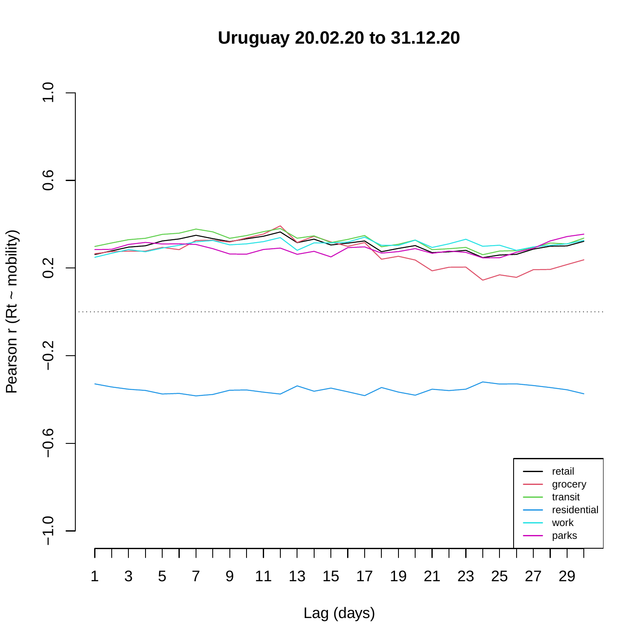**Uruguay 20.02.20 to 31.12.20**

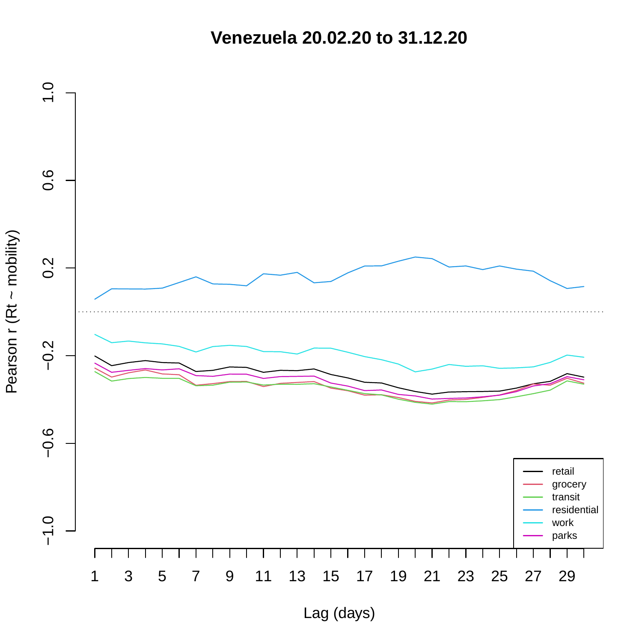**Venezuela 20.02.20 to 31.12.20**

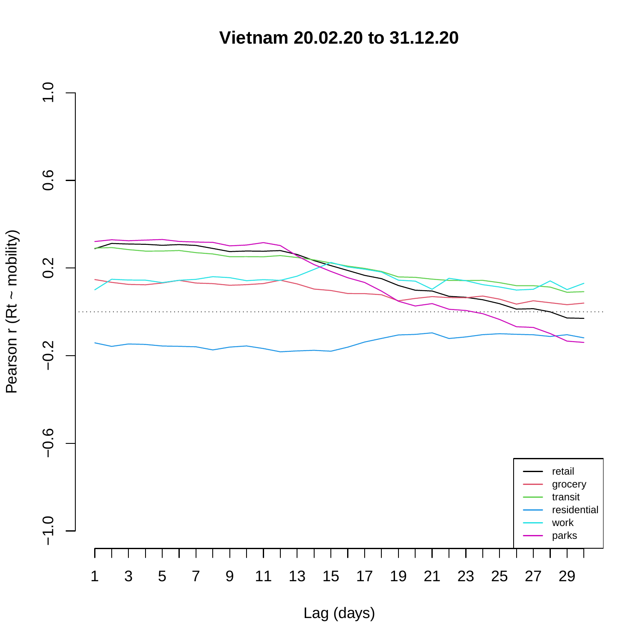**Vietnam 20.02.20 to 31.12.20**

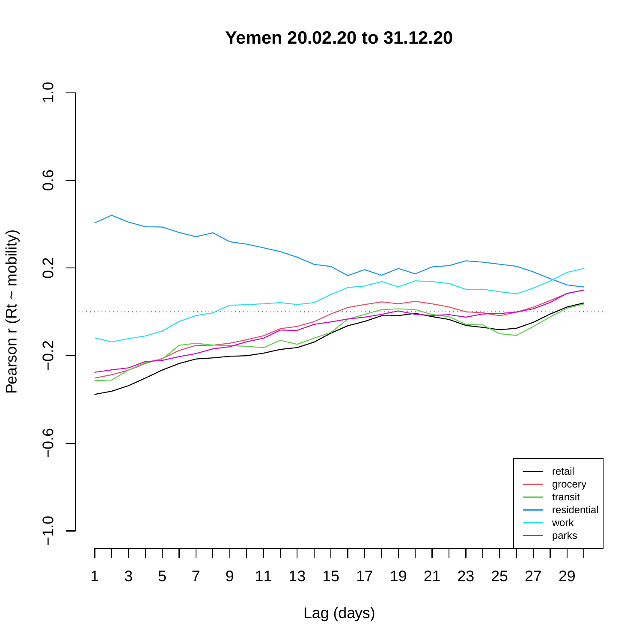**Yemen 20.02.20 to 31.12.20**

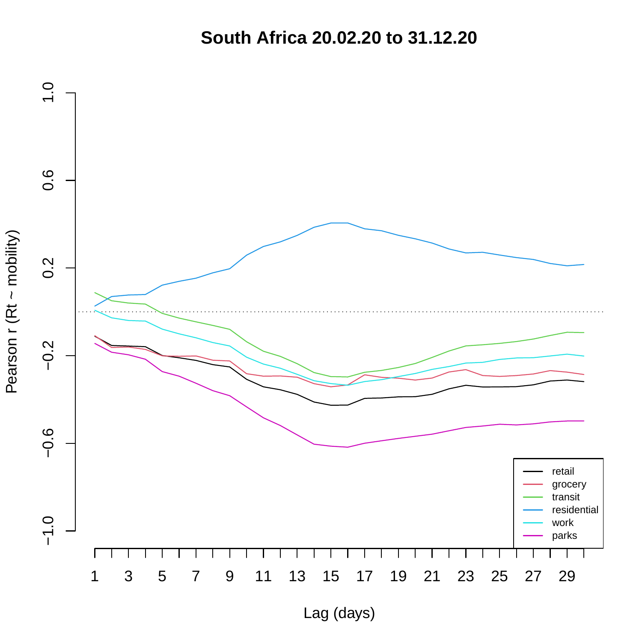**South Africa 20.02.20 to 31.12.20**

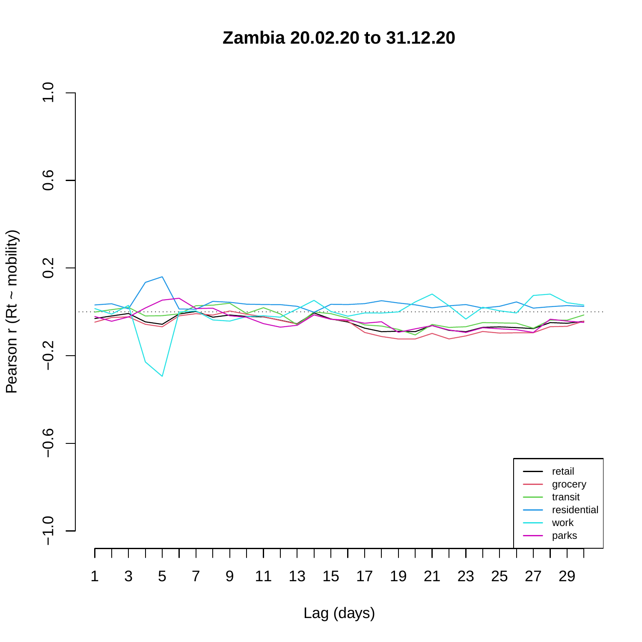**Zambia 20.02.20 to 31.12.20**

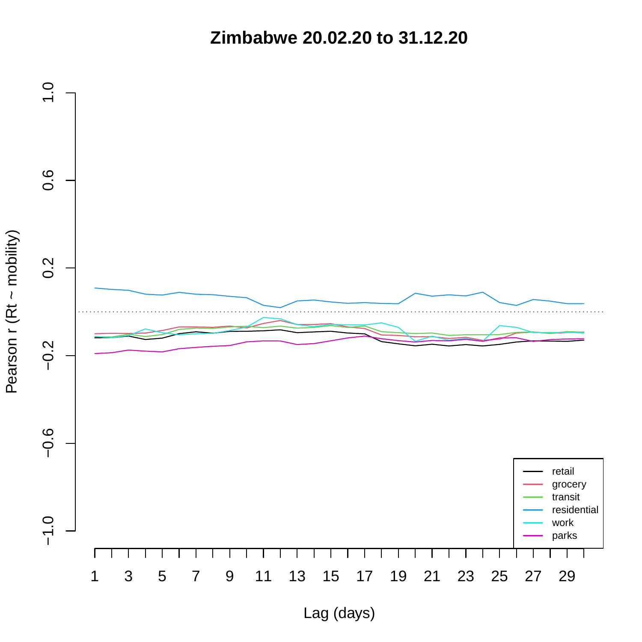**Zimbabwe 20.02.20 to 31.12.20**

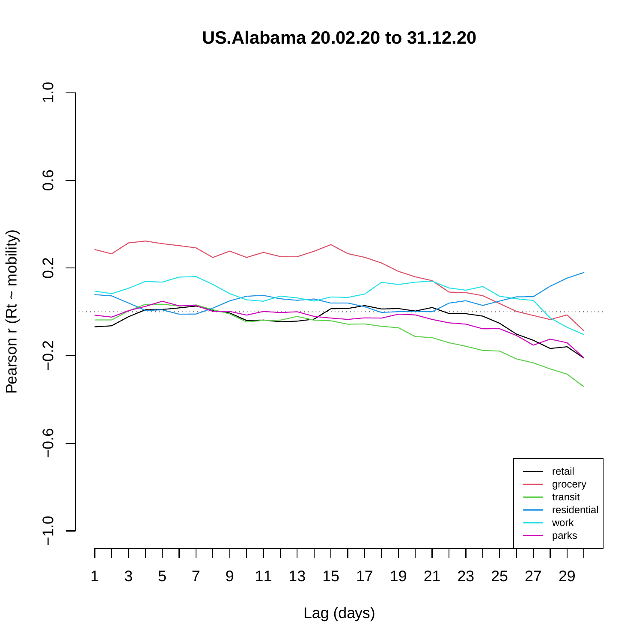**US.Alabama 20.02.20 to 31.12.20**

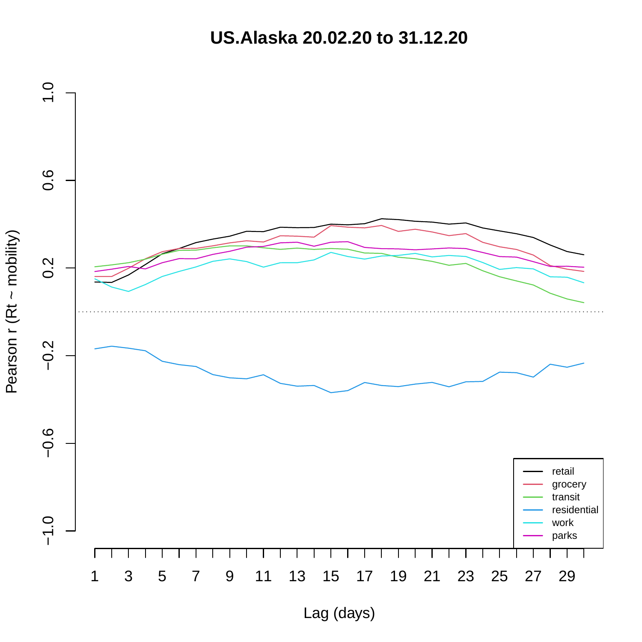**US.Alaska 20.02.20 to 31.12.20**

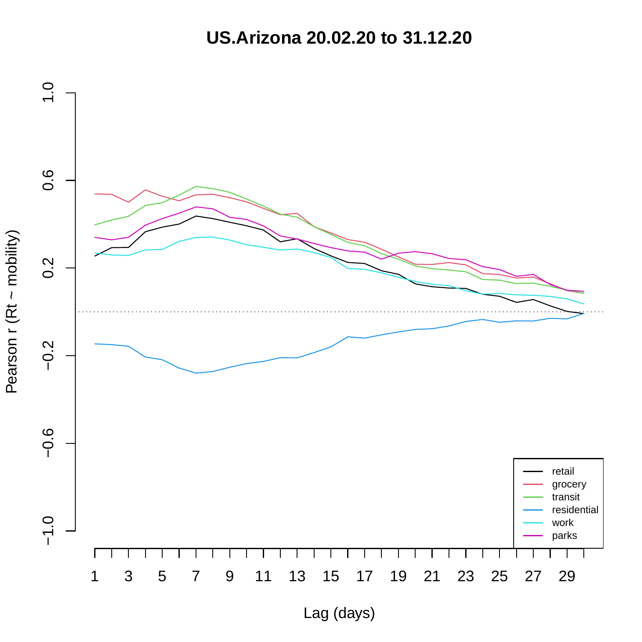**US.Arizona 20.02.20 to 31.12.20**

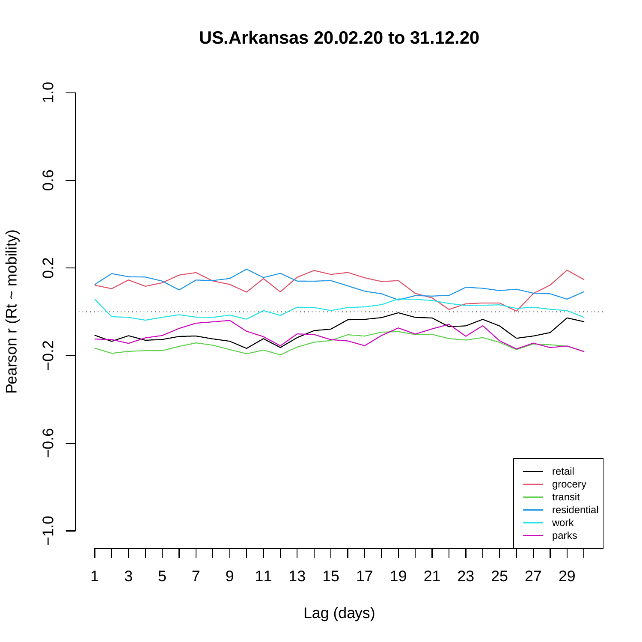**US.Arkansas 20.02.20 to 31.12.20**



Pearson r (Rt ~ mobility) Pearson r (Rt ~ mobility)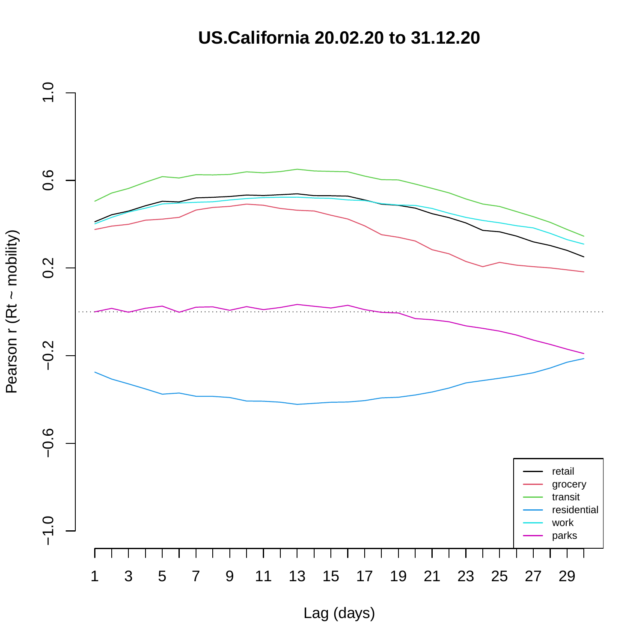**US.California 20.02.20 to 31.12.20**



Pearson r (Rt ~ mobility) Pearson r (Rt ~ mobility)

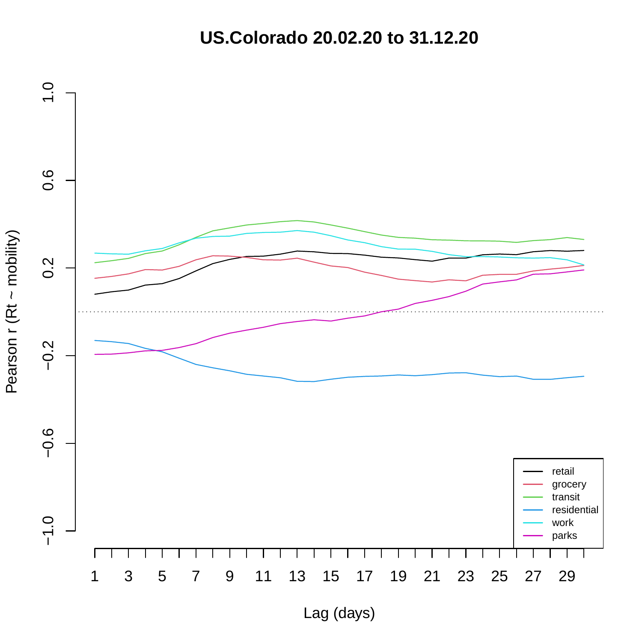**US.Colorado 20.02.20 to 31.12.20**



Lag (days)

Pearson r (Rt ~ mobility) Pearson r (Rt ~ mobility)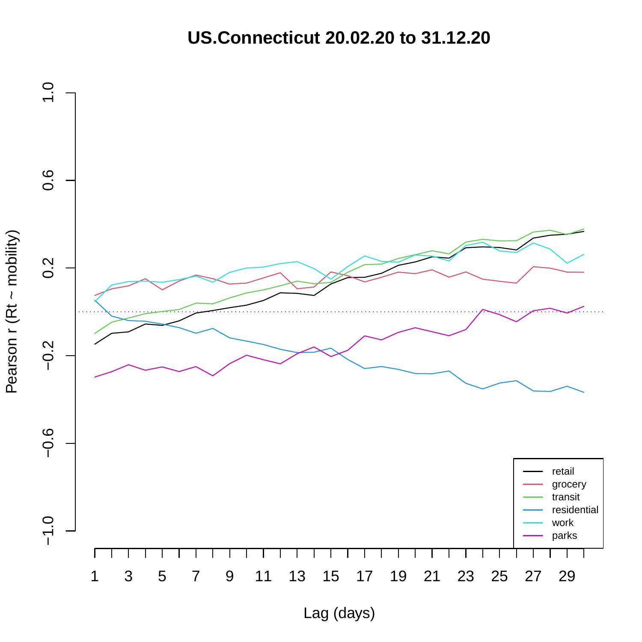**US.Connecticut 20.02.20 to 31.12.20**

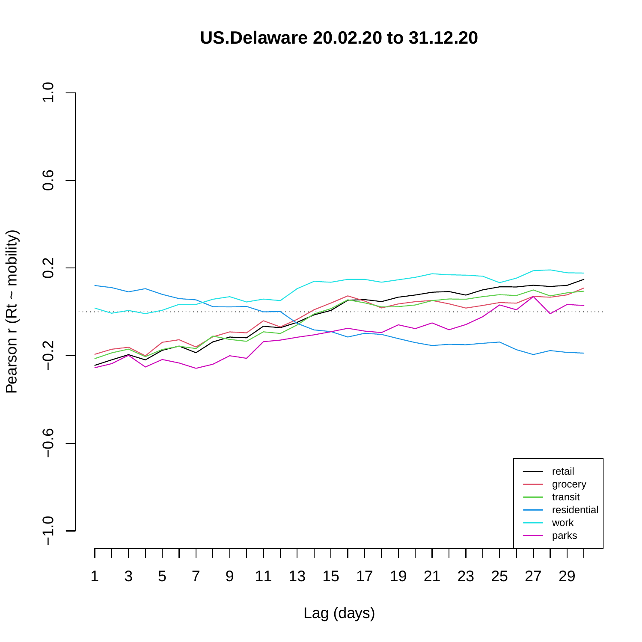**US.Delaware 20.02.20 to 31.12.20**

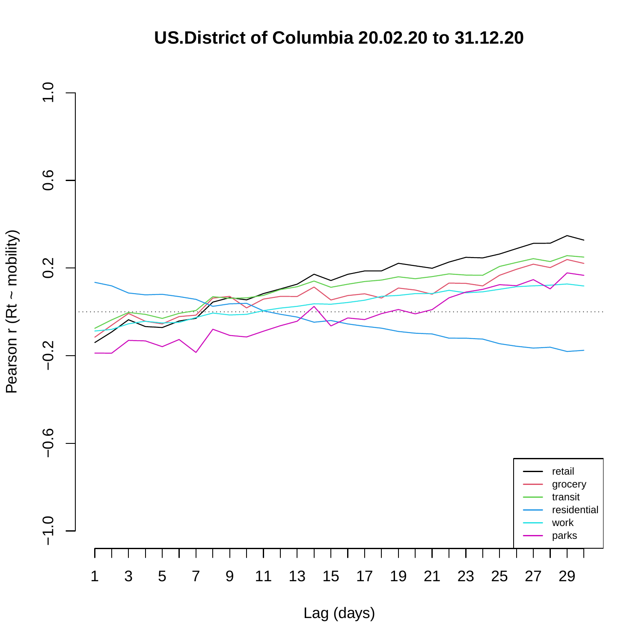## **US.District of Columbia 20.02.20 to 31.12.20**

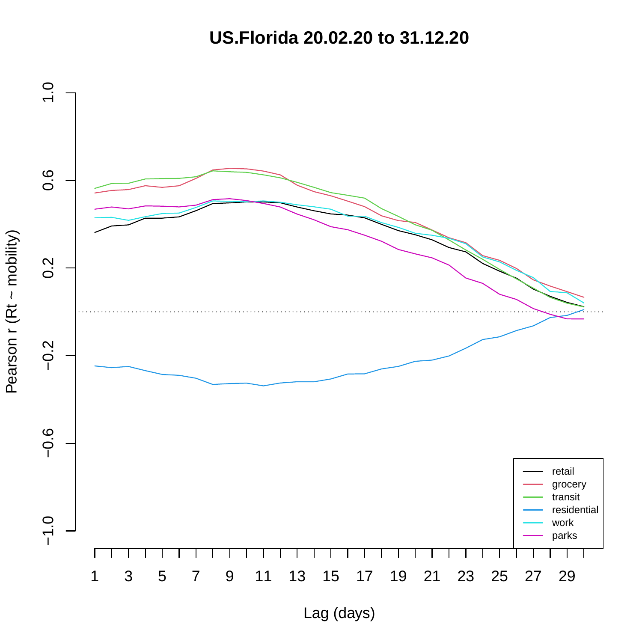**US.Florida 20.02.20 to 31.12.20**

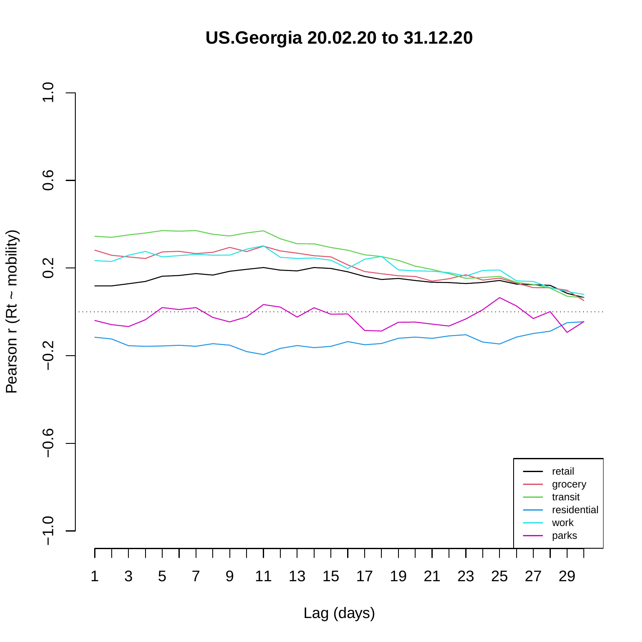**US.Georgia 20.02.20 to 31.12.20**

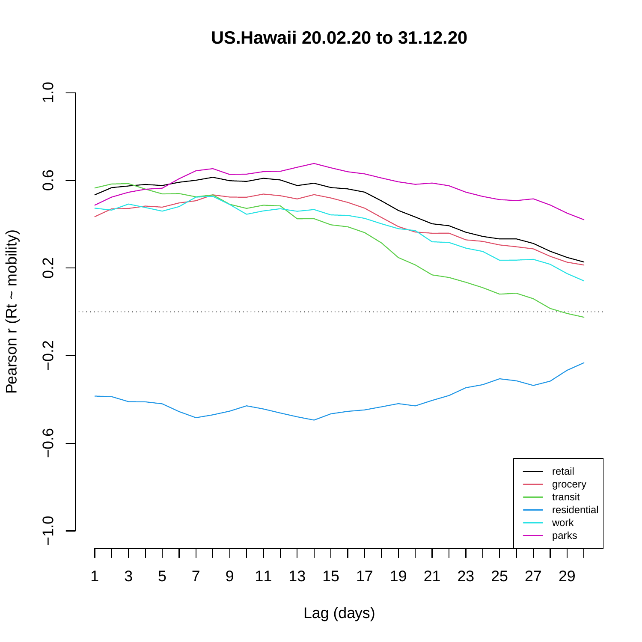**US.Hawaii 20.02.20 to 31.12.20**

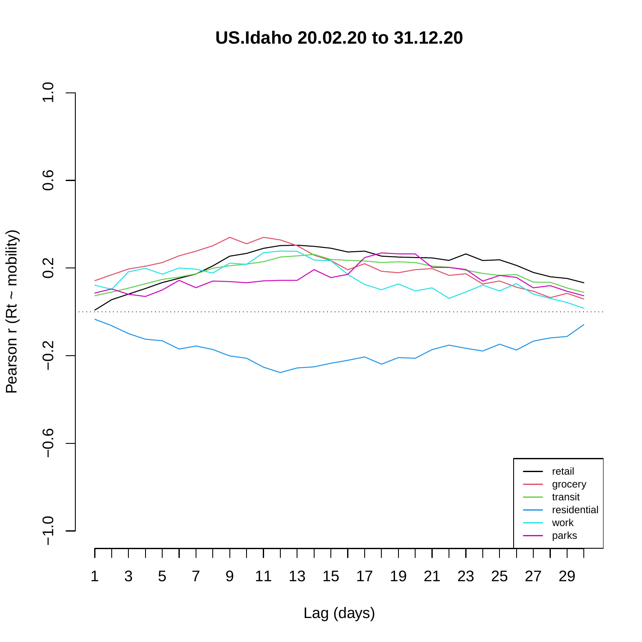**US.Idaho 20.02.20 to 31.12.20**

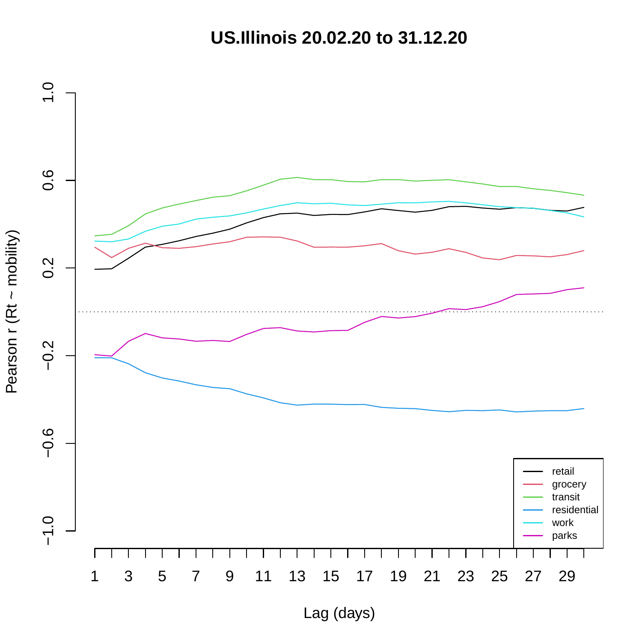**US.Illinois 20.02.20 to 31.12.20**

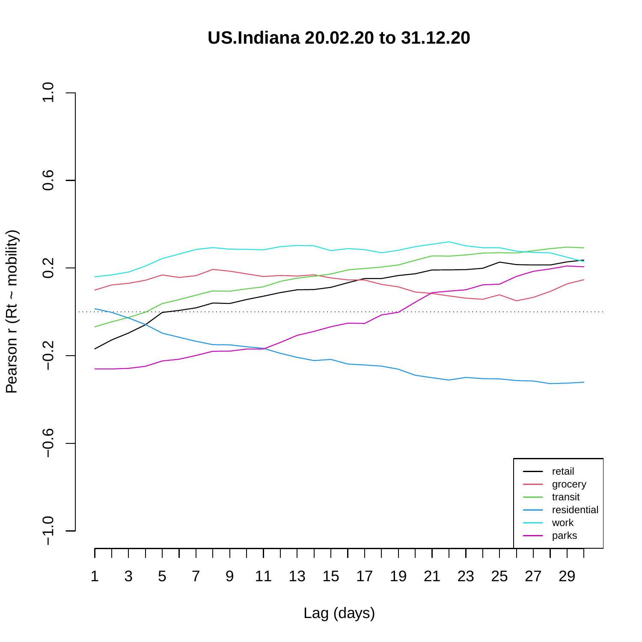**US.Indiana 20.02.20 to 31.12.20**

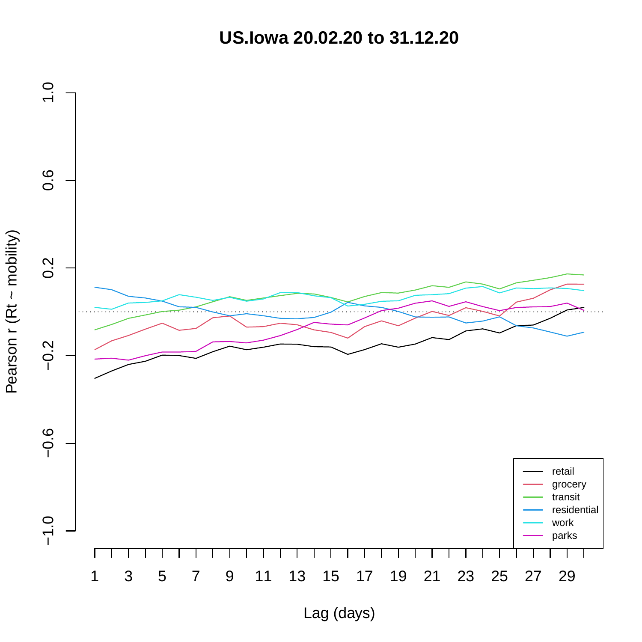**US.Iowa 20.02.20 to 31.12.20**

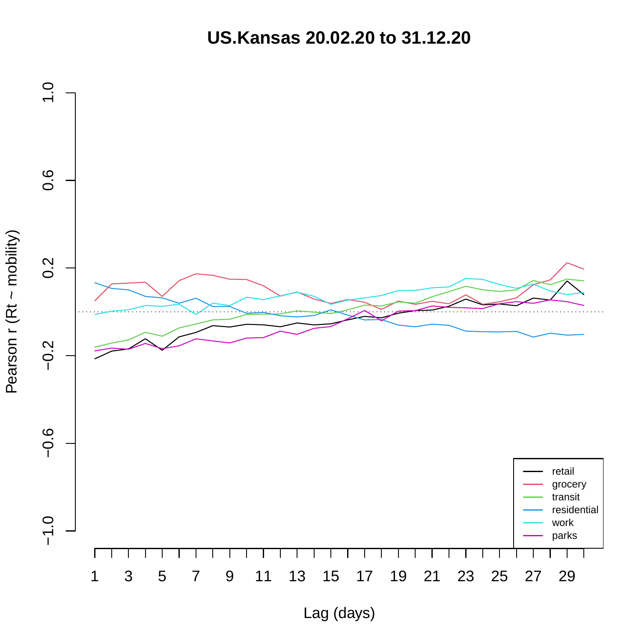**US.Kansas 20.02.20 to 31.12.20**

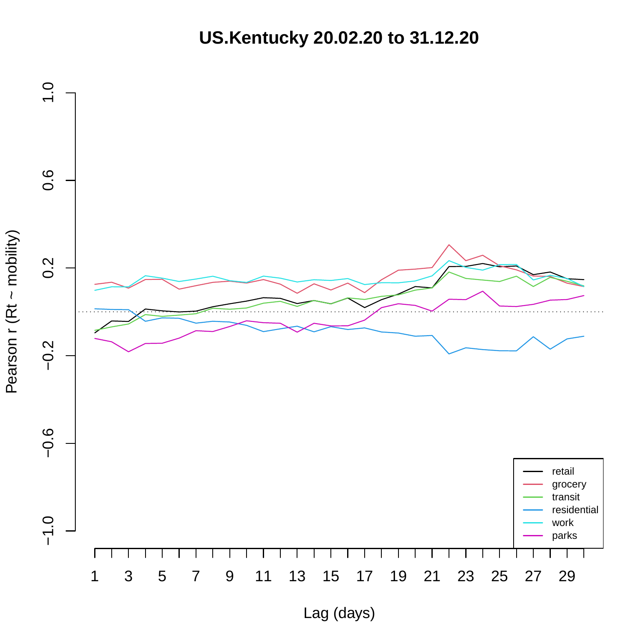**US.Kentucky 20.02.20 to 31.12.20**

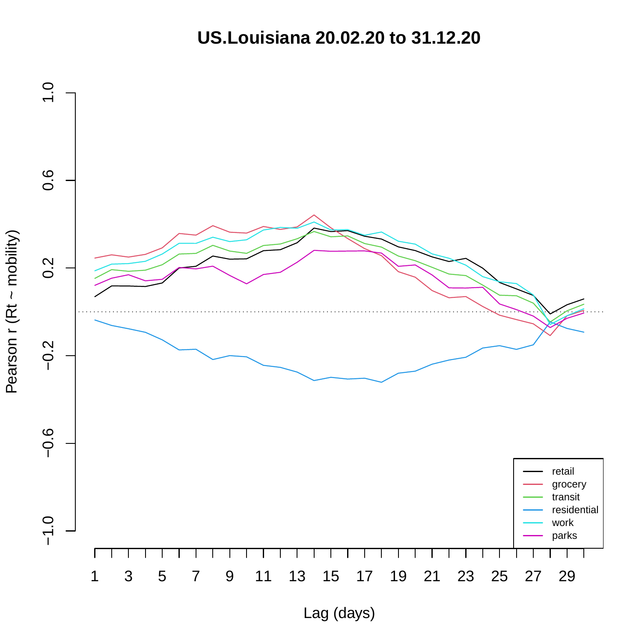**US.Louisiana 20.02.20 to 31.12.20**

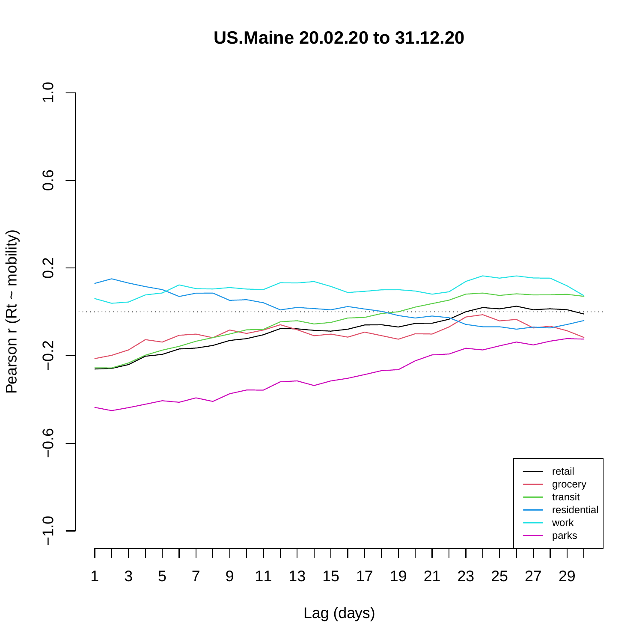**US.Maine 20.02.20 to 31.12.20**

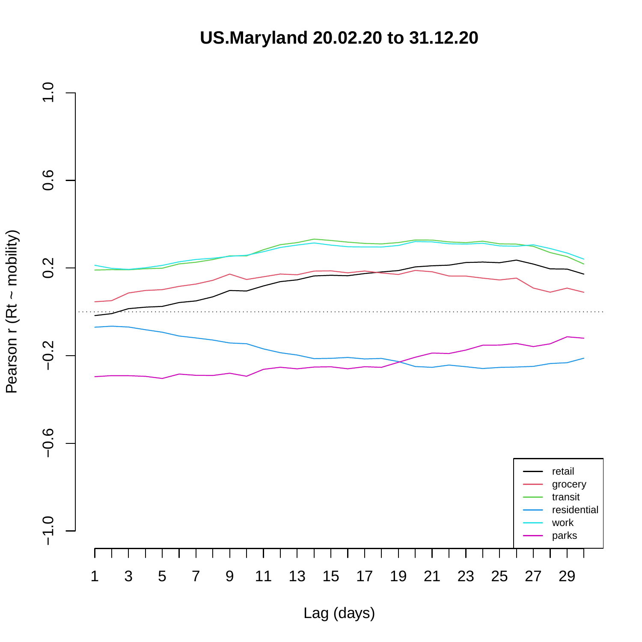**US.Maryland 20.02.20 to 31.12.20**

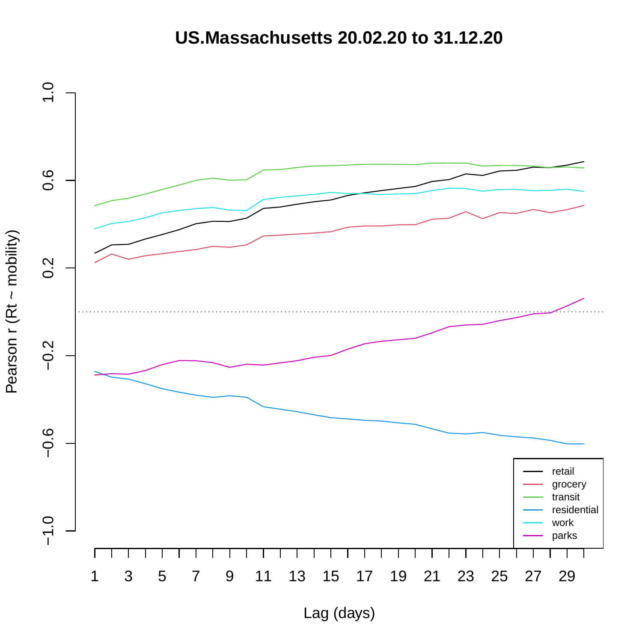### **US.Massachusetts 20.02.20 to 31.12.20**

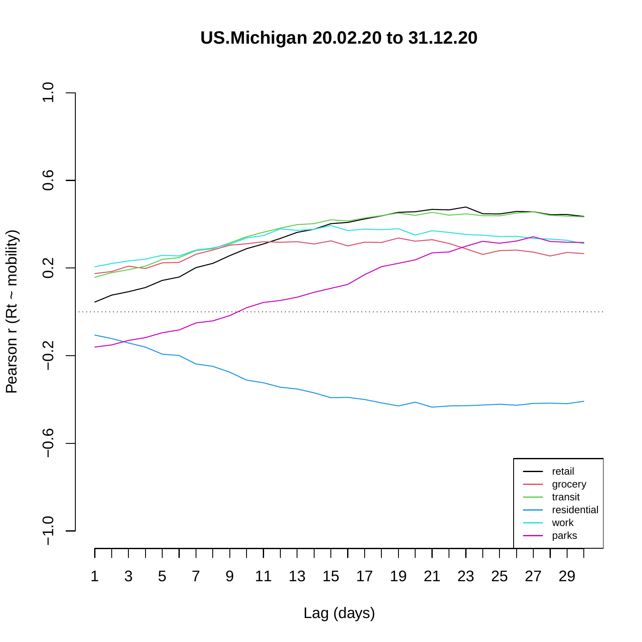**US.Michigan 20.02.20 to 31.12.20**

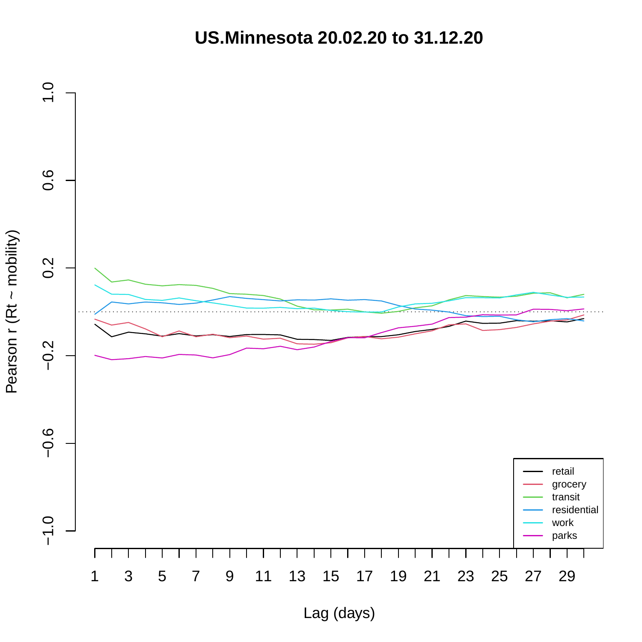**US.Minnesota 20.02.20 to 31.12.20**

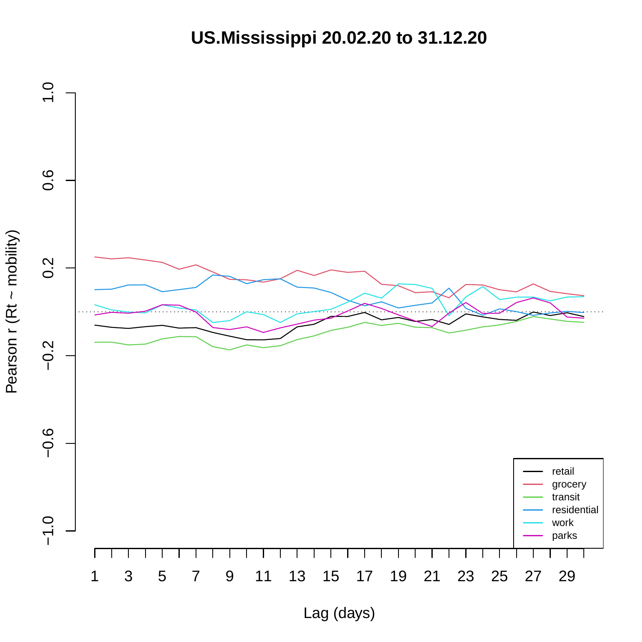**US.Mississippi 20.02.20 to 31.12.20**



Pearson r (Rt ~ mobility) Pearson r (Rt ~ mobility)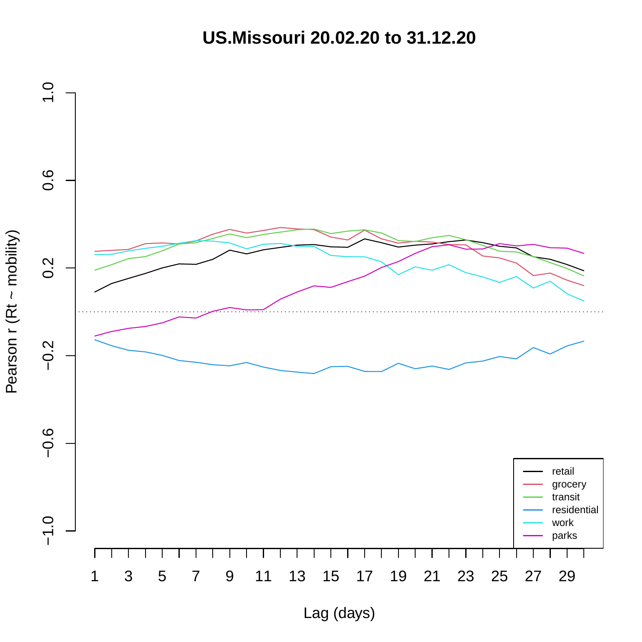**US.Missouri 20.02.20 to 31.12.20**

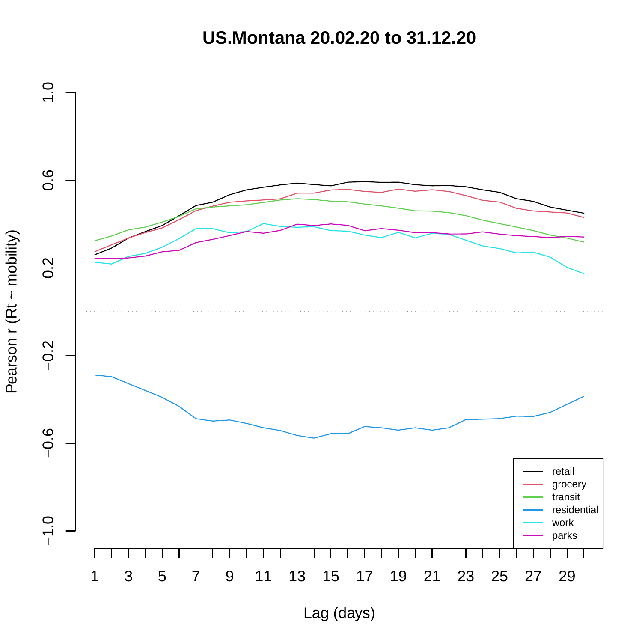**US.Montana 20.02.20 to 31.12.20**

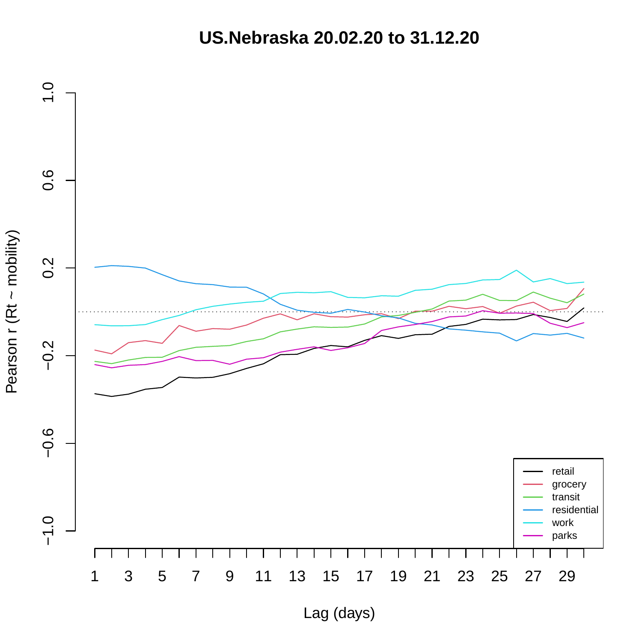**US.Nebraska 20.02.20 to 31.12.20**

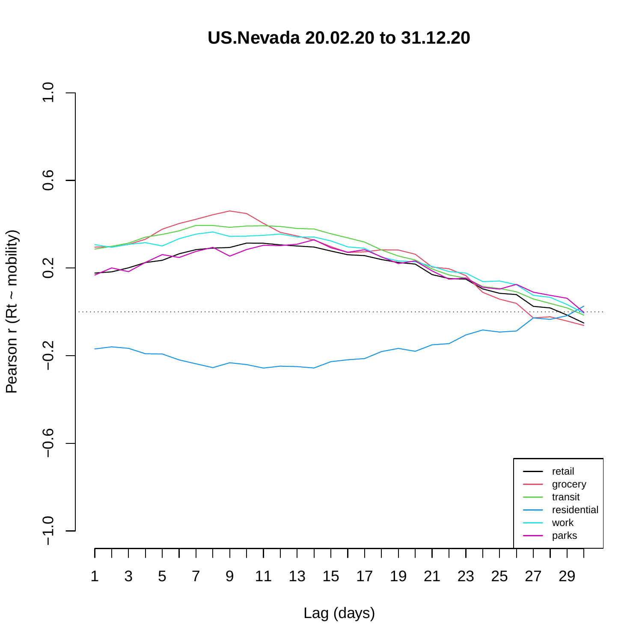**US.Nevada 20.02.20 to 31.12.20**

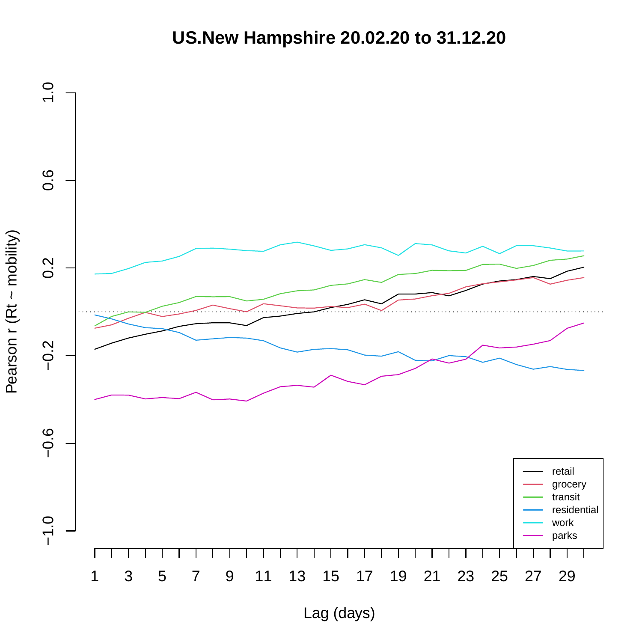# **US.New Hampshire 20.02.20 to 31.12.20**

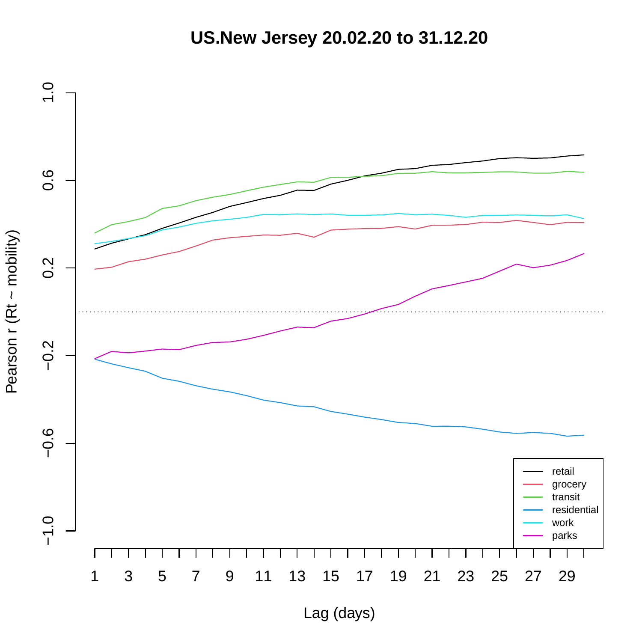**US.New Jersey 20.02.20 to 31.12.20**

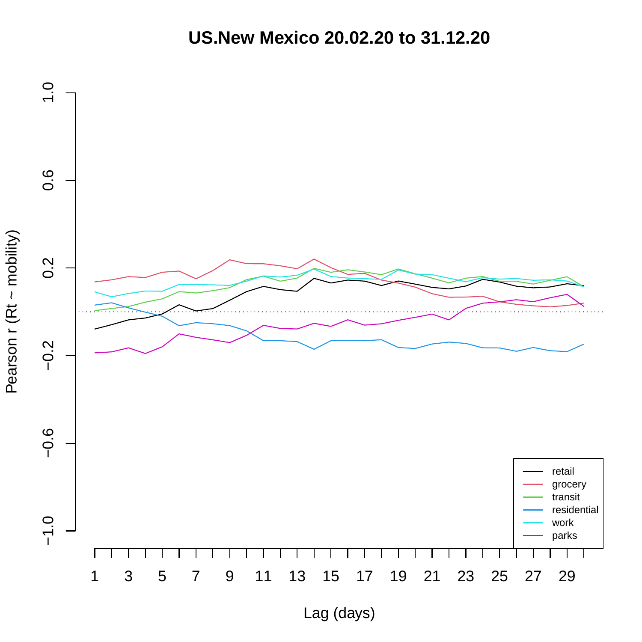**US.New Mexico 20.02.20 to 31.12.20**

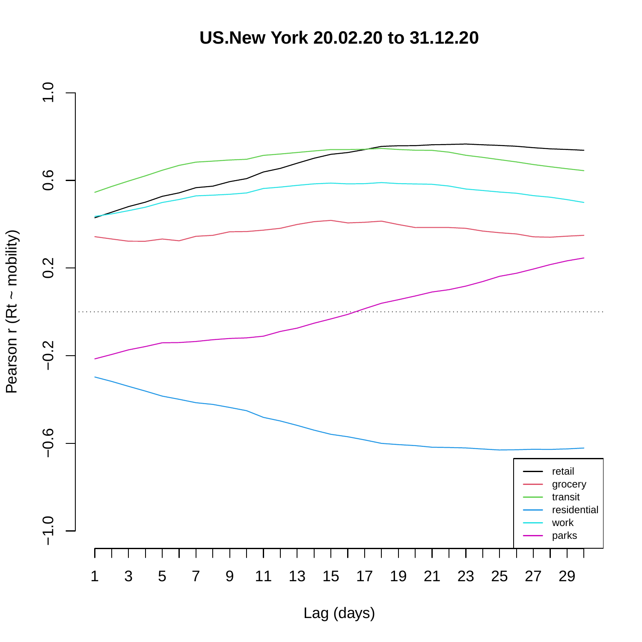**US.New York 20.02.20 to 31.12.20**

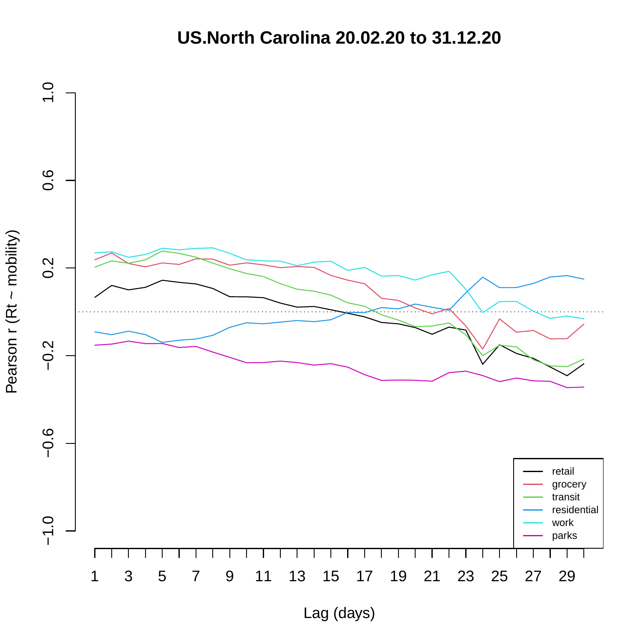## **US.North Carolina 20.02.20 to 31.12.20**

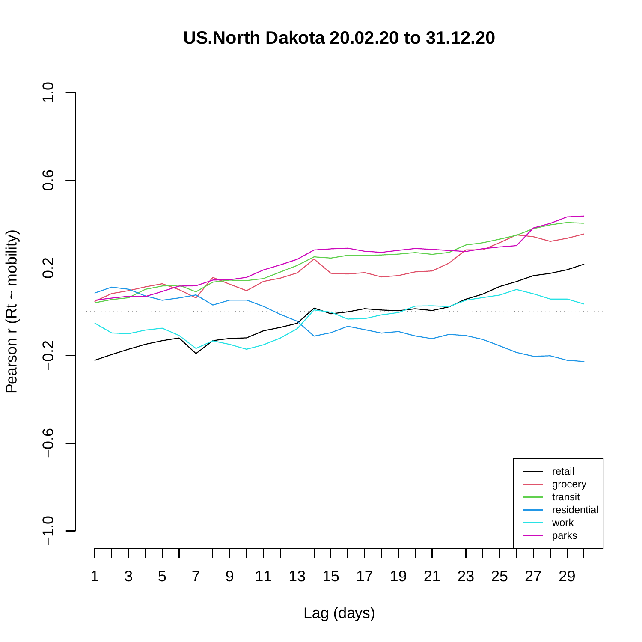## **US.North Dakota 20.02.20 to 31.12.20**

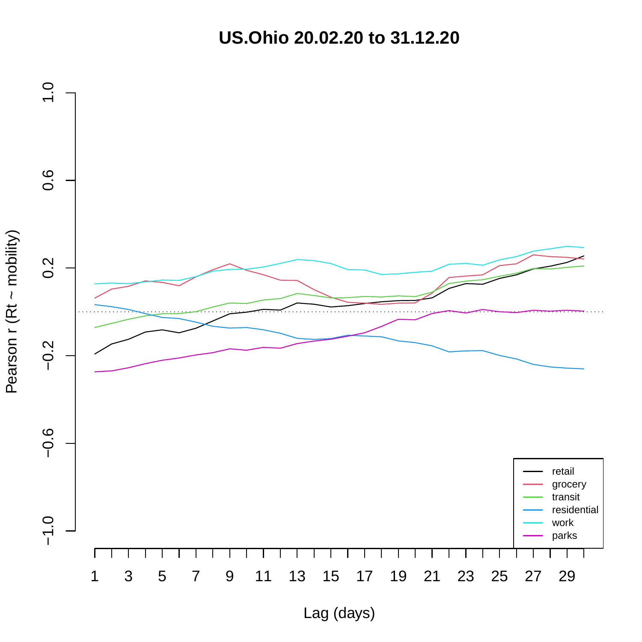**US.Ohio 20.02.20 to 31.12.20**



Pearson r (Rt ~ mobility) Pearson r (Rt ~ mobility)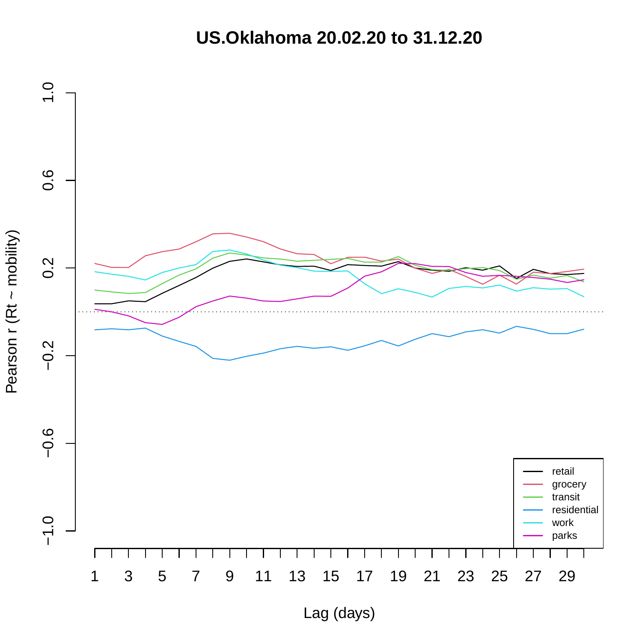**US.Oklahoma 20.02.20 to 31.12.20**

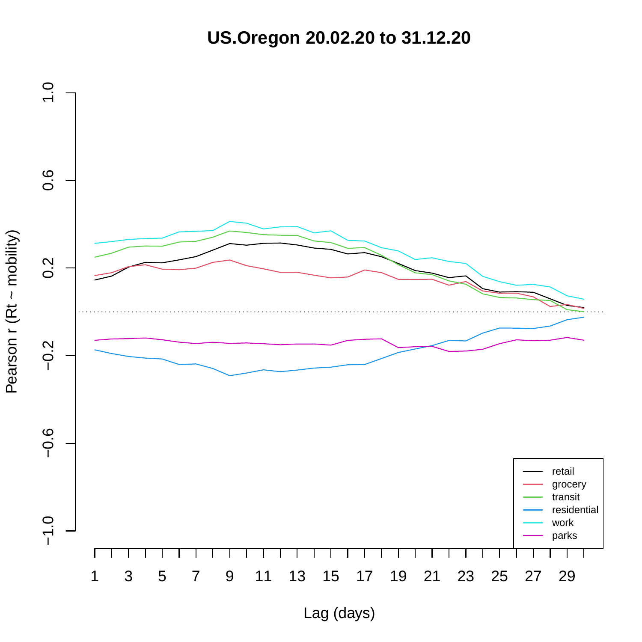**US.Oregon 20.02.20 to 31.12.20**

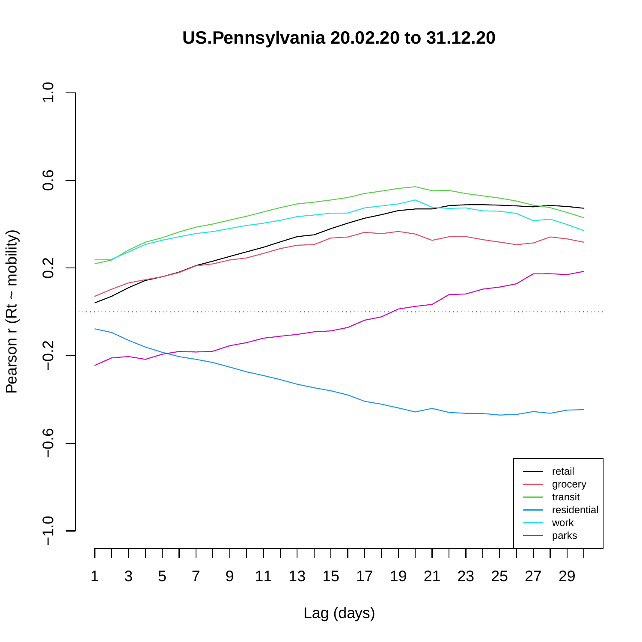**US.Pennsylvania 20.02.20 to 31.12.20**

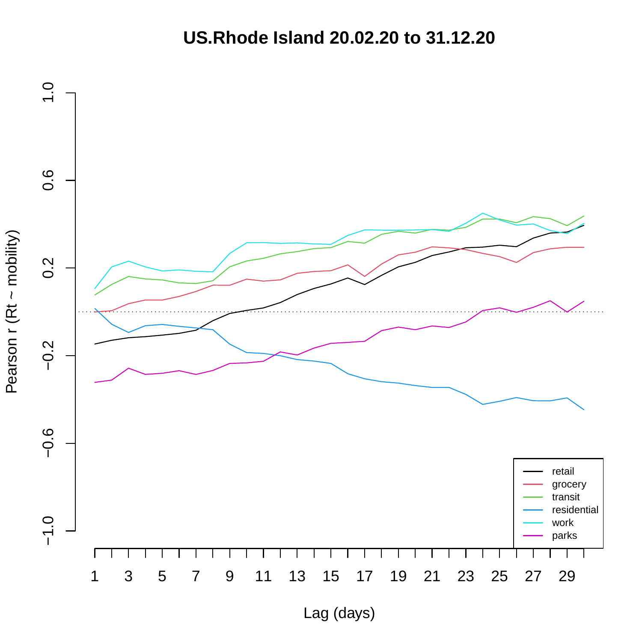**US.Rhode Island 20.02.20 to 31.12.20**

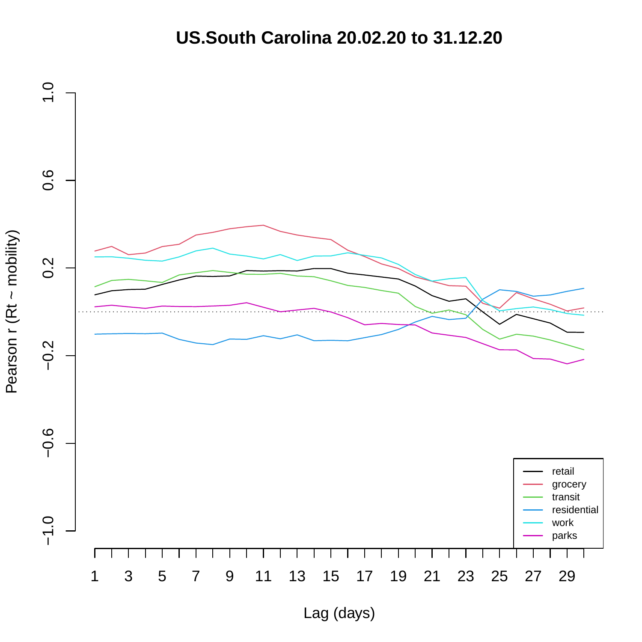## **US.South Carolina 20.02.20 to 31.12.20**

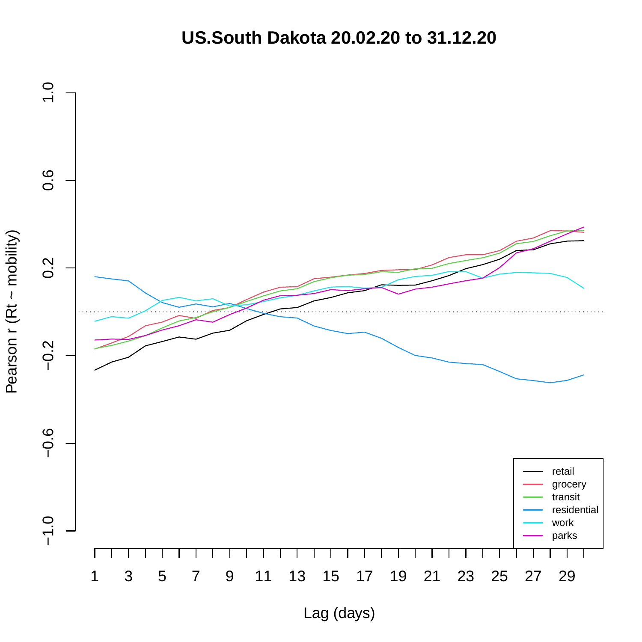**US.South Dakota 20.02.20 to 31.12.20**

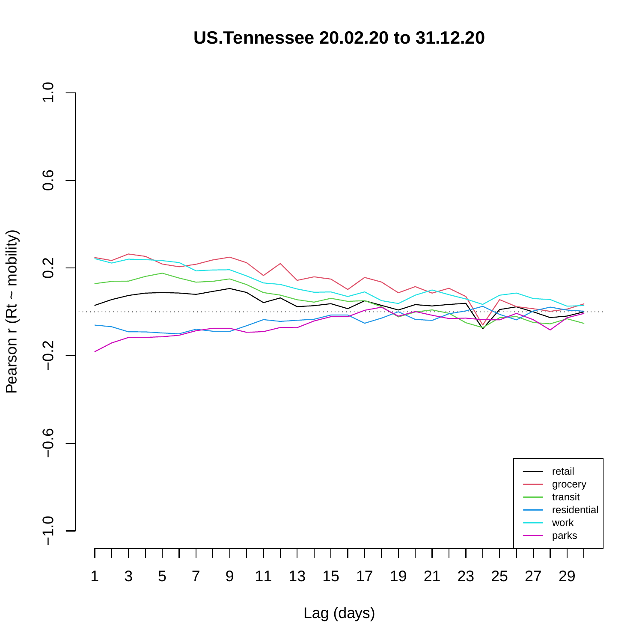**US.Tennessee 20.02.20 to 31.12.20**

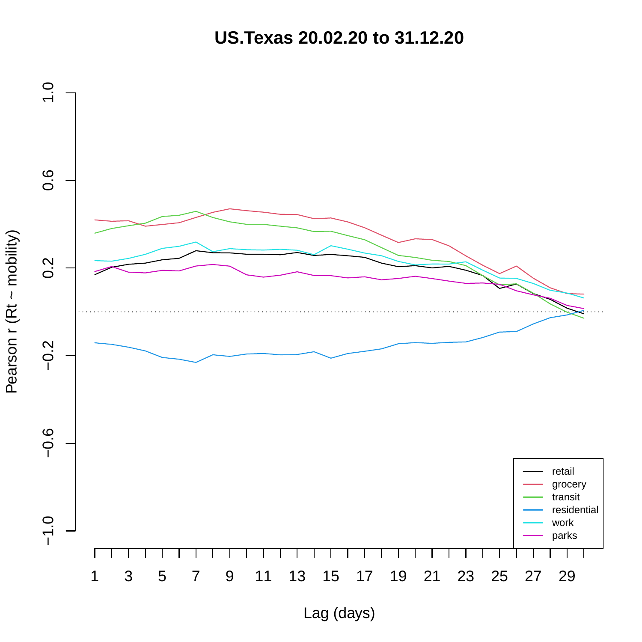**US.Texas 20.02.20 to 31.12.20**

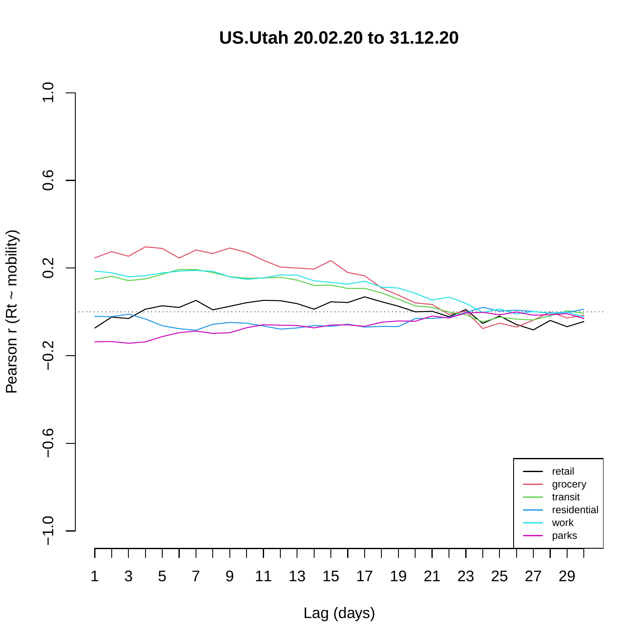**US.Utah 20.02.20 to 31.12.20**



Pearson r (Rt ~ mobility) Pearson r (Rt ~ mobility)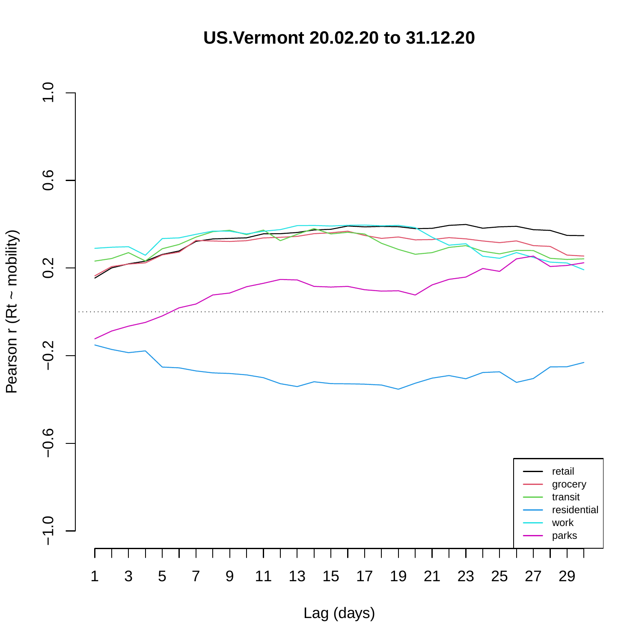**US.Vermont 20.02.20 to 31.12.20**

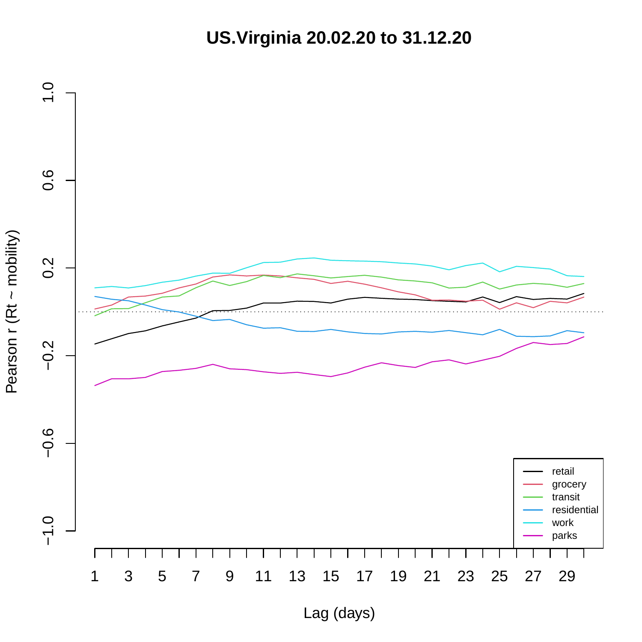**US.Virginia 20.02.20 to 31.12.20**



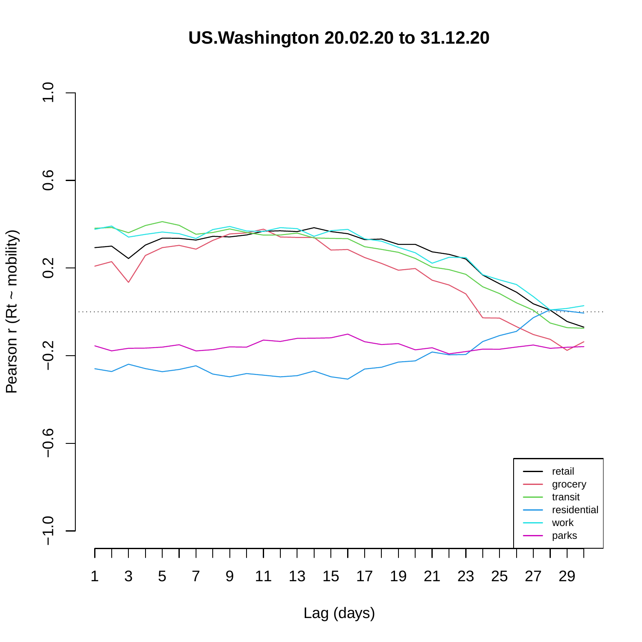# **US.Washington 20.02.20 to 31.12.20**

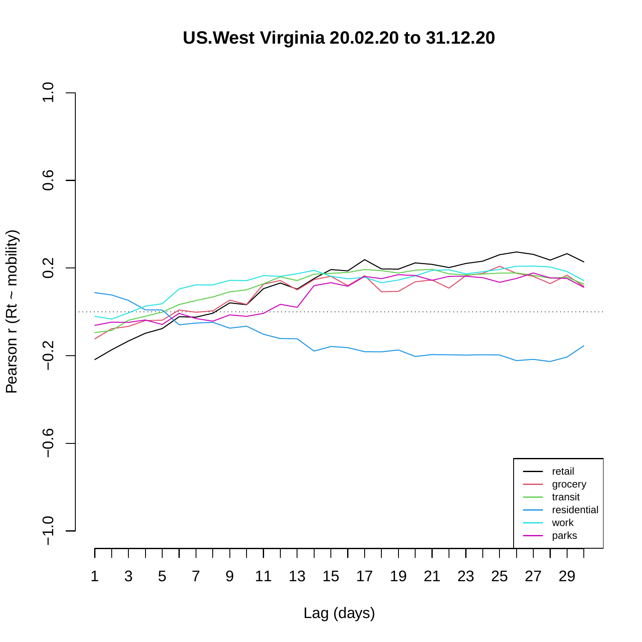**US.West Virginia 20.02.20 to 31.12.20**

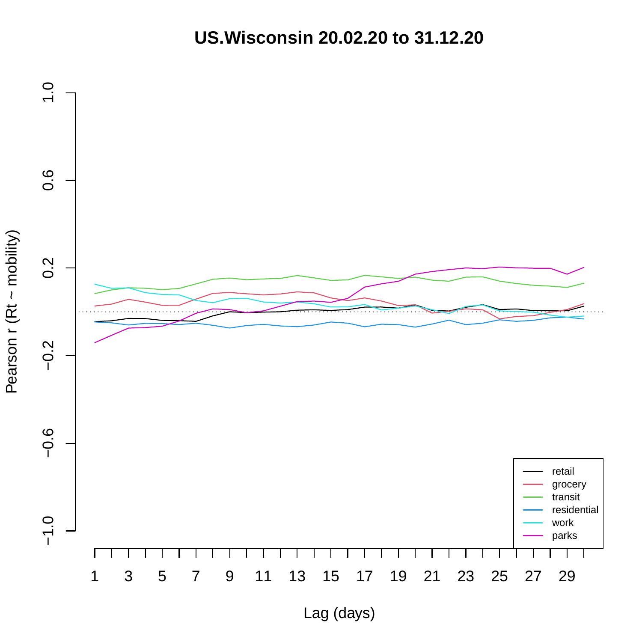**US.Wisconsin 20.02.20 to 31.12.20**